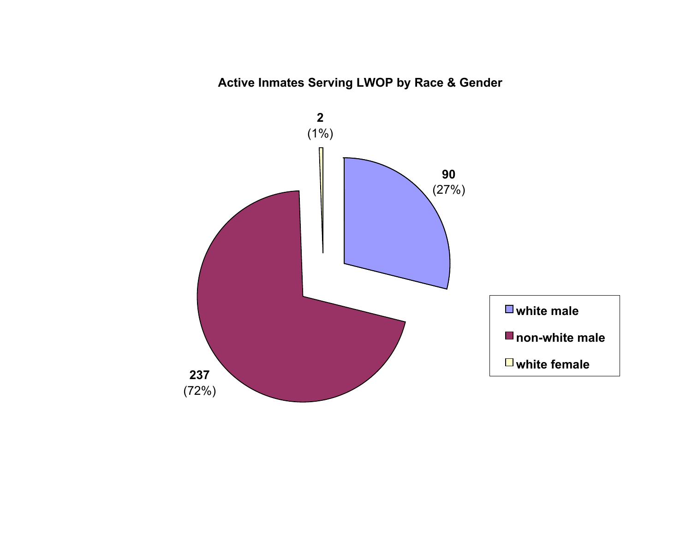## **Active Inmates Serving LWOP by Race & Gender**

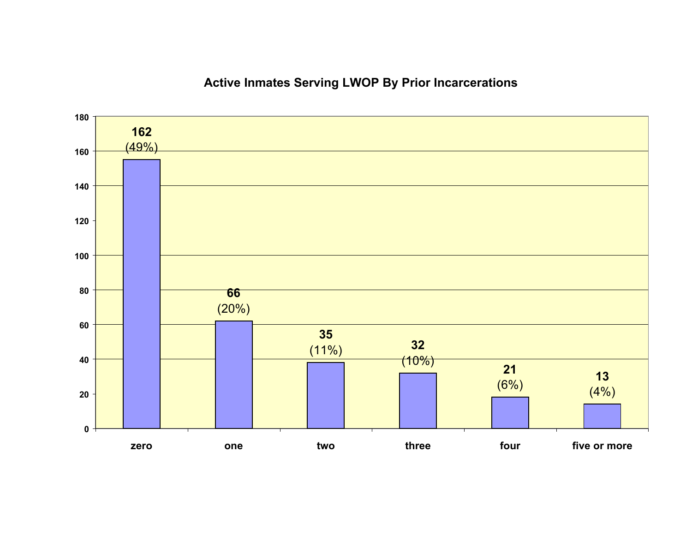## **Active Inmates Serving LWOP By Prior Incarcerations**

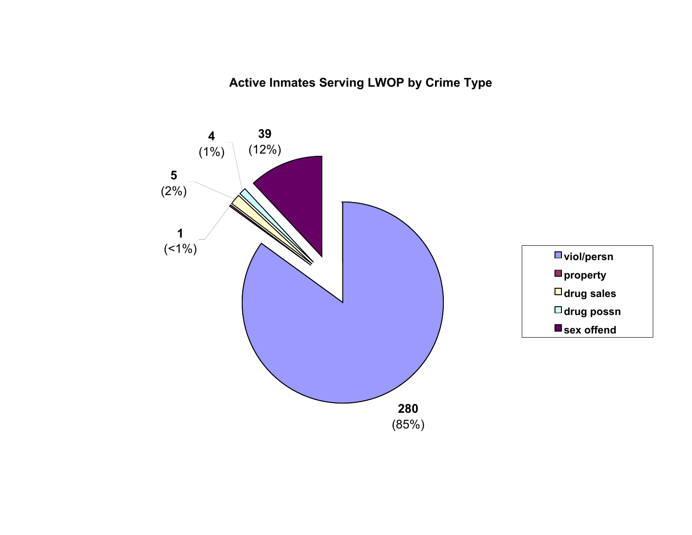**Active Inmates Serving LWOP by Crime Type**

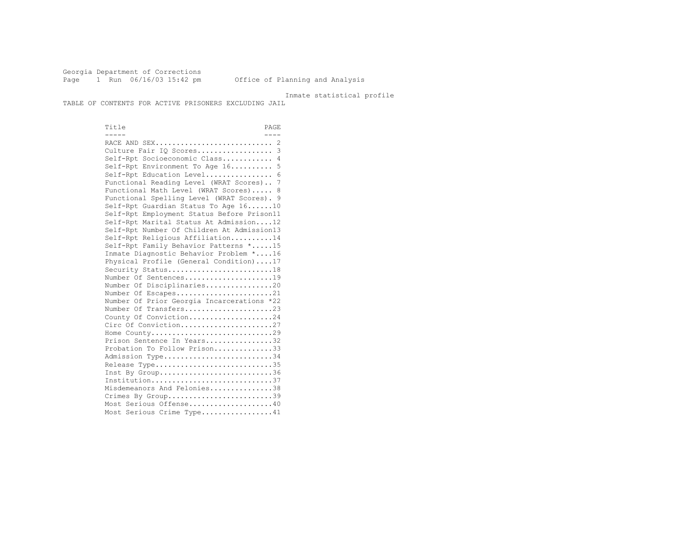Georgia Department of Corrections Page 1 Run 06/16/03 15:42 pm Office of Planning and Analysis

Inmate statistical profile

TABLE OF CONTENTS FOR ACTIVE PRISONERS EXCLUDING JAIL

Title PAGE  $\frac{1}{2}$  ----- ---- RACE AND SEX............................ 2 Culture Fair IO Scores...................... 3 Self-Rpt Socioeconomic Class............ 4 Self-Rpt Environment To Age 16.......... 5 Self-Rpt Education Level................ 6 Functional Reading Level (WRAT Scores).. 7 Functional Math Level (WRAT Scores)..... 8 Functional Spelling Level (WRAT Scores). 9 Self-Rpt Guardian Status To Age 16......10 Self-Rpt Employment Status Before Prison11 Self-Rpt Marital Status At Admission....12 Self-Rpt Number Of Children At Admission13 Self-Rpt Religious Affiliation..........14 Self-Rpt Family Behavior Patterns \*.....15 Inmate Diagnostic Behavior Problem \*....16 Physical Profile (General Condition)....17 Security Status...........................18 Number Of Sentences.....................19 Number Of Disciplinaries................20 Number Of Escapes........................21 Number Of Prior Georgia Incarcerations \*22 Number Of Transfers.............................23 County Of Conviction....................24 Circ Of Conviction........................27 Home County.............................29 Prison Sentence In Years.................32 Probation To Follow Prison..............33 Admission Type............................34 Release Type..............................35 Inst By Group.............................36 Institution.............................37 Misdemeanors And Felonies...............38 Crimes By Group............................39 Most Serious Offense....................40 Most Serious Crime Type.................41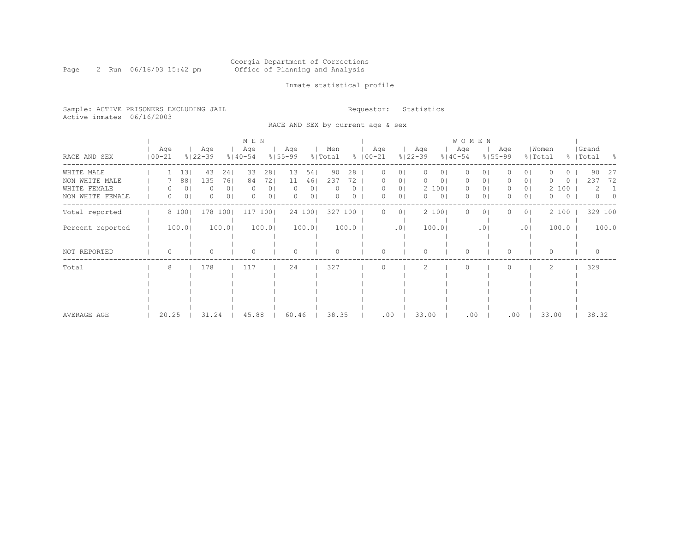Page 2 Run 06/16/03 15:42 pm

### Inmate statistical profile

Sample: ACTIVE PRISONERS EXCLUDING JAIL **Requestor:** Statistics Active inmates 06/16/2003

RACE AND SEX by current age & sex

|                  |                   |                |                    |                | M E N              |                |                    |                |                |       |                    |                |                    |                | W O M E N          |           |                    |                |                  |          |                    |          |
|------------------|-------------------|----------------|--------------------|----------------|--------------------|----------------|--------------------|----------------|----------------|-------|--------------------|----------------|--------------------|----------------|--------------------|-----------|--------------------|----------------|------------------|----------|--------------------|----------|
| RACE AND SEX     | Age<br>$100 - 21$ |                | Age<br>$8122 - 39$ |                | Age<br>$8140 - 54$ |                | Age<br>$8155 - 99$ |                | Men<br>% Total |       | Age<br>$8100 - 21$ |                | Age<br>$8122 - 39$ |                | Age<br>$8140 - 54$ |           | Age<br>$8155 - 99$ |                | Women<br>% Total |          | Grand<br>%   Total | - 8      |
| WHITE MALE       |                   | 13             | 43                 | 241            | 33                 | 281            | 13                 | 541            | 90             | 28    | 0                  | 01             | $\circ$            | 01             | $\circ$            | $\circ$   |                    | 0 <sup>1</sup> |                  | 0        | 90                 | -27      |
| NON WHITE MALE   |                   | 88             | 135                | 761            | 84                 | 721            | 11                 | 46             | 237            | 72.   |                    | O              | 0                  | 0              | U                  | U         |                    | 0              |                  | ()       | 237                | 72       |
| WHITE FEMALE     |                   | 0              |                    | 0 <sup>1</sup> |                    | 0 <sub>1</sub> |                    | 0              |                |       |                    | 0 <sub>1</sub> |                    | 2 100          | $\circ$            | 0         | 0                  | 0 <sub>1</sub> |                  | 2 100    | 2                  |          |
| NON WHITE FEMALE | 0                 | 0 <sub>1</sub> | 0                  | 0 <sup>1</sup> | $\Omega$           | 0 <sub>1</sub> |                    | 0 <sub>1</sub> |                |       | O                  | 0              | $\Omega$           | 0 <sup>1</sup> | $\circ$            | 0         | 0.                 | 0 <sup>1</sup> | 0                | $\Omega$ | $\Omega$           | $\Omega$ |
| Total reported   |                   | 8 100          | 178                | 1001           | 117                | 1001           |                    | 24 100         | 327            | 100   | 0                  | 01             |                    | 2 100          | $\Omega$           | 0         |                    | 0 <sub>1</sub> |                  | 2 100    | 329 100            |          |
| Percent reported |                   | 100.0          |                    | 100.0          |                    | 100.0          |                    | 100.0          |                | 100.0 |                    | .01            |                    | 100.0          |                    | $\cdot$ 0 |                    | .01            |                  | 100.0    |                    | 100.0    |
|                  |                   |                |                    |                |                    |                |                    |                |                |       |                    |                |                    |                |                    |           |                    |                |                  |          |                    |          |
|                  |                   |                |                    |                |                    |                |                    |                |                |       |                    |                |                    |                |                    |           |                    |                |                  |          |                    |          |
| NOT REPORTED     | 0                 |                |                    |                |                    |                |                    |                |                |       |                    |                | $\Omega$           |                | $\Omega$           |           | 0                  |                | $\Omega$         |          |                    |          |
| Total            | 8                 |                | 178                |                | 117                |                | 24                 |                | 327            |       |                    |                |                    |                | $\bigcap$          |           |                    |                |                  |          | 329                |          |
|                  |                   |                |                    |                |                    |                |                    |                |                |       |                    |                |                    |                |                    |           |                    |                |                  |          |                    |          |
|                  |                   |                |                    |                |                    |                |                    |                |                |       |                    |                |                    |                |                    |           |                    |                |                  |          |                    |          |
|                  |                   |                |                    |                |                    |                |                    |                |                |       |                    |                |                    |                |                    |           |                    |                |                  |          |                    |          |
|                  |                   |                |                    |                |                    |                |                    |                |                |       |                    |                |                    |                |                    |           |                    |                |                  |          |                    |          |
|                  |                   |                |                    |                |                    |                |                    |                |                |       |                    |                |                    |                |                    |           |                    |                |                  |          |                    |          |
| AVERAGE AGE      | 20.25             |                | 31.24              |                | 45.88              |                | 60.46              |                | 38.35          |       | .00                |                | 33.00              |                | .00                |           | .00                |                | 33.00            |          | 38.32              |          |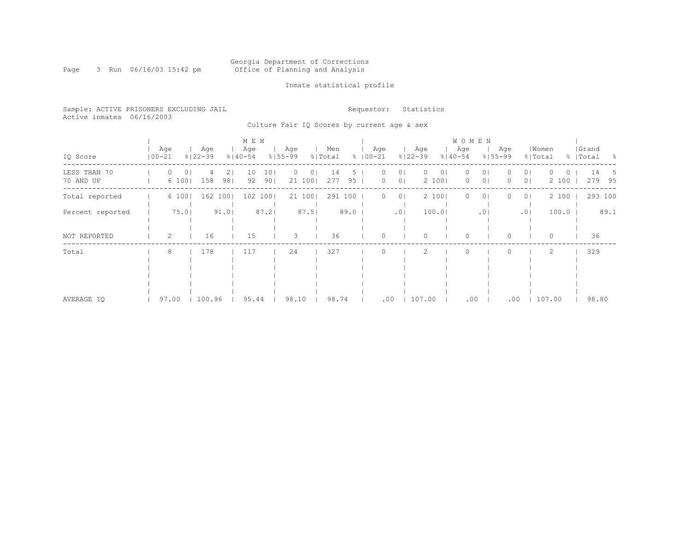#### Georgia Department of Corrections Page 3 Run 06/16/03 15:42 pm Office of Planning and Analysis

### Inmate statistical profile

Sample: ACTIVE PRISONERS EXCLUDING JAIL **Requestor:** Statistics Active inmates 06/16/2003

Culture Fair IQ Scores by current age & sex

|                           |                   |                    | M E N                  |                                 |                 |                                       |                                    | <b>WOMEN</b>                             |                                                 |                           |
|---------------------------|-------------------|--------------------|------------------------|---------------------------------|-----------------|---------------------------------------|------------------------------------|------------------------------------------|-------------------------------------------------|---------------------------|
| IQ Score                  | Age<br>$100 - 21$ | Age<br>$8122 - 39$ | Age<br>$8140 - 54$     | Age<br>$8155 - 99$              | Men<br>% Total  | Age<br>$8   00 - 21$                  | Age<br>$8122 - 39$                 | Age<br>Age<br>$8140 - 54$<br>$8155 - 99$ | Women<br>% Total                                | Grand<br>%   Total<br>- 옹 |
| LESS THAN 70<br>70 AND UP | 0<br>0<br>6 100   | 21<br>158<br>981   | 101<br>10<br>92<br>901 | 0<br>$\left( \right)$<br>21 100 | 14<br>95<br>277 | 0 <sub>1</sub><br>0 <sub>1</sub><br>0 | $\circ$<br>0 <sub>1</sub><br>2 100 | 0<br>01<br>0 <sub>1</sub><br>$\circ$     | 0 <sub>1</sub><br>()<br>0 <sub>1</sub><br>2 100 | 14<br>5<br>279<br>95      |
| Total reported            | 6 100             | 162<br>100         | 102<br>1001            | 21 100                          | 291 100         | 0 <sub>1</sub><br>$\left( \right)$    | 2 100                              | $\Omega$<br>$\Omega$                     | 2 100<br>0 <sub>1</sub>                         | 293 100                   |
| Percent reported          | 75.01             | 91.0               | 87.2                   | 87.51                           | 89.0            | .0 <sub>1</sub>                       | 100.01                             | .01                                      | 100.0<br>.01                                    | 89.1                      |
| NOT REPORTED              | 2                 | 16                 | 15                     | 3                               | 36              | U                                     | $\Omega$                           | $\Omega$<br>$\Omega$                     | 0                                               | 36                        |
| Total                     | 8                 | 178                | 117                    | 24                              | 327             |                                       | 2                                  | 0                                        | 2                                               | 329                       |
| AVERAGE IQ                | 97.00             | 100.96             | 95.44                  | 98.10                           | 98.74           | .00                                   | 107.00                             | $.00 \ \,$                               | 107.00<br>.00                                   | 98.80                     |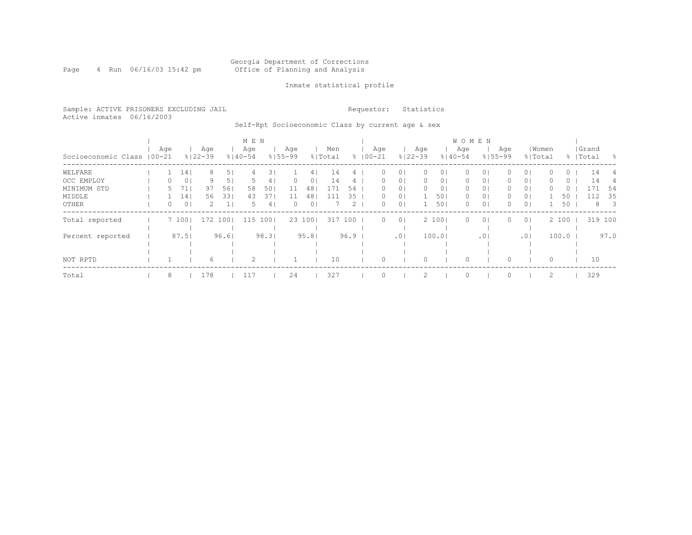#### Georgia Department of Corrections Page 4 Run 06/16/03 15:42 pm Office of Planning and Analysis

### Inmate statistical profile

Sample: ACTIVE PRISONERS EXCLUDING JAIL **Requestor:** Statistics Active inmates 06/16/2003

Self-Rpt Socioeconomic Class by current age & sex

|                             |  |     |                 |                    |                | M E N              |      |                    |                |                |             |                   |                |                    |                | W O M E N          |                |                    |                |       |       |                    |                          |
|-----------------------------|--|-----|-----------------|--------------------|----------------|--------------------|------|--------------------|----------------|----------------|-------------|-------------------|----------------|--------------------|----------------|--------------------|----------------|--------------------|----------------|-------|-------|--------------------|--------------------------|
| Socioeconomic Class   00-21 |  | Age |                 | Age<br>$8122 - 39$ |                | Age<br>$8140 - 54$ |      | Age<br>$8155 - 99$ |                | Men<br>% Total | $\approx$ 1 | Aqe<br>$100 - 21$ |                | Age<br>$8122 - 39$ |                | Age<br>$8140 - 54$ |                | Age<br>$8155 - 99$ | % Total        | Women |       | Grand<br>%   Total | - 양                      |
| WELFARE                     |  |     | 14 <sub>1</sub> |                    | 5 <sub>1</sub> | 4                  |      |                    | 4              | 14             |             | 0                 | $\Omega$       |                    | 01             | n                  | 01             |                    | 0 <sub>1</sub> |       | 0     | 14                 | 4                        |
| OCC EMPLOY                  |  | 0   | 0 <sup>1</sup>  | 9                  | 5 <sub>1</sub> |                    | 4    | 0                  | 0              | 14             |             | 0                 | $\circ$        | 0                  | 0 <sub>1</sub> | 0                  | 0 <sup>1</sup> | 0                  | 0 <sub>1</sub> |       | 0     | 14                 |                          |
| MINIMUM STD                 |  |     | 71              | 97                 | 561            | 58                 | 50   |                    | 48             | 171            | 54          | 0                 | $\circ$        |                    | 0 <sub>1</sub> | 0                  | 0 <sup>1</sup> |                    | 0 <sub>1</sub> |       | 0     |                    | -54                      |
| MIDDLE                      |  |     | 141             | 56                 | 331            | 43                 | 371  | 11                 | 48             | 111            | 35          | 0                 | 0 <sub>1</sub> |                    | 501            | 0                  | 0 <sup>1</sup> | 0                  | 0 <sub>1</sub> |       | 50    | 112                | -35                      |
| OTHER                       |  | 0   | 0 <sup>1</sup>  | 2.                 |                | 5.                 | 4    | 0                  | 0 <sup>1</sup> |                | 2           | 0                 | 0 <sup>1</sup> |                    | 501            | 0                  | 0 <sup>1</sup> | $\Omega$           | 0 <sup>1</sup> |       | 50    | 8                  | $\overline{\phantom{a}}$ |
| Total reported              |  |     | 7 1001          | 172                | 1001           | 115                | 1001 |                    | 23 100         | 317            | 100         | $\Omega$          | 0 <sup>1</sup> |                    | 2 100          | $\Omega$           | 0 <sup>1</sup> | $\Omega$           | 0 <sup>1</sup> |       | 2 100 | 319 100            |                          |
|                             |  |     |                 |                    |                |                    |      |                    |                |                |             |                   |                |                    |                |                    |                |                    |                |       |       |                    |                          |
| Percent reported            |  |     | 87.51           |                    | 96.61          |                    | 98.3 |                    | 95.81          |                | 96.9        |                   | .01            |                    | 100.01         |                    | .01            |                    | .01            |       | 100.0 |                    | 97.0                     |
|                             |  |     |                 |                    |                |                    |      |                    |                |                |             |                   |                |                    |                |                    |                |                    |                |       |       |                    |                          |
|                             |  |     |                 |                    |                |                    |      |                    |                |                |             |                   |                |                    |                |                    |                |                    |                |       |       |                    |                          |
| NOT RPTD                    |  |     |                 | 6.                 |                | $\mathcal{D}$      |      |                    |                | 10             |             |                   |                |                    |                |                    |                |                    |                | 0     |       | 10                 |                          |
| Total                       |  | 8   |                 | 178                |                | 117                |      | 24                 |                | 327            |             |                   |                |                    |                | $\circ$            |                |                    |                |       |       | 329                |                          |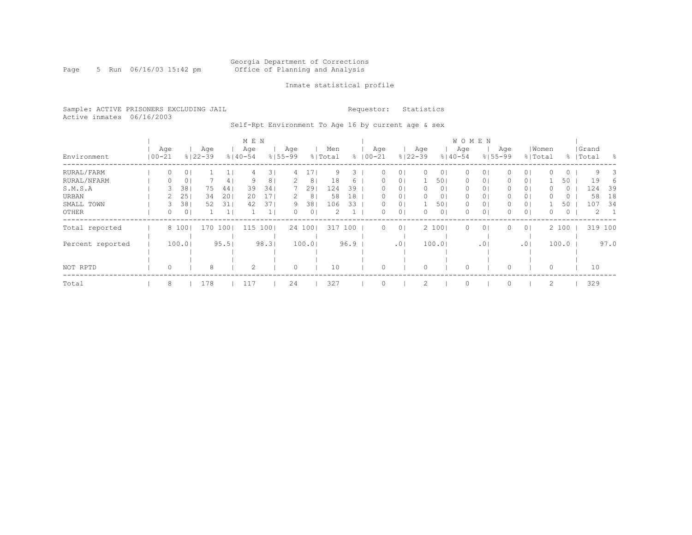#### Georgia Department of Corrections Page 5 Run 06/16/03 15:42 pm Office of Planning and Analysis

### Inmate statistical profile

Sample: ACTIVE PRISONERS EXCLUDING JAIL **Requestor:** Statistics Active inmates 06/16/2003

Self-Rpt Environment To Age 16 by current age & sex

|                  |                   |                |                    |      | M E N              |      |                    |        |                |      |             |          |                |                    |                | <b>WOMEN</b>       |                |                    |                |          |         |                    |      |
|------------------|-------------------|----------------|--------------------|------|--------------------|------|--------------------|--------|----------------|------|-------------|----------|----------------|--------------------|----------------|--------------------|----------------|--------------------|----------------|----------|---------|--------------------|------|
| Environment      | Age<br>$100 - 21$ |                | Age<br>$8122 - 39$ |      | Age<br>$8140 - 54$ |      | Aqe<br>$8155 - 99$ |        | Men<br>% Total |      | $8100 - 21$ | Age      |                | Age<br>$8122 - 39$ |                | Age<br>$8140 - 54$ |                | Age<br>$8155 - 99$ | % Total        | Women    |         | Grand<br>%   Total | - 왕  |
| RURAL/FARM       | U                 | 0              |                    |      | 4                  | 31   | 4                  |        | 9              | 3.   |             |          | 01             |                    | 01             | 0                  | 01             |                    | 0 <sub>1</sub> |          | $\circ$ | 9                  | 3    |
| RURAL/NFARM      | 0                 | 0              |                    | 4    | 9                  | 8    |                    | 8      | 18             | 6    |             | 0        | 0 <sub>1</sub> |                    | 501            | 0                  | 0 <sub>1</sub> | 0                  | 0 <sub>1</sub> |          | 50      | 19                 | 6    |
| S.M.S.A          |                   | 38             | 75                 | 44   | 39                 | 34   |                    | 29     | 124            | 39   |             | 0        | 0 <sub>1</sub> |                    | 0 <sub>1</sub> | 0                  | 0 <sub>1</sub> | 0                  | 0 <sub>1</sub> |          | $\circ$ | 124                | 39   |
| URBAN            |                   | 25             | 34                 | 201  | 20                 | 17   |                    | 8      | 58             | 18   |             | 0        | 0 <sub>1</sub> |                    | 0 <sub>1</sub> | 0                  | 0 <sub>1</sub> |                    | 0 <sup>1</sup> |          | $\cup$  | 58                 | 18   |
| SMALL TOWN       |                   | 381            | 52                 | 31   | 42                 | 37   | 9                  | 38     | 106            | 33   |             | 0        | 0 <sub>1</sub> |                    | 501            | 0                  | 0 <sub>1</sub> | 0                  | 0 <sub>1</sub> |          | 50      | 107                | - 34 |
| OTHER            | 0                 | 0 <sub>1</sub> |                    |      |                    |      | 0                  | 0      |                |      |             | 0        | 0 <sub>1</sub> |                    | 0 <sub>1</sub> | $\Omega$           | 0 <sub>1</sub> |                    | 0 <sub>1</sub> | 0        | $\circ$ | 2                  |      |
| Total reported   |                   | 8 100          | 170                | 1001 | 115                | 1001 |                    | 24 100 | 317            | 100  |             | $\Omega$ | 0 <sup>1</sup> |                    | 2 100          | 0                  | 0 <sub>1</sub> | $\Omega$           | 0 <sup>1</sup> |          | 2 100   | 319 100            |      |
|                  |                   |                |                    |      |                    |      |                    |        |                |      |             |          |                |                    |                |                    |                |                    |                |          |         |                    |      |
| Percent reported |                   | 100.0          |                    | 95.5 |                    | 98.3 |                    | 100.0  |                | 96.9 |             |          | .01            |                    | 100.0          |                    | .01            |                    | .01            |          | 100.0   |                    | 97.0 |
|                  |                   |                |                    |      |                    |      |                    |        |                |      |             |          |                |                    |                |                    |                |                    |                |          |         |                    |      |
|                  |                   |                |                    |      |                    |      |                    |        |                |      |             |          |                |                    |                |                    |                |                    |                |          |         |                    |      |
| NOT RPTD         |                   |                | 8                  |      | $\mathcal{D}$      |      | $\Omega$           |        | 10             |      |             |          |                |                    |                |                    |                |                    |                | $\Omega$ |         | 10                 |      |
| Total            | 8                 |                | 178                |      | 117                |      | 24                 |        | 327            |      |             |          |                |                    |                |                    |                |                    |                | 2        |         | 329                |      |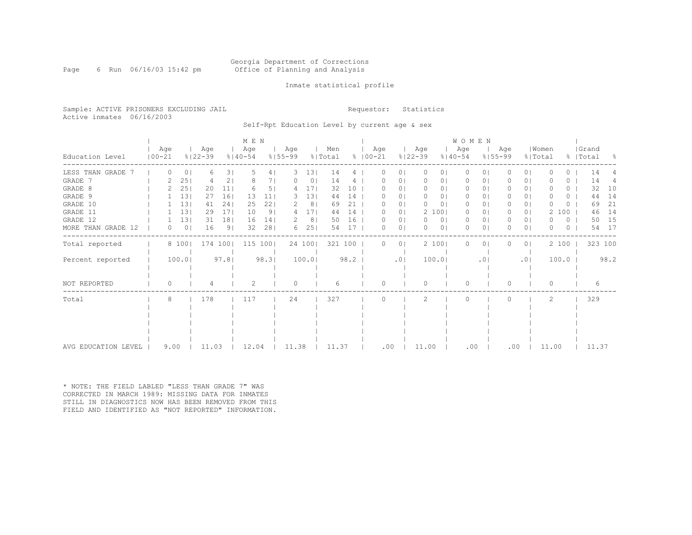Page 6 Run 06/16/03 15:42 pm

### Inmate statistical profile

Sample: ACTIVE PRISONERS EXCLUDING JAIL **Requestor:** Statistics Active inmates 06/16/2003

Self-Rpt Education Level by current age & sex

|                     |                  |                |                    |                 | M E N              |                |                    |        |                |      |                    |                |                    |                | WOMEN              |            |                    |                |                  |       |    |                    |           |
|---------------------|------------------|----------------|--------------------|-----------------|--------------------|----------------|--------------------|--------|----------------|------|--------------------|----------------|--------------------|----------------|--------------------|------------|--------------------|----------------|------------------|-------|----|--------------------|-----------|
| Education Level     | Age<br>$ 00-21 $ |                | Age<br>$8122 - 39$ |                 | Age<br>$8140 - 54$ |                | Aqe<br>$8155 - 99$ |        | Men<br>% Total |      | Age<br>$8100 - 21$ |                | Age<br>$8122 - 39$ |                | Age<br>$8140 - 54$ |            | Aqe<br>$8155 - 99$ |                | Women<br>% Total |       |    | Grand<br>%   Total | $\approx$ |
| LESS THAN GRADE     | $\Omega$         | 0 <sub>1</sub> | 6                  | 31              | .5                 | 4              | 3                  | 131    | 14             | 4    | O                  | 01             | 0                  | 01             | $\circ$            | $\circ$    | 0                  | 01             |                  |       | 0  | 14                 |           |
| GRADE 7             |                  | 25             |                    | 2               |                    |                |                    | 0      | 14             |      |                    | Ü              |                    | 0.             | 0                  | 0          |                    | 01             |                  |       | 0  | 14                 |           |
| GRADE 8             |                  | 25             | 20                 | 11 <sup>1</sup> |                    | 51             |                    | 17     | 32             | 10   |                    | 0 <sub>1</sub> | $\Omega$           | 0 <sub>1</sub> | 0                  | $\Omega$   |                    | 0 <sub>1</sub> |                  |       | 0  | 32                 | 10        |
| GRADE 9             |                  | 131            | 27                 | 161             | 13                 | 11             |                    | 13     | 44             | 14   |                    | 01             | $\Omega$           | 0              | 0                  | 01         |                    | 0 <sub>1</sub> |                  |       | 0  | 44                 | 14        |
| GRADE 10            |                  | 131            | 41                 | 241             | 25                 | 22             | 2                  | 8      | 69             | 21   |                    | 01             | 0                  | 01             | 0                  | $\Omega$   | 0                  | 01             |                  |       | () | 69                 | 21        |
| GRADE 11            |                  | 131            | 29                 | 17 <sub>1</sub> | 10                 | 9 <sub>1</sub> | 4                  | 171    | 44             | 14   |                    | 0 <sub>1</sub> |                    | 2 100          | $\Omega$           | $\circ$    | 0                  | 0 <sub>1</sub> |                  | 100   |    | 46                 | 14        |
| GRADE 12            |                  | 131            | 31                 | 181             | 16                 | 14             |                    | 8      | 50             | 16   |                    | $\circ$        | 0                  | 0 <sub>1</sub> | $\circ$            | 0          |                    | 0 <sub>1</sub> |                  |       | 0  | 50                 | 15        |
| MORE THAN GRADE 12  | $\Omega$         | 0 <sup>1</sup> | 16                 | 9 <sub>1</sub>  | 32                 | 281            | 6.                 | 25     | 54             | 17   |                    | $\circ$        | $\Omega$           | 0 <sub>1</sub> | $\Omega$           | 0          |                    | 0 <sub>1</sub> |                  |       | 0  | 54                 | 17        |
| Total reported      |                  | 8 100          |                    | 174 1001        | 115 100            |                |                    | 24 100 | 321 100        |      | 0                  | 0 <sub>1</sub> |                    | 2 100          | $\Omega$           | $\circ$    |                    | 0 <sub>1</sub> |                  | 2 100 |    |                    | 323 100   |
| Percent reported    |                  | 100.0          |                    | 97.8            |                    | 98.3           |                    | 100.0  |                | 98.2 |                    | .01            |                    | 100.0          |                    | $.0 \cdot$ |                    | .01            |                  | 100.0 |    |                    | 98.2      |
| NOT REPORTED        | $\bigcap$        |                |                    |                 |                    |                | $\Omega$           |        |                |      |                    |                | $\cap$             |                | $\Omega$           |            |                    |                | O                |       |    |                    |           |
| Total               | 8                |                | 178                |                 | 117                |                | 24                 |        | 327            |      |                    |                |                    |                | $\bigcap$          |            |                    |                | 2                |       |    | 329                |           |
|                     |                  |                |                    |                 |                    |                |                    |        |                |      |                    |                |                    |                |                    |            |                    |                |                  |       |    |                    |           |
|                     |                  |                |                    |                 |                    |                |                    |        |                |      |                    |                |                    |                |                    |            |                    |                |                  |       |    |                    |           |
|                     |                  |                |                    |                 |                    |                |                    |        |                |      |                    |                |                    |                |                    |            |                    |                |                  |       |    |                    |           |
|                     |                  |                |                    |                 |                    |                |                    |        |                |      |                    |                |                    |                |                    |            |                    |                |                  |       |    |                    |           |
| AVG EDUCATION LEVEL | 9.00             |                | 11.03              |                 | 12.04              |                | 11.38              |        | 11.37          |      | .00                |                | 11.00              |                | .00                |            |                    | .00            | 11.00            |       |    | 11.37              |           |

\* NOTE: THE FIELD LABLED "LESS THAN GRADE 7" WAS CORRECTED IN MARCH 1989: MISSING DATA FOR INMATES STILL IN DIAGNOSTICS NOW HAS BEEN REMOVED FROM THIS FIELD AND IDENTIFIED AS "NOT REPORTED" INFORMATION.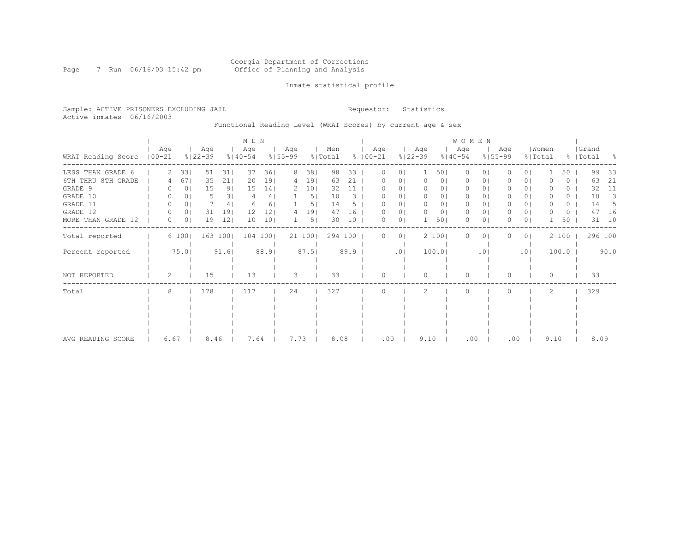#### Georgia Department of Corrections Page 7 Run 06/16/03 15:42 pm Office of Planning and Analysis

### Inmate statistical profile

Sample: ACTIVE PRISONERS EXCLUDING JAIL **Requestor:** Statistics Active inmates 06/16/2003

Functional Reading Level (WRAT Scores) by current age & sex

|                    |                   |                |                    |                | M E N              |                 |                    |                 |                |      |                      |                |                    |                | WOMEN              |                 |                    |                |                  |                  |                    |      |
|--------------------|-------------------|----------------|--------------------|----------------|--------------------|-----------------|--------------------|-----------------|----------------|------|----------------------|----------------|--------------------|----------------|--------------------|-----------------|--------------------|----------------|------------------|------------------|--------------------|------|
| WRAT Reading Score | Age<br>$100 - 21$ |                | Age<br>$8122 - 39$ |                | Age<br>$8140 - 54$ |                 | Age<br>$8155 - 99$ |                 | Men<br>% Total |      | Age<br>$8   00 - 21$ |                | Age<br>$8122 - 39$ |                | Age<br>$8140 - 54$ |                 | Aqe<br>$8155 - 99$ |                | Women<br>% Total |                  | Grand<br>%   Total | - 양  |
| LESS THAN GRADE 6  |                   | 33             | 51                 | 311            | 37                 | 361             | 8                  | 38              | 98             | 33   |                      | $\circ$        |                    | 501            | $\Omega$           | $\Omega$        |                    | 0 <sub>1</sub> |                  | 50               | 99                 | 33   |
| 6TH THRU 8TH GRADE |                   | 671            | 35                 | 211            | 20                 | 191             | 4                  | 19              | 63             | 21   |                      | 01             | 0                  | 0 <sub>1</sub> | 0                  | 01              |                    | 0 <sub>1</sub> |                  | 0                | 63                 | 21   |
| GRADE 9            |                   | 01             | 15                 | 9 <sub>1</sub> | 15                 | 14              |                    | 10 <sub>1</sub> | 32             | 11   |                      | 01             |                    | 0              | 0                  | 01              |                    | 0 <sub>1</sub> |                  | $\left( \right)$ | 32                 | 11   |
| GRADE 10           | 0                 | 0              | 5                  | 31             |                    | 4               |                    | 5               | 10             | 3    |                      | 01             |                    | 0              | 0                  | 0               |                    | 01             |                  | O                | 10                 | 3    |
| GRADE 11           | 0                 | 0              |                    | 4              |                    | 6               |                    | 5.              | 14             |      |                      | 01             |                    | 0              | $\circ$            | 0               |                    | 0 <sub>1</sub> |                  | 0                | 14                 | 5    |
| GRADE 12           | 0                 | $\circ$        | 31                 | 19             | 12                 | 12 <sub>2</sub> |                    | 19              | 47             | 16   |                      | 0              |                    | 0 <sub>1</sub> | 0                  | 01              | 0                  | 0 <sub>1</sub> |                  | 0                | 47                 | 16   |
| MORE THAN GRADE 12 | 0                 | 0 <sub>1</sub> | 19                 | 12             | 10                 | 101             |                    | 5 <sub>1</sub>  | 30             | 10   | O                    | 0 <sub>1</sub> |                    | 501            | $\Omega$           | 0               | 0                  | 0 <sub>1</sub> |                  | 50               | 31                 | 10   |
| Total reported     |                   | 6 100          |                    | 163 100        |                    | 104 100         |                    | 21 100          | 294 100        |      | 0                    | 0 <sub>1</sub> |                    | 2 100          | $\Omega$           | $\circ$         |                    | 0 <sub>1</sub> |                  | 2 100            | 296 100            |      |
| Percent reported   |                   | 75.0           |                    | 91.6           |                    | 88.9            |                    | 87.5            |                | 89.9 |                      | .01            |                    | 100.01         |                    | .0 <sub>1</sub> |                    | .01            |                  | 100.0            |                    | 90.0 |
| NOT REPORTED       | 2                 |                | 15                 |                | 13                 |                 | 3                  |                 | 33             |      | $\Omega$             |                | $\Omega$           |                | $\Omega$           |                 | $\Omega$           |                | $\Omega$         |                  | 33                 |      |
| Total              | 8                 |                | 178                |                | 117                |                 | 24                 |                 | 327            |      |                      |                | 2                  |                | $\Omega$           |                 |                    |                | 2                |                  | 329                |      |
|                    |                   |                |                    |                |                    |                 |                    |                 |                |      |                      |                |                    |                |                    |                 |                    |                |                  |                  |                    |      |
|                    |                   |                |                    |                |                    |                 |                    |                 |                |      |                      |                |                    |                |                    |                 |                    |                |                  |                  |                    |      |
|                    |                   |                |                    |                |                    |                 |                    |                 |                |      |                      |                |                    |                |                    |                 |                    |                |                  |                  |                    |      |
|                    |                   |                |                    |                |                    |                 |                    |                 |                |      |                      |                |                    |                |                    |                 |                    |                |                  |                  |                    |      |
| AVG READING SCORE  | 6.67              |                | 8.46               |                | 7.64               |                 | 7.73               |                 | 8.08           |      | .00                  |                | 9.10               |                | .00                |                 | .00                |                | 9.10             |                  | 8.09               |      |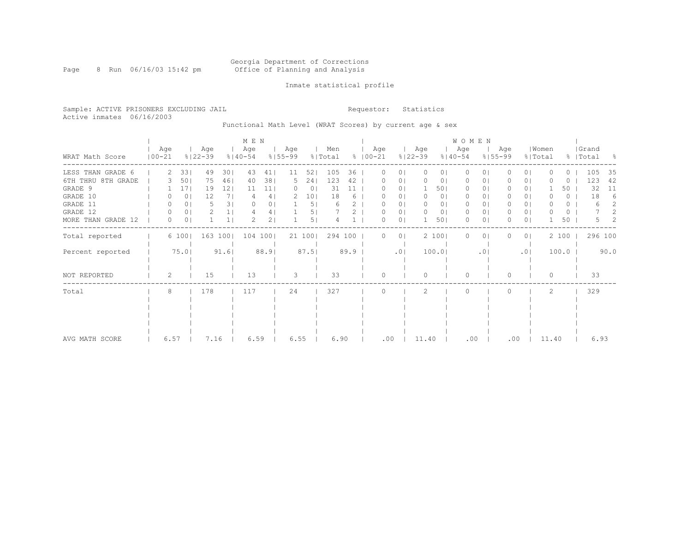Page 8 Run 06/16/03 15:42 pm

### Inmate statistical profile

Sample: ACTIVE PRISONERS EXCLUDING JAIL **Requestor:** Statistics Active inmates 06/16/2003

Functional Math Level (WRAT Scores) by current age & sex

|                    |                   |                |                    |                | M E N              |                |                    |                 |                |      |                      |                |                    |                | <b>WOMEN</b>       |                |                    |                |                  |       |                    |      |
|--------------------|-------------------|----------------|--------------------|----------------|--------------------|----------------|--------------------|-----------------|----------------|------|----------------------|----------------|--------------------|----------------|--------------------|----------------|--------------------|----------------|------------------|-------|--------------------|------|
| WRAT Math Score    | Age<br>$100 - 21$ |                | Age<br>$8122 - 39$ |                | Age<br>$8140 - 54$ |                | Age<br>$8155 - 99$ |                 | Men<br>% Total |      | Age<br>$8   00 - 21$ |                | Age<br>$8122 - 39$ |                | Age<br>$8140 - 54$ |                | Aqe<br>$8155 - 99$ |                | Women<br>% Total |       | Grand<br>%   Total | - 옹  |
| LESS THAN GRADE 6  | 2                 | 33             | 49                 | 301            | 43                 | 41             | 11                 | 521             | 105            | 36   |                      | 0 <sup>1</sup> | 0                  | 0 <sub>1</sub> | $\Omega$           | $\Omega$       |                    | 0 <sub>1</sub> |                  | 0     | 105                | 35   |
| 6TH THRU 8TH GRADE |                   | 50             | 75                 | 461            | 40                 | 381            | 5                  | 241             | 123            | 42   |                      | 01             |                    | 0              |                    | 01             |                    | 0 <sub>1</sub> |                  | 0     | 123                | 42   |
| GRADE 9            |                   | 171            | 19                 | 12             | 11                 | 11             |                    | 0 <sup>1</sup>  | 31             | 11   |                      | 01             |                    | 501            | 0                  | 01             |                    | 01             |                  | 50    | 32                 | 11   |
| GRADE 10           | $\left( \right)$  | 0              | 12                 | 7 <sub>1</sub> |                    | 4              |                    | 10 <sub>1</sub> | 18             | 6    |                      | 01             |                    | 0 <sub>1</sub> | $\Omega$           | ΟI             |                    | 0 <sub>1</sub> |                  | 0     | 18                 | 6    |
| GRADE 11           | 0                 | 0              | 5                  | 3              |                    | 0 <sub>1</sub> |                    | 5 <sub>1</sub>  | 6              |      |                      | 0 <sub>1</sub> |                    | 01             | $\Omega$           | 01             |                    | 0 <sub>1</sub> |                  | 0     | 6                  | 2    |
| GRADE 12           | 0                 | 0 <sub>1</sub> | 2                  | 1 <sub>1</sub> | 4                  | 4              |                    | 5               |                |      |                      | 0 <sub>1</sub> |                    | 0 <sub>1</sub> | $\Omega$           | 0 <sub>1</sub> |                    | 0 <sub>1</sub> |                  | 0     |                    |      |
| MORE THAN GRADE 12 | 0                 | 0              |                    | 1 <sup>1</sup> |                    | 2 <sub>1</sub> |                    | 5               |                |      | U                    | 0 <sub>1</sub> |                    | 501            | $\Omega$           | $\circ$        |                    | 0 <sub>1</sub> |                  | 50    | 5.                 | 2    |
| Total reported     |                   | 6 100          |                    | 163 100        | 104 100            |                |                    | 21 100          | 294 100        |      |                      | 0 <sub>1</sub> |                    | 2 100          | $\Omega$           | 01             |                    | 0 <sub>1</sub> |                  | 2 100 | 296 100            |      |
| Percent reported   |                   | 75.0           |                    | 91.6           |                    | 88.9           |                    | 87.51           |                | 89.9 |                      | .01            |                    | 100.01         |                    | .01            |                    | .01            |                  | 100.0 |                    | 90.0 |
| NOT REPORTED       | 2                 |                | 15                 |                | 13                 |                | 3                  |                 | 33             |      | U                    |                | n                  |                | $\Omega$           |                | $\Omega$           |                | $\Omega$         |       | 33                 |      |
| Total              | 8                 |                | 178                |                | 117                |                | 24                 |                 | 327            |      |                      |                | 2                  |                | $\Omega$           |                |                    |                | 2                |       | 329                |      |
|                    |                   |                |                    |                |                    |                |                    |                 |                |      |                      |                |                    |                |                    |                |                    |                |                  |       |                    |      |
|                    |                   |                |                    |                |                    |                |                    |                 |                |      |                      |                |                    |                |                    |                |                    |                |                  |       |                    |      |
|                    |                   |                |                    |                |                    |                |                    |                 |                |      |                      |                |                    |                |                    |                |                    |                |                  |       |                    |      |
| AVG MATH SCORE     | 6.57              |                | 7.16               |                | 6.59               |                | 6.55               |                 | 6.90           |      | .00                  |                | 11.40              |                | .00                |                | .00                |                | 11.40            |       | 6.93               |      |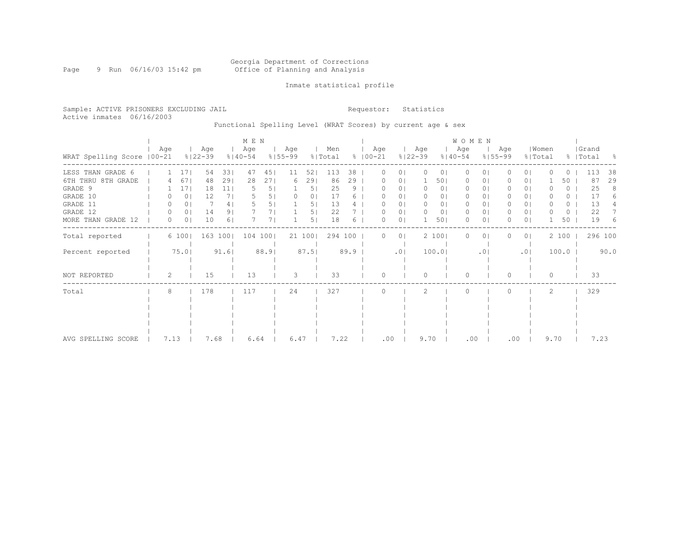Page 9 Run 06/16/03 15:42 pm

### Inmate statistical profile

Sample: ACTIVE PRISONERS EXCLUDING JAIL **Requestor:** Statistics Active inmates 06/16/2003

## Functional Spelling Level (WRAT Scores) by current age & sex

|                             |      |                |                    |                | M E N              |      |                    |        |                |      |                    |                |                    |                | <b>WOMEN</b>       |                 |                    |                |                  |       |                    |      |
|-----------------------------|------|----------------|--------------------|----------------|--------------------|------|--------------------|--------|----------------|------|--------------------|----------------|--------------------|----------------|--------------------|-----------------|--------------------|----------------|------------------|-------|--------------------|------|
| WRAT Spelling Score   00-21 | Age  |                | Age<br>$8122 - 39$ |                | Age<br>$8140 - 54$ |      | Age<br>$8155 - 99$ |        | Men<br>% Total |      | Age<br>$8$   00-21 |                | Age<br>$8122 - 39$ |                | Age<br>$8140 - 54$ |                 | Age<br>$8155 - 99$ |                | Women<br>% Total |       | Grand<br>%   Total | - 8  |
| LESS THAN GRADE 6           |      | 17             | 54                 | 331            | 47                 | 451  | 11                 | 52     | 113            | 38   |                    | $\circ$        | $\Omega$           | 0 <sub>1</sub> | $\Omega$           | $\Omega$        |                    | $\Omega$       |                  | 0     | 113                | 38   |
| 6TH THRU 8TH GRADE          |      | 67             | 48                 | 291            | 28                 | 271  | 6                  | 29     | 86             | 29   |                    | 0              |                    | 501            | 0                  | 0               |                    | 0 <sub>1</sub> |                  | 50    | 87                 | 29   |
| GRADE 9                     |      | 17             | 18                 | 11             |                    | 5    |                    | 5      | 25             | 9    |                    | 01             |                    | 0 <sub>1</sub> | 0                  | 01              |                    | 0 <sub>1</sub> |                  | 0     | 25                 | 8    |
| GRADE 10                    |      | $\circ$        | 12                 | 71             |                    | 51   |                    | 0      | 17             |      |                    | 01             |                    | 0              | 0                  | 0               |                    | 01             |                  | O     | 17                 |      |
| GRADE 11                    |      | 0 <sub>1</sub> |                    | 4              |                    |      |                    | 5.     | 13             |      |                    | 01             |                    | 0              | 0                  | 0               |                    | 0 <sub>1</sub> |                  | 0     | 13                 |      |
| GRADE 12                    | 0    | 0 <sub>1</sub> | 14                 | 91             |                    |      |                    | 5      | 22             |      |                    | 0              | 0                  | 0 <sub>1</sub> | 0                  | 01              | 0                  | 0 <sub>1</sub> |                  | 0     | 22                 |      |
| MORE THAN GRADE 12          | 0    | 0 <sub>1</sub> | 10                 | 6 <sub>1</sub> |                    |      |                    | 5      | 18             | 6    | O                  | 0 <sub>1</sub> |                    | 501            | 0                  | $\circ$         | O                  | 0 <sub>1</sub> |                  | 50    | 19                 | 6    |
| Total reported              |      | 6 100          |                    | 163 100        | 104                | 1001 |                    | 21 100 | 294 100        |      | $^{(1)}$           | 0 <sub>1</sub> |                    | 2 100          | 0                  | $\circ$         |                    | 0 <sub>1</sub> |                  | 2 100 | 296 100            |      |
| Percent reported            |      | 75.0           |                    | 91.6           |                    | 88.9 |                    | 87.5   |                | 89.9 |                    | .01            |                    | 100.01         |                    | .0 <sub>1</sub> |                    | .01            |                  | 100.0 |                    | 90.0 |
| NOT REPORTED                | 2    |                | 15                 |                | 13                 |      | 3                  |        | 33             |      | $\Omega$           |                | $\Omega$           |                | $\Omega$           |                 | $\Omega$           |                | $\Omega$         |       | 33                 |      |
| Total                       | 8    |                | 178                |                | 117                |      | 24                 |        | 327            |      |                    |                | 2                  |                | $\Omega$           |                 |                    |                | 2                |       | 329                |      |
|                             |      |                |                    |                |                    |      |                    |        |                |      |                    |                |                    |                |                    |                 |                    |                |                  |       |                    |      |
|                             |      |                |                    |                |                    |      |                    |        |                |      |                    |                |                    |                |                    |                 |                    |                |                  |       |                    |      |
|                             |      |                |                    |                |                    |      |                    |        |                |      |                    |                |                    |                |                    |                 |                    |                |                  |       |                    |      |
|                             |      |                |                    |                |                    |      |                    |        |                |      |                    |                |                    |                |                    |                 |                    |                |                  |       |                    |      |
| AVG SPELLING SCORE          | 7.13 |                | 7.68               |                | 6.64               |      | 6.47               |        | 7.22           |      | .00                |                | 9.70               |                | .00                |                 | .00                |                |                  | 9.70  | 7.23               |      |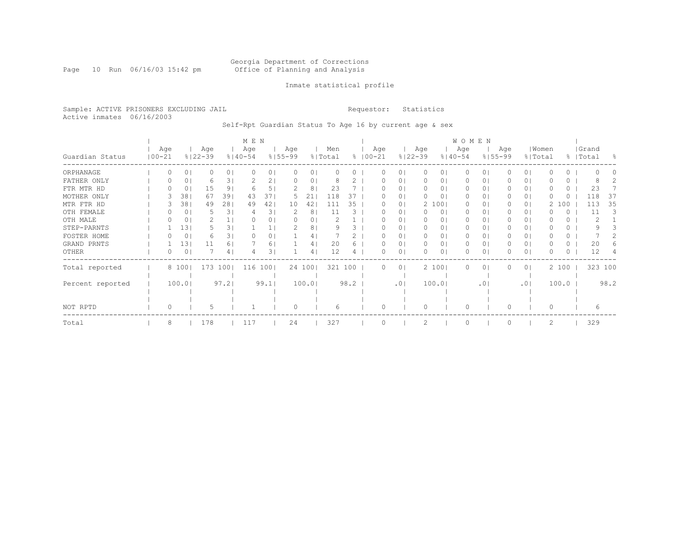#### Georgia Department of Corrections Page 10 Run 06/16/03 15:42 pm Office of Planning and Analysis

### Inmate statistical profile

Sample: ACTIVE PRISONERS EXCLUDING JAIL **Requestor:** Statistics Active inmates 06/16/2003

Self-Rpt Guardian Status To Age 16 by current age & sex

|                  |                   |       |    |                    |                | M E N              |      |                    |        |                |      |                      |        |                |                    |       | <b>WOMEN</b>       |           |                    |                |          |          |                    |      |
|------------------|-------------------|-------|----|--------------------|----------------|--------------------|------|--------------------|--------|----------------|------|----------------------|--------|----------------|--------------------|-------|--------------------|-----------|--------------------|----------------|----------|----------|--------------------|------|
| Guardian Status  | Age<br>$100 - 21$ |       |    | Age<br>$8122 - 39$ |                | Age<br>$8140 - 54$ |      | Age<br>$8155 - 99$ |        | Men<br>% Total |      | Age<br>$8   00 - 21$ |        |                | Age<br>$8122 - 39$ |       | Age<br>$8140 - 54$ |           | Age<br>$8155 - 99$ | % Total        | Women    |          | Grand<br>%   Total | - 옹  |
| ORPHANAGE        |                   |       | 0  |                    | 0 <sub>1</sub> |                    | 01   |                    | 0      |                |      |                      |        | 01             |                    | 01    | $\Omega$           | 0         |                    | 0 <sub>1</sub> |          | 0        |                    |      |
| FATHER ONLY      | O                 |       | 0  | 6                  | 31             |                    | 2    |                    | 0      |                |      |                      |        | 0              | $\Omega$           | 01    | 0                  | 0         |                    | 0 <sub>1</sub> |          | 0        |                    |      |
| FTR MTR HD       |                   |       | 0  | 15                 | 9              |                    |      |                    | 8      | 23             |      |                      |        | $\Omega$       | $\Omega$           | 01    | $\Omega$           | 0         |                    | 0 <sub>1</sub> |          | 0        | 23                 |      |
| MOTHER ONLY      |                   |       | 38 | 67                 | 391            | 43                 | 37   | 5                  | 21     | 118            | 37   |                      |        | $\circ$        | 0                  | 01    | 0                  | 0         |                    | 0 <sub>1</sub> |          | 0        | 118                | 37   |
| MTR FTR HD       |                   |       | 38 | 49                 | 281            | 49                 | 42   | 10                 | 42     | 111            | 35   |                      |        | $\circ$        |                    | 2 100 | 0                  | 0         |                    | 0 <sub>1</sub> | 2        | 100      | 113                | 35   |
| OTH FEMALE       |                   |       | 0  | 5                  | 31             | 4                  | 3.   |                    | 8      | 11             | З    |                      |        | $\circ$        |                    | 0     | 0                  | 0         |                    | 01             |          | 0        | 11                 | 3    |
| OTH MALE         |                   |       | 0  |                    |                |                    | 0    |                    | 0      |                |      |                      |        | $\circ$        | $\Omega$           | 0     | 0                  | 0         |                    | $\circ$        |          | $\Omega$ |                    |      |
| STEP-PARNTS      |                   |       | 13 |                    | 3.             |                    |      |                    | 8      |                |      |                      |        | 0              |                    | 0     | 0                  | 0         |                    | 01             |          | 0.       |                    |      |
| FOSTER HOME      |                   |       | 0  | 6                  | 31             |                    | 0    |                    | 4      |                |      |                      |        | 0              | 0                  | 0     | 0                  | 0         |                    | 0 <sub>1</sub> |          | 0        |                    |      |
| GRAND PRNTS      |                   |       | 13 | 11                 | 6              |                    | 6.   |                    | 4      | 20             | 6    |                      |        | 0              | 0                  | 0     | 0                  | 0         |                    | 0 <sub>1</sub> |          | 0        | 20                 |      |
| OTHER            | 0                 |       | 0  |                    | 4              |                    | 3    |                    | 4      | 12             | 4    |                      |        | $\circ$        |                    | 01    | 0                  | 0         |                    | 0 <sub>1</sub> |          | 0        | 12                 |      |
| Total reported   |                   | 8 100 |    | 173                | 1001           | 116                | 1001 |                    | 24 100 | 321 100        |      |                      |        | 0 <sup>1</sup> |                    | 2 100 | $\Omega$           | 0         |                    | 0 <sub>1</sub> |          | 2 100    | 323 100            |      |
|                  |                   |       |    |                    |                |                    |      |                    |        |                |      |                      |        |                |                    |       |                    |           |                    |                |          |          |                    |      |
| Percent reported |                   | 100.0 |    |                    | 97.2           |                    | 99.1 |                    | 100.0  |                | 98.2 |                      |        | .01            |                    | 100.0 |                    | $\cdot$ 0 |                    | .01            |          | 100.0    |                    | 98.2 |
|                  |                   |       |    |                    |                |                    |      |                    |        |                |      |                      |        |                |                    |       |                    |           |                    |                |          |          |                    |      |
|                  |                   |       |    |                    |                |                    |      |                    |        |                |      |                      |        |                |                    |       |                    |           |                    |                |          |          |                    |      |
| NOT RPTD         | $\Omega$          |       |    | 5                  |                |                    |      | $\Omega$           |        | 6              |      |                      | $\cap$ |                | $\Omega$           |       | $\Omega$           |           | $\Omega$           |                | $\Omega$ |          | 6                  |      |
| Total            | 8                 |       |    | 178                |                | 117                |      | 24                 |        | 327            |      |                      |        |                |                    |       | $\Omega$           |           |                    |                | 2        |          | 329                |      |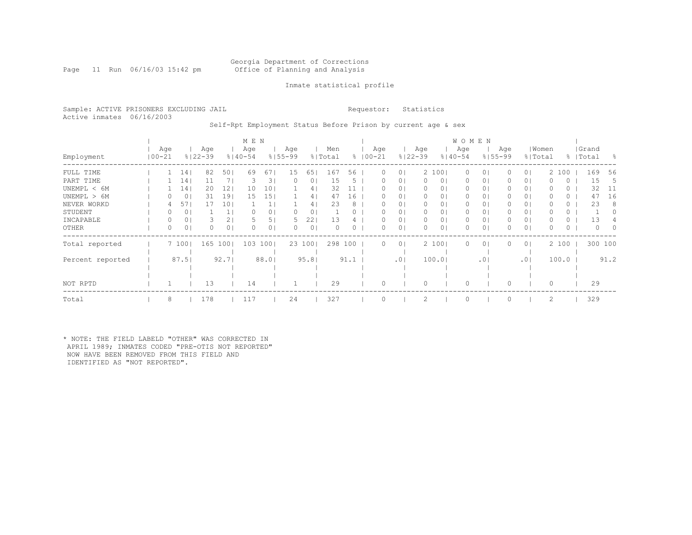Page 11 Run 06/16/03 15:42 pm

### Inmate statistical profile

Sample: ACTIVE PRISONERS EXCLUDING JAIL **Requestor:** Statistics Active inmates 06/16/2003

Self-Rpt Employment Status Before Prison by current age & sex

|                  |                   |                 |                    |                | M E N              |         |                    |                |                |      |                    |                |                    |         | <b>WOMEN</b>       |                 |     |                |       |         |                    |          |                  |
|------------------|-------------------|-----------------|--------------------|----------------|--------------------|---------|--------------------|----------------|----------------|------|--------------------|----------------|--------------------|---------|--------------------|-----------------|-----|----------------|-------|---------|--------------------|----------|------------------|
| Employment       | Age<br>$100 - 21$ |                 | Age<br>$8122 - 39$ |                | Age<br>$8140 - 54$ |         | Age<br>$8155 - 99$ |                | Men<br>% Total |      | Age<br>$8100 - 21$ |                | Age<br>$8122 - 39$ |         | Age<br>$8140 - 54$ | $8155 - 99$     | Age | % Total        | Women |         | Grand<br>%   Total |          | - 왕              |
| FULL TIME        |                   | 14 <sub>1</sub> | 82                 | 50             | 69                 | 67      | 15                 | 65             | 167            | 56   | 0                  | $\circ$        |                    | 2 100   | $\circ$            | 01              |     | 0 <sup>1</sup> | 2     | 100     |                    | 169      | 56               |
| PART TIME        |                   | 14 <sub>1</sub> | 11                 | 7 I            | 3                  | 3       |                    | 0 <sub>1</sub> | 15             | 5.   |                    | $\circ$        | 0                  | $\circ$ | $\circ$            | 01              |     | 0 <sup>1</sup> |       | $\circ$ |                    | 15       | -5               |
| UNEMPL < 6M      |                   | 141             | 20                 | $12 \,$        | 10                 | 10      |                    | 4              | 32             |      |                    | $\circ$        |                    | $\circ$ | 0                  | 0               |     | 0 <sub>1</sub> |       | O.      |                    | 32       | -11              |
| UNEMPL > 6M      |                   | 0               | 31                 | 191            | 15                 | 15      |                    | 4              | 47             | 16   |                    | $\circ$        | $\Omega$           | $\circ$ | $\Omega$           | 0               |     | 0 <sub>1</sub> |       | $\circ$ |                    | 47       | 16               |
| NEVER WORKD      |                   | 57              | 17                 | 10             |                    |         |                    | 4 <sup>1</sup> | 23             | 8    |                    | 0 <sup>1</sup> | 0                  |         | 0                  | 0               |     | 0 <sub>1</sub> |       | 0       |                    | 23       | 8                |
| STUDENT          |                   | 0               |                    |                | 0                  | $\circ$ |                    | 0 <sub>1</sub> |                |      |                    | 0 <sup>1</sup> | 0                  | 01      | $\mathbf{0}$       | 01              |     | 0 <sup>1</sup> |       | 0       |                    |          | 0                |
| INCAPABLE        | 0                 | 0               |                    | 2              |                    |         | $\mathcal{D}$      | 22             | 13             |      |                    | $\circ$        | 0                  | 0       | 0                  | 0               |     | 0 <sub>1</sub> |       | O.      |                    | 13       |                  |
| OTHER            | 0                 | 0 <sup>1</sup>  |                    | 0 <sub>1</sub> | 0                  | 0       | $\left( \right)$   | 0 <sub>1</sub> |                | 0.   |                    | 0 <sub>1</sub> | $\Omega$           | 0       | 0                  | 0               |     | 0 <sub>1</sub> | 0     | 0       |                    | $\Omega$ | $\left( \right)$ |
| Total reported   |                   | 7 1001          | 165                | 1001           | 103                | 1001    |                    | 23 1001        | 298            | 100  | 0                  | 0 <sub>1</sub> |                    | 2 100   | $\Omega$           | 0 <sup>1</sup>  |     | 0 <sub>1</sub> |       | 2 100   |                    | 300 100  |                  |
|                  |                   |                 |                    |                |                    |         |                    |                |                |      |                    |                |                    |         |                    |                 |     |                |       |         |                    |          |                  |
| Percent reported |                   | 87.5            |                    | 92.7           |                    | 88.0    |                    | 95.8           |                | 91.1 |                    | .01            |                    | 100.0   |                    | .0 <sub>1</sub> |     | .01            |       | 100.0   |                    |          | 91.2             |
|                  |                   |                 |                    |                |                    |         |                    |                |                |      |                    |                |                    |         |                    |                 |     |                |       |         |                    |          |                  |
|                  |                   |                 |                    |                |                    |         |                    |                |                |      |                    |                |                    |         |                    |                 |     |                |       |         |                    |          |                  |
| NOT RPTD         |                   |                 | 13                 |                | 14                 |         |                    |                | 29             |      |                    |                | 0                  |         | 0                  |                 |     |                | 0     |         |                    | 29       |                  |
| Total            | 8                 |                 | 178                |                | 117                |         | 24                 |                | 327            |      |                    |                | 2                  |         | $\Omega$           |                 |     |                | 2     |         |                    | 329      |                  |

\* NOTE: THE FIELD LABELD "OTHER" WAS CORRECTED IN APRIL 1989; INMATES CODED "PRE-OTIS NOT REPORTED" NOW HAVE BEEN REMOVED FROM THIS FIELD AND IDENTIFIED AS "NOT REPORTED".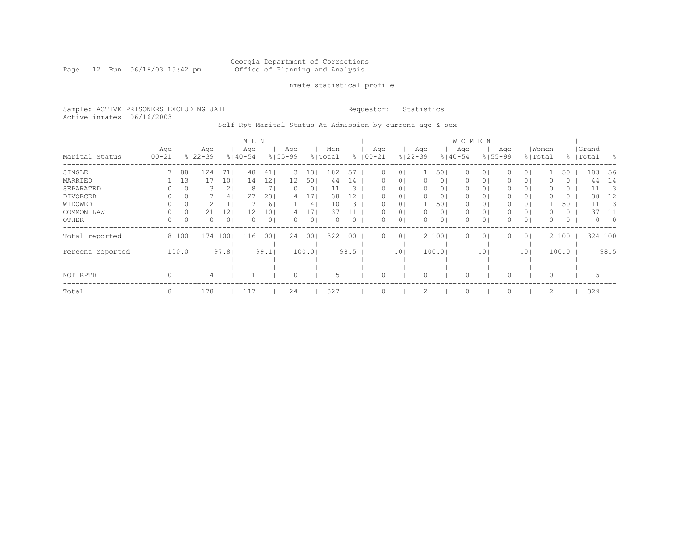Page 12 Run 06/16/03 15:42 pm

### Inmate statistical profile

Sample: ACTIVE PRISONERS EXCLUDING JAIL **Requestor:** Statistics Active inmates 06/16/2003

Self-Rpt Marital Status At Admission by current age & sex

|                  |                   |       |                    |         | M E N              |                |                    |                 |                |      |                    |                |                    |                | <b>WOMEN</b>       |                 |                    |                |       |          |                    |                         |
|------------------|-------------------|-------|--------------------|---------|--------------------|----------------|--------------------|-----------------|----------------|------|--------------------|----------------|--------------------|----------------|--------------------|-----------------|--------------------|----------------|-------|----------|--------------------|-------------------------|
| Marital Status   | Age<br>$100 - 21$ |       | Age<br>$8122 - 39$ |         | Age<br>$8140 - 54$ |                | Age<br>$8155 - 99$ |                 | Men<br>% Total |      | Age<br>$8100 - 21$ |                | Age<br>$8122 - 39$ |                | Age<br>$8140 - 54$ |                 | Age<br>$8155 - 99$ | % Total        | Women |          | Grand<br>%   Total | - 왕                     |
| SINGLE           |                   | 88    | 124                | 71      | 48                 | 41             | 3.                 | 131             | 182            | 57   |                    | 01             |                    | 501            | 0                  | 0               |                    | 01             |       | 50       | 183                | 56                      |
| MARRIED          |                   | 13    | 17                 | 10      | 14                 | 121            | 12                 | 501             | 44             | 14   |                    | 0 <sup>1</sup> |                    | 01             | 0                  | $\circ$         |                    | 0 <sub>1</sub> |       | 0        | 44                 | 14                      |
| SEPARATED        | 0                 | 0     | 3.                 | 2       | 8                  |                | $\Omega$           | 0 <sup>1</sup>  | 11             | 3    | n                  | 0 <sub>1</sub> | 0                  | 01             | 0                  | $\circ$         |                    | 0 <sub>1</sub> | 0     | $\circ$  | 11                 | $\overline{\mathbf{3}}$ |
| DIVORCED         | 0                 | 0     |                    | 4       | 27                 | 231            | 4                  | 17 <sub>l</sub> | 38             | 12   | 0.                 | 0 <sub>1</sub> | $\Omega$           | 0 <sub>1</sub> | 0                  | 0 <sub>1</sub>  | 0                  | 0 <sub>1</sub> | 0     | $\circ$  | 38                 | 12                      |
| WIDOWED          | 0                 | 0     |                    | Ψ.      |                    | 61             |                    | 4 <sup>1</sup>  | 10             | 3    |                    | 0 <sub>1</sub> |                    | 501            | 0                  | 01              |                    | 0 <sub>1</sub> |       | 50       | 11                 | - 3                     |
| COMMON LAW       | 0                 | 0     | 21                 | 12      | 12                 | 10             |                    |                 | 37             |      |                    | 0 <sub>1</sub> |                    | 0 <sub>1</sub> | 0                  | 0               |                    | 0 <sub>1</sub> |       | 0        | 37                 | -11                     |
| OTHER            | 0                 | 0     | 0                  | $\circ$ | $\Omega$           | 0 <sub>1</sub> | 0                  | $\circ$         |                | 0    | U                  | 0 <sub>1</sub> | $\Omega$           | 01             | 0                  | $\circ$         |                    | 0 <sup>1</sup> | 0     | $\Omega$ | $\Omega$           | $\circ$                 |
| Total reported   |                   | 8 100 | 174                | 1001    | 116                | 1001           |                    | 24 1001         | 322            | 100  | $\Omega$           | 0 <sup>1</sup> |                    | 2 100          | $\Omega$           | $\circ$         |                    | 0 <sup>1</sup> |       | 2 100    | 324 100            |                         |
| Percent reported |                   | 100.0 |                    | 97.81   |                    | 99.1           |                    | 100.0           |                | 98.5 |                    | .01            |                    | 100.01         |                    | .0 <sub>1</sub> |                    | .01            |       | 100.0    |                    | 98.5                    |
|                  |                   |       |                    |         |                    |                |                    |                 |                |      |                    |                |                    |                |                    |                 |                    |                |       |          |                    |                         |
| NOT RPTD         | 0                 |       |                    |         |                    |                |                    |                 |                |      |                    |                |                    |                |                    |                 |                    |                |       |          |                    |                         |
| Total            | 8                 |       | 178                |         | 117                |                | 24                 |                 | 327            |      |                    |                | 2                  |                | $\Omega$           |                 |                    |                | 2     |          | 329                |                         |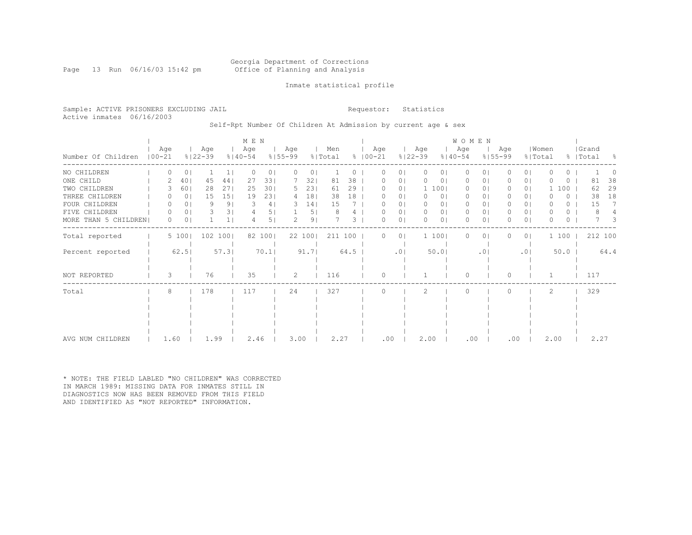### Georgia Department of Corrections Page 13 Run 06/16/03 15:42 pm Office of Planning and Analysis

### Inmate statistical profile

Sample: ACTIVE PRISONERS EXCLUDING JAIL **Requestor:** Statistics Active inmates 06/16/2003

Self-Rpt Number Of Children At Admission by current age & sex

|                      |            |          |                |                    |                | M E N              |          |                    |                |                |      |                      |                |                    |                | <b>WOMEN</b>       |                 |                    |                |                  |       |          |                    |                |
|----------------------|------------|----------|----------------|--------------------|----------------|--------------------|----------|--------------------|----------------|----------------|------|----------------------|----------------|--------------------|----------------|--------------------|-----------------|--------------------|----------------|------------------|-------|----------|--------------------|----------------|
| Number Of Children   | $100 - 21$ | Age      |                | Age<br>$8122 - 39$ |                | Age<br>$8140 - 54$ |          | Age<br>$8155 - 99$ |                | Men<br>% Total |      | Age<br>$8   00 - 21$ |                | Age<br>$8122 - 39$ |                | Age<br>$8140 - 54$ |                 | Age<br>$8155 - 99$ |                | Women<br>% Total |       |          | Grand<br>%   Total | $\frac{6}{10}$ |
| NO CHILDREN          |            |          | 0              |                    |                | O                  | $\Omega$ | $\Omega$           | 0              |                |      |                      | 0              | $\mathbf{0}$       | $\circ$        | 0                  | 0               | 0                  | $\Omega$       | O                |       | 0        |                    |                |
| ONE CHILD            |            |          | 40             | 45                 | 44             | 27                 | 331      |                    | 32             | 81             | 38   | O                    | 01             | $\Omega$           | $\circ$        | 0                  | $\circ$         | $\left( \right)$   | 0 <sup>1</sup> | O                |       | 0        | 81                 | 38             |
| TWO CHILDREN         |            |          | 60             | 28                 | 271            | 25                 | 301      | 5                  | 231            | 61             | 29   |                      | $\circ$        |                    | 1 100          | $\mathbf{0}$       | 01              |                    | 0 <sup>1</sup> |                  | 100   |          | 62                 | 29             |
| THREE CHILDREN       |            |          | 0 <sup>1</sup> | 15                 | 151            | 19                 | 231      | 4                  | 18             | 38             | 18   |                      | 01             | $\mathbf{0}$       | 0 <sub>1</sub> | $\mathbf{0}$       | $\circ$         | 0                  | 0 <sub>1</sub> | O                |       | $\Omega$ | 38                 | 18             |
| FOUR CHILDREN        |            |          | 0              | 9                  | 9 <sub>1</sub> | 3                  | 4        | 3                  | 14             | 15             |      | O                    | 01             | 0                  | 0              | $\mathbf{0}$       | $\circ$         | 0                  | 0 I            | $\Omega$         |       | 0        | 15                 | 7              |
| FIVE CHILDREN        |            |          | 0 <sup>1</sup> | 3.                 | 31             |                    | 5        |                    | 5 <sub>1</sub> |                |      | O                    | 0              | $\mathbf{0}$       | 0 <sub>1</sub> | $\mathbf{0}$       | $\circ$         | 0                  | 0 <sub>1</sub> | $\Omega$         |       | $\circ$  | 8                  |                |
| MORE THAN 5 CHILDREN |            | $\Omega$ | $\Omega$       |                    |                |                    | 5 I      |                    | 9 <sub>1</sub> |                | 3    | 0                    | 0              | $\Omega$           | 01             | $\Omega$           | 0               | 0                  | 0 <sup>1</sup> | O                |       | 0        |                    | 3              |
| Total reported       |            |          | 5 100          | 102 100            |                |                    | 82 100   |                    | 22 100         | 211 100        |      | 0                    | 0 <sup>1</sup> |                    | 1 100          | $\Omega$           | $\circ$         | 0                  | 0 <sub>1</sub> |                  | 1 100 |          |                    | 212 100        |
| Percent reported     |            |          | 62.5           |                    | 57.31          |                    | 70.1     |                    | 91.7           |                | 64.5 |                      | .01            |                    | 50.0           |                    | .0 <sub>1</sub> |                    | .01            |                  | 50.0  |          |                    | 64.4           |
| NOT REPORTED         |            | 3        |                | 76                 |                | 35                 |          | 2                  |                | 116            |      | $\Omega$             |                |                    |                | $\Omega$           |                 | $\Omega$           |                |                  |       |          | 117                |                |
| Total                |            | 8        |                | 178                |                | 117                |          | 24                 |                | 327            |      | $\Omega$             |                | 2                  |                | $\Omega$           |                 | $\Omega$           |                | 2                |       |          | 329                |                |
|                      |            |          |                |                    |                |                    |          |                    |                |                |      |                      |                |                    |                |                    |                 |                    |                |                  |       |          |                    |                |
|                      |            |          |                |                    |                |                    |          |                    |                |                |      |                      |                |                    |                |                    |                 |                    |                |                  |       |          |                    |                |
|                      |            |          |                |                    |                |                    |          |                    |                |                |      |                      |                |                    |                |                    |                 |                    |                |                  |       |          |                    |                |
|                      |            |          |                |                    |                |                    |          |                    |                |                |      |                      |                |                    |                |                    |                 |                    |                |                  |       |          |                    |                |
| AVG NUM CHILDREN     |            | 1.60     |                | 1.99               |                | 2.46               |          | 3.00               |                | 2.27           |      | .00                  |                | 2.00               |                | .00                |                 | .00                |                | 2.00             |       |          | 2.27               |                |

\* NOTE: THE FIELD LABLED "NO CHILDREN" WAS CORRECTED IN MARCH 1989: MISSING DATA FOR INMATES STILL IN DIAGNOSTICS NOW HAS BEEN REMOVED FROM THIS FIELD AND IDENTIFIED AS "NOT REPORTED" INFORMATION.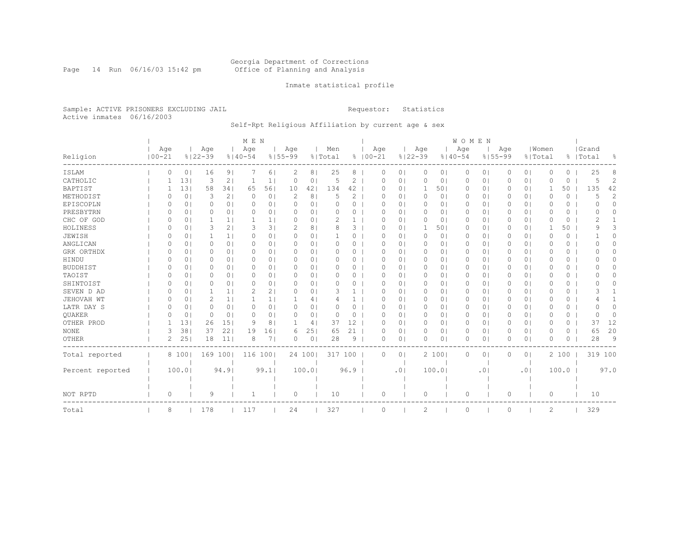Page 14 Run 06/16/03 15:42 pm

### Inmate statistical profile

Sample: ACTIVE PRISONERS EXCLUDING JAIL **Requestor:** Statistics Active inmates 06/16/2003

### Self-Rpt Religious Affiliation by current age & sex

|                  |            |                |             |                 | M E N       |                |             |        |          |              |             |                     |             |                | WOMEN       |           |             |                |          |          |           |          |
|------------------|------------|----------------|-------------|-----------------|-------------|----------------|-------------|--------|----------|--------------|-------------|---------------------|-------------|----------------|-------------|-----------|-------------|----------------|----------|----------|-----------|----------|
|                  | Age        |                | Age         |                 | Aqe         |                | Age         |        | Men      |              | Age         |                     | Age         |                | Age         |           | Age         |                | Women    |          | Grand     |          |
| Religion         | $100 - 21$ |                | $8122 - 39$ |                 | $8140 - 54$ |                | $8155 - 99$ |        | % Total  |              | $8100 - 21$ |                     | $8122 - 39$ |                | $8140 - 54$ |           | $8155 - 99$ |                | % Total  |          | %   Total | ႜ        |
| ISLAM            | 0          | 0              | 16          | 9               |             | 61             | 2           | 8      | 25       | 8            |             | 0<br>$\circ$        | 0           | 0 <sub>1</sub> | 0           | 0         | 0           | 0 <sub>1</sub> | 0        | $\Omega$ | 25        | 8        |
| CATHOLIC         |            | 13             | 3           | 2               |             | $\mathbf{1}$   | 0           | 0      | 5        | 2            |             | $\circ$<br>0        | 0           | 0 <sub>1</sub> | 0           | $\circ$   | 0           | 0 <sub>1</sub> | 0        | 0        | 5         | 2        |
| <b>BAPTIST</b>   |            | 131            | 58          | 341             | 65          | 561            | 10          | 42     | 134      | 42           |             | 0 <sub>1</sub><br>O | -1          | 501            | 0           | $\circ$   | 0           | 0 <sub>1</sub> | 1        | 50       | 135       | 42       |
| METHODIST        | $\Omega$   | 0              | 3           | 2 <sub>1</sub>  | $\Omega$    | 0 <sup>1</sup> | 2           | 8      | 5        | 2            |             | 0 <sub>1</sub><br>0 | 0           | 0 <sub>1</sub> | 0           | $\circ$   | 0           | 0 <sup>1</sup> | 0        | 0        | 5         | 2        |
| EPISCOPLN        | $\Omega$   | 0              | 0           | 0 <sub>1</sub>  | $\Omega$    | 0 <sub>1</sub> | C           | 0      | $\Omega$ | 0            |             | 0<br>0 <sub>1</sub> | 0           | 0 <sub>1</sub> | 0           | $\circ$   | 0           | 0 <sub>1</sub> | 0        | 0        | 0         | $\Omega$ |
| PRESBYTRN        | $\Omega$   | 0 <sub>1</sub> | 0           | 0 <sub>1</sub>  | $\Omega$    | 0 <sub>1</sub> | $\Omega$    | 01     | $\Omega$ | 0            |             | $\circ$<br>0        | $\circ$     | 0 <sub>1</sub> | 0           | $\circ$   | 0           | 0 <sup>1</sup> | $\Omega$ | 0        | 0         | O        |
| CHC OF GOD       | O          | 0              |             | 1 <sub>1</sub>  |             | 1.             | 0           | 0      | 2        |              |             | 0<br>$\circ$        | 0           | 0 <sub>1</sub> | 0           | $\circ$   | 0           | 0 <sup>1</sup> | 0        | 0        | 2         |          |
| HOLINESS         | $\Omega$   | 0              | 3           | 2 <sub>1</sub>  | 3           | 31             | 2           | 8      | 8        | 3            |             | $\Omega$<br>O       | -1          | 501            | $\Omega$    | $\Omega$  | $\Omega$    | 0 <sup>1</sup> | 1        | 50       | q         | 3        |
| JEWISH           | ∩          | 0              |             | 1 <sup>1</sup>  | $\Omega$    | 0 <sub>1</sub> | $\Omega$    | 01     |          | 0            |             | O<br>$\circ$        | 0           | $\circ$        | 0           | $\circ$   | 0           | 0 <sub>1</sub> | 0        | 0        |           | $\Omega$ |
| ANGLICAN         | O          | 0              | 0           | 0 <sub>1</sub>  | $\Omega$    | 0 <sub>1</sub> | O           | 0      |          | 0            |             | O<br>$\circ$        | 0           | 01             | 0           | $\circ$   | 0           | 0 <sup>1</sup> | O        | 0        |           | $\Omega$ |
| GRK ORTHDX       | O          | 0              | 0           | 0 <sub>1</sub>  | $\Omega$    | 0 <sub>1</sub> | O           | 0      | O        | 0            |             | O<br>0 <sub>1</sub> | 0           | 0 <sub>1</sub> | 0           | 0         | 0           | 0 <sub>1</sub> | 0        | 0        | O         | 0        |
| HINDU            | $\Omega$   | 0              | 0           | 0 <sub>1</sub>  | $\Omega$    | 0 <sub>1</sub> | $\Omega$    | 0      | O        | 0            |             | 0 <sub>1</sub><br>O | $\circ$     | 0 <sub>1</sub> | 0           | $\circ$   | 0           | 0 <sub>1</sub> | O        | 0        |           | $\Omega$ |
| <b>BUDDHIST</b>  | $\Omega$   | 0 <sub>1</sub> | 0           | 0 <sub>1</sub>  | $\Omega$    | 0 <sub>1</sub> | $\Omega$    | 01     | $\Omega$ | 0            |             | 0<br>0 <sub>1</sub> | 0           | 0 <sub>1</sub> | 0           | $\circ$   | 0           | 0 <sub>1</sub> | 0        | 0        |           | 0        |
| TAOIST           | $\Omega$   | 0 <sub>1</sub> | 0           | 0 <sub>1</sub>  | $\Omega$    | 0 <sub>1</sub> | $\Omega$    | 01     | $\Omega$ | $\Omega$     |             | 0<br>$\Omega$       | 0           | 0 <sub>1</sub> | 0           | $\circ$   | 0           | 0 <sup>1</sup> | 0        | 0        |           | O        |
| SHINTOIST        | 0          | $\Omega$       | 0           | 0 <sub>1</sub>  | $\Omega$    | 0              | 0           | 0      | $\Omega$ | $\Omega$     |             | O<br>$\Omega$       | 0           | $\circ$        | 0           | 0         | 0           | 0 <sub>1</sub> | 0        | $\Omega$ | $^{(1)}$  | 0        |
| SEVEN D AD       | $\Omega$   | $\Omega$       | 1           | 1 <sup>1</sup>  | 2           | 2 <sub>1</sub> | $\Omega$    | 0      | 3        | $\mathbf{1}$ |             | O<br>$\Omega$       | 0           | $\circ$        | $\Omega$    | $\Omega$  | $\Omega$    | 0 <sup>1</sup> | $\Omega$ | $\Omega$ | 3         |          |
| JEHOVAH WT       | $\Omega$   | 0              | 2           | 1 <sup>1</sup>  | 1           | 1 <sub>1</sub> | -1          | 4      |          | $\mathbf{1}$ |             | O<br>$\circ$        | 0           | 0 <sub>1</sub> | 0           | $\circ$   | $\Omega$    | 0 <sup>1</sup> | $\Omega$ | 0        | 4         |          |
| LATR DAY S       | O          | 0              | 0           | 0 <sub>1</sub>  | $\Omega$    | 0 <sub>1</sub> | 0           | 0      | O        | 0            |             | O<br>$\circ$        | 0           | 01             | 0           | 0         | 0           | 0 <sup>1</sup> | 0        | 0        |           | O        |
| QUAKER           | O          | $\circ$        | 0           | 0 <sup>1</sup>  | $\Omega$    | 0 <sub>1</sub> | $\Omega$    | 0      | 0        | 0            |             | 0<br>$\circ$        | 0           | 0 <sub>1</sub> | 0           | 0         | 0           | 0 <sup>1</sup> | 0        | 0        | O         | $\Omega$ |
| OTHER PROD       |            | 131            | 26          | 15 <sub>1</sub> | 9           | 8              | 1           | 4      | 37       | 12           |             | 0<br>0 <sub>1</sub> | 0           | 0 <sub>1</sub> | 0           | $\circ$   | 0           | 0 <sub>1</sub> | 0        | 0        | 37        | 12       |
| $\rm{NONE}$      | 3          | 381            | 37          | 22              | 19          | 161            | 6           | 25     | 65       | 21           |             | $\circ$<br>0        | $\circ$     | 0 <sub>1</sub> | 0           | $\circ$   | 0           | 0 <sub>1</sub> | $\Omega$ | 0        | 65        | 20       |
| OTHER            | 2          | 25             | 18          | 11              | 8           | 71             | $\Omega$    | 0      | 28       | 9            |             | $\Omega$<br>$\circ$ | $\circ$     | 0 <sub>1</sub> | 0           | 0         | 0           | 0 <sub>1</sub> | $\Omega$ | 0        | 28        | 9        |
| Total reported   |            | 8 1001         |             | 169 100         | 116 100     |                |             | 24 100 |          | 317 100      |             | $\Omega$<br>$\circ$ |             | 2 100          | 0           | 0         | $\Omega$    | 0 <sub>1</sub> |          | 2 100    |           | 319 100  |
|                  |            |                |             |                 |             |                |             |        |          |              |             |                     |             |                |             |           |             |                |          |          |           |          |
| Percent reported |            | 100.01         |             | 94.9            |             | 99.1           |             | 100.0  |          | 96.9         |             | .01                 |             | 100.0          |             | $\cdot$ 0 |             | .01            |          | 100.0    |           | 97.0     |
|                  |            |                |             |                 |             |                |             |        |          |              |             |                     |             |                |             |           |             |                |          |          |           |          |
| NOT RPTD         | 0          |                | 9           |                 | 1           |                | 0           |        | 10       |              |             | 0                   | $\circ$     |                | 0           |           | 0           |                | 0        |          | 10        |          |
| Total            | 8          |                | 178         |                 | 117         |                | 24          |        | 327      |              |             | $\Omega$            | 2           |                | 0           |           | 0           |                | 2        |          | 329       |          |
|                  |            |                |             |                 |             |                |             |        |          |              |             |                     |             |                |             |           |             |                |          |          |           |          |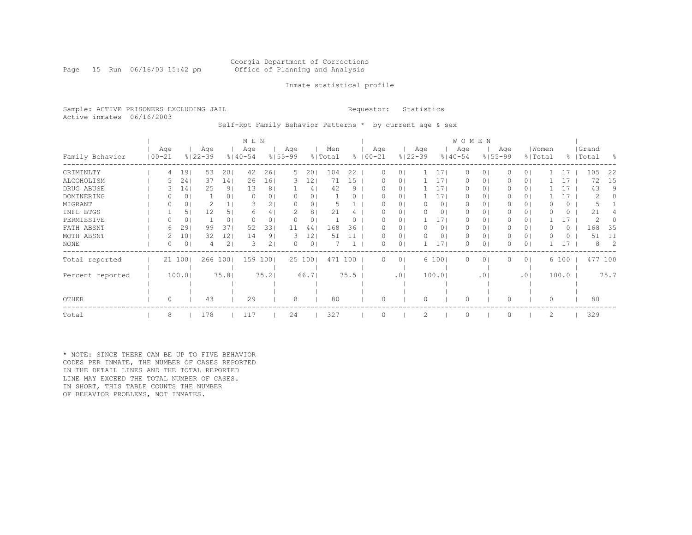### Georgia Department of Corrections Page 15 Run 06/16/03 15:42 pm Office of Planning and Analysis

### Inmate statistical profile

Sample: ACTIVE PRISONERS EXCLUDING JAIL **Requestor:** Statistics Active inmates 06/16/2003

Self-Rpt Family Behavior Patterns \* by current age & sex

|                  |                   |                 |                    |                | M E N              |                |                    |        |                |      |                     |                |                    |                 | <b>WOMEN</b>       |                |                    |                |       |           |                    |         |     |
|------------------|-------------------|-----------------|--------------------|----------------|--------------------|----------------|--------------------|--------|----------------|------|---------------------|----------------|--------------------|-----------------|--------------------|----------------|--------------------|----------------|-------|-----------|--------------------|---------|-----|
| Family Behavior  | Age<br>$100 - 21$ |                 | Age<br>$8122 - 39$ |                | Age<br>$8140 - 54$ |                | Age<br>$8155 - 99$ |        | Men<br>% Total |      | Age<br>$% 100 - 21$ |                | Age<br>$8122 - 39$ |                 | Age<br>$8140 - 54$ |                | Age<br>$8155 - 99$ | % Total        | Women |           | Grand<br>%   Total |         | - 옹 |
| CRIMINLTY        | 4                 | 19              | 53                 | 201            | 42                 | 26             | 5.                 | 20     | 104            | 22   | 0                   | $\Omega$       |                    | 171             | 0                  | 0 <sub>1</sub> |                    | 0 <sub>1</sub> |       | 17        | 105                |         | 22  |
| ALCOHOLISM       |                   | 24              | 37                 | 14             | 26                 | 161            | 3.                 | 12     | 71             | 15   | 0                   | 01             |                    | 171             | $\Omega$           | 0 <sub>1</sub> |                    | 0 <sub>1</sub> |       | 17        |                    | 72      | 15  |
| DRUG ABUSE       |                   | 14 <sub>1</sub> | 25                 | 9 <sub>1</sub> | 13                 | 8 <sup>1</sup> |                    | 4      | 42             | 9    | $\left( \right)$    | 01             |                    | 171             | $\Omega$           | 0 <sub>1</sub> |                    | 0 <sub>1</sub> |       | 17        |                    | 43      | 9   |
| DOMINERING       |                   | 0               |                    | 0 <sub>1</sub> | $\Omega$           | 0              | 0                  | 0      |                |      |                     | $\Omega$       |                    | 17 <sub>1</sub> | $\Omega$           | 0 <sub>1</sub> |                    | 0 <sub>1</sub> |       | $\perp$ 7 |                    | 2       | 0   |
| MIGRANT          |                   | 0               |                    |                |                    | 2              |                    | 0      |                |      |                     | 0              |                    | 0 <sub>1</sub>  | 0                  | 01             |                    | 0 <sub>1</sub> |       | 0         |                    |         |     |
| INFL BTGS        |                   | 51              | 12                 | 5 <sub>1</sub> | 6                  | 4              |                    | 8      | 21             |      |                     | 0              |                    | 01              | 0                  | 01             |                    | 0 <sub>1</sub> |       | 0         |                    | 21      |     |
| PERMISSIVE       |                   | 0               |                    | 0 <sub>1</sub> | 0                  | 0              | 0                  | 0      |                |      |                     | 0              |                    | 171             | 0                  | 01             |                    | 0 <sub>1</sub> |       | 17        |                    | 2       |     |
| FATH ABSNT       | 6                 | 29              | 99                 | 371            | 52                 | 33             | 11                 | 44     | 168            | 36   | $^{(1)}$            | 01             |                    | 01              | $\Omega$           | 01             |                    | 0 <sub>1</sub> |       | 0         | 168                |         | 35  |
| MOTH ABSNT       |                   | 101             | 32                 | 121            | 14                 | 91             | 3                  | 12     | 51             |      | 0                   | 0 <sup>1</sup> | $\bigcap$          | 01              | $\Omega$           | 0 <sub>1</sub> |                    | 0 <sup>1</sup> |       | $\Omega$  |                    | 51      | 11  |
| <b>NONE</b>      |                   | 0               |                    | 2 <sub>1</sub> | 3                  | 2 <sub>1</sub> | 0                  | 0      |                |      | 0                   | $\circ$        |                    | 17 <sub>1</sub> | 0                  | 0 <sub>1</sub> |                    | 0 <sub>1</sub> |       | 17        |                    | 8       | 2   |
| Total reported   |                   | 21 100          | 266 100            |                | 159 100            |                |                    | 25 100 | 471 100        |      | $\Omega$            | 0 <sub>1</sub> |                    | 6 100           | 0                  | 0 <sub>1</sub> |                    | 0 <sub>1</sub> |       | 6 100     |                    | 477 100 |     |
|                  |                   |                 |                    |                |                    |                |                    |        |                |      |                     |                |                    |                 |                    |                |                    |                |       |           |                    |         |     |
| Percent reported |                   | 100.0           |                    | 75.81          |                    | 75.2           |                    | 66.71  |                | 75.5 |                     | .01            |                    | 100.0           |                    | .01            |                    | .01            |       | 100.0     |                    | 75.7    |     |
|                  |                   |                 |                    |                |                    |                |                    |        |                |      |                     |                |                    |                 |                    |                |                    |                |       |           |                    |         |     |
| <b>OTHER</b>     | 0                 |                 | 43                 |                | 29                 |                | 8                  |        | 80             |      | 0                   |                | $\Omega$           |                 | $\Omega$           |                |                    |                | 0     |           |                    | 80      |     |
| Total            | 8                 |                 | 178                |                | 117                |                | 24                 |        | 327            |      | $\Omega$            |                | 2                  |                 | $\circ$            |                |                    |                | 2     |           | 329                |         |     |

\* NOTE: SINCE THERE CAN BE UP TO FIVE BEHAVIOR CODES PER INMATE, THE NUMBER OF CASES REPORTED IN THE DETAIL LINES AND THE TOTAL REPORTED LINE MAY EXCEED THE TOTAL NUMBER OF CASES. IN SHORT, THIS TABLE COUNTS THE NUMBER OF BEHAVIOR PROBLEMS, NOT INMATES.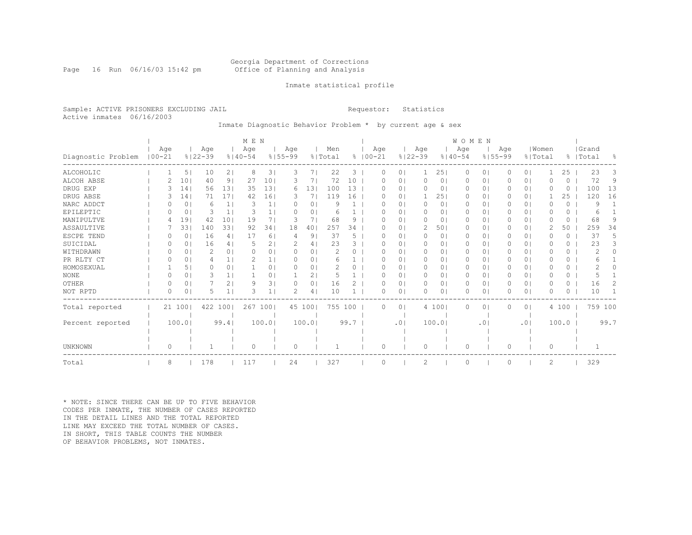### Georgia Department of Corrections Page 16 Run 06/16/03 15:42 pm Office of Planning and Analysis

### Inmate statistical profile

Sample: ACTIVE PRISONERS EXCLUDING JAIL **Requestor:** Statistics Active inmates 06/16/2003

Inmate Diagnostic Behavior Problem \* by current age & sex

|                    |                   |        |                    |                | M E N              |                |                    |        |                |          |             |          |                |                    |                | WOMEN              |           |                    |                |                  |          |                    |                |
|--------------------|-------------------|--------|--------------------|----------------|--------------------|----------------|--------------------|--------|----------------|----------|-------------|----------|----------------|--------------------|----------------|--------------------|-----------|--------------------|----------------|------------------|----------|--------------------|----------------|
| Diagnostic Problem | Aqe<br>$100 - 21$ |        | Age<br>$8122 - 39$ |                | Age<br>$8140 - 54$ |                | Age<br>$8155 - 99$ |        | Men<br>% Total |          | $8100 - 21$ | Age      |                | Age<br>$8122 - 39$ |                | Age<br>$8140 - 54$ |           | Age<br>$8155 - 99$ |                | Women<br>% Total |          | Grand<br>%   Total | $\frac{6}{10}$ |
| ALCOHOLIC          |                   | 5      | 10                 | 2 <sub>1</sub> | 8                  | 3              | 3                  | 71     | 22             | 3        |             | 0        | 0 <sub>1</sub> |                    | 251            | 0                  | $\circ$   | 0                  | 0 <sup>1</sup> |                  | 25       | 23                 | 3              |
| ALCOH ABSE         |                   | 10     | 40                 | 9              | 27                 | 101            | З                  | 7      | 72             | 10       |             | O        | $\circ$        | $\Omega$           | 0 <sub>1</sub> | $\Omega$           | 0         |                    | 0 <sub>1</sub> | O                | 0        | 72                 | 9              |
| DRUG EXP           |                   | 14     | 56                 | 131            | 35                 | 131            | 6                  | 13     | 100            | 13       |             |          | $\circ$        | 0                  | $\circ$        | 0                  | $\Omega$  |                    | 0 <sub>1</sub> | O                | 0        | 100                | 13             |
| DRUG ABSE          |                   | 14     | 71                 | 171            | 42                 | 161            | 3                  | 7      | 119            | 16       |             | O        | $\circ$        |                    | 251            | $\Omega$           | $\circ$   | 0                  | 0 <sub>1</sub> |                  | 25       | 120                | 16             |
| NARC ADDCT         |                   | 0      | 6                  | 1 <sub>1</sub> | 3                  |                | $\left($           | 0      | 9              |          |             |          | $\circ$        | 0                  | $\circ$        | $\Omega$           | 0         |                    | 0 <sub>1</sub> | O                | 0        | 9                  |                |
| EPILEPTIC          |                   | 0      | 3                  | 1 <sup>1</sup> | 3                  |                | <sup>0</sup>       | 0      | 6              |          |             | O        | $\circ$        | $\Omega$           | $\circ$        | $\Omega$           | $\Omega$  |                    | 0 <sub>1</sub> | O                | 0        | 6                  |                |
| MANIPULTVE         |                   | 19     | 42                 | 10             | 19                 | 7              | З                  | 7.     | 68             | 9        |             |          | $\circ$        | 0                  | 01             | 0                  | 0         |                    | 0 <sub>1</sub> | 0                | 0        | 68                 | 9              |
| ASSAULTIVE         |                   | 33     | 140                | 331            | 92                 | 341            | 18                 | 40     | 257            | 34       |             | O        | $\circ$        | 2                  | 501            | 0                  | 0         | 0                  | 0 <sub>1</sub> | 2                | 50       | 259                | 34             |
| ESCPE TEND         | $\left($          | 0      | 16                 | 4              | 17                 | 6 <sup>1</sup> | 4                  | 9      | 37             | 5        |             | O        | $\Omega$       | $\Omega$           | $\circ$        | $\Omega$           | $\Omega$  | $\Omega$           | 0 <sub>1</sub> | O                | $\Omega$ | 37                 | 5.             |
| SUICIDAL           |                   | 0      | 16                 | 4              | 5                  | 2 <sub>1</sub> | 2                  | 4      | 23             | 3        |             | O        | $\circ$        | 0                  | 0 <sub>1</sub> | 0                  | 0         | 0                  | 0 <sub>1</sub> | O                | 0        | 23                 | 3              |
| WITHDRAWN          | O                 | 0      | 2                  | 0 <sup>1</sup> | $\Omega$           | $\Omega$       | $\Omega$           | 0      | $\mathcal{D}$  | $\Omega$ |             | O        | $\circ$        | $\Omega$           | 0 <sub>1</sub> | $\Omega$           | 0         | 0                  | 0 <sub>1</sub> | O                | $\Omega$ | 2                  | 0              |
| PR RLTY CT         | $\Omega$          | 0      |                    | 1 <sub>1</sub> |                    |                | $\Omega$           | 0      | 6              |          |             |          | $\circ$        | 0                  | 0 <sub>1</sub> | 0                  | 0         | 0                  | 0 <sub>1</sub> | O                | 0        | 6                  |                |
| HOMOSEXUAL         |                   | 5      | 0                  | 0 <sup>1</sup> |                    | 0 <sup>1</sup> | $\Omega$           | 0      |                | $\Omega$ |             | O        | $\Omega$       | 0                  | 0 <sub>1</sub> | $\Omega$           | 0         | 0                  | 0 <sub>1</sub> | O                | 0        |                    |                |
| <b>NONE</b>        | $\Omega$          | 0      | 3                  |                |                    | 0              |                    | 2      |                |          |             |          | 01             | 0                  | 0 <sub>1</sub> | 0                  | 0         |                    | 0 <sub>1</sub> | O                | 0        |                    |                |
| OTHER              | $\Omega$          | 0      |                    | 2              | 9                  | 31             | O                  | 0      | 16             |          |             | O        | $\circ$        | 0                  | 0 <sub>1</sub> | 0                  | 0         |                    | 0 <sub>1</sub> | O                | 0        | 16                 | 2              |
| NOT RPTD           | $\Omega$          | 0      | 5                  | 1 <sup>1</sup> | 3                  |                | 2                  | 4      | 10             |          |             | U        | $\circ$        | $\Omega$           | 01             | $\Omega$           | 0         |                    | 0 <sub>1</sub> | $\Omega$         | 0        | 10                 |                |
| Total reported     |                   | 21 100 | 422                | 1001           | 267                | 1001           |                    | 45 100 | 755 100        |          |             | 0        | 0 <sup>1</sup> |                    | 4 100          | 0                  | $\circ$   | $\Omega$           | 0 <sup>1</sup> |                  | 4 100    | 759 100            |                |
|                    |                   |        |                    |                |                    |                |                    |        |                |          |             |          |                |                    |                |                    |           |                    |                |                  |          |                    |                |
| Percent reported   |                   | 100.0  |                    | 99.41          |                    | 100.0          |                    | 100.0  |                | 99.7     |             |          | .01            |                    | 100.01         |                    | $\cdot$ 0 |                    | .01            |                  | 100.0    |                    | 99.7           |
|                    |                   |        |                    |                |                    |                |                    |        |                |          |             |          |                |                    |                |                    |           |                    |                |                  |          |                    |                |
|                    |                   |        |                    |                |                    |                |                    |        |                |          |             |          |                |                    |                |                    |           |                    |                |                  |          |                    |                |
| UNKNOWN            | 0                 |        |                    |                | $\Omega$           |                | $\circ$            |        |                |          |             | $\Omega$ |                | $\Omega$           |                | 0                  |           | O                  |                | 0                |          |                    |                |
| Total              | 8                 |        | 178                |                | 117                |                | 24                 |        | 327            |          |             |          |                | 2                  |                | $\Omega$           |           |                    |                | $\overline{c}$   |          | 329                |                |

\* NOTE: SINCE THERE CAN BE UP TO FIVE BEHAVIOR CODES PER INMATE, THE NUMBER OF CASES REPORTED IN THE DETAIL LINES AND THE TOTAL REPORTED LINE MAY EXCEED THE TOTAL NUMBER OF CASES. IN SHORT, THIS TABLE COUNTS THE NUMBER OF BEHAVIOR PROBLEMS, NOT INMATES.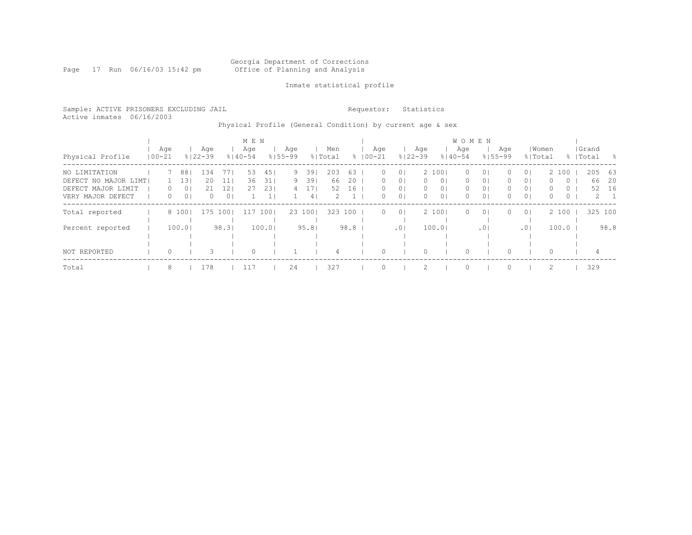#### Georgia Department of Corrections Page 17 Run 06/16/03 15:42 pm Office of Planning and Analysis

### Inmate statistical profile

Sample: ACTIVE PRISONERS EXCLUDING JAIL **Requestor:** Statistics Active inmates 06/16/2003

### Physical Profile (General Condition) by current age & sex

|                      |            |                  |                |                    |                | M E N              |        |                    |                |                |      |             |          |                 |                    |                | W O M E N          |                |                    |                |                |         |                    |             |
|----------------------|------------|------------------|----------------|--------------------|----------------|--------------------|--------|--------------------|----------------|----------------|------|-------------|----------|-----------------|--------------------|----------------|--------------------|----------------|--------------------|----------------|----------------|---------|--------------------|-------------|
| Physical Profile     | $100 - 21$ | Age              |                | Aqe<br>$8122 - 39$ |                | Age<br>$8140 - 54$ |        | Aqe<br>$8155 - 99$ |                | Men<br>% Total |      | $8100 - 21$ | Aqe      |                 | Age<br>$8122 - 39$ |                | Age<br>$8140 - 54$ |                | Age<br>$8155 - 99$ | % Total        | Women          |         | Grand<br>%   Total | - 옹         |
| NO LIMITATION        |            |                  | 881            | 134                | 77 I           | 53                 | 45     | 9                  | 39             | 203            | 63   |             | $\Omega$ | 0 <sup>1</sup>  |                    | 2 1001         | $\Omega$           | 0 <sup>1</sup> | ()                 | 0 <sup>1</sup> |                | 2 100   | 205                | 63          |
| DEFECT NO MAJOR LIMT |            |                  | 131            | 20                 | 11             | 36                 | 31     | 9                  | 39             | 66             | 20   |             | $\Omega$ | $\Omega$        | $\Omega$           | 0 <sup>1</sup> | $\Omega$           | 0 <sup>1</sup> | $\Omega$           | 0 <sup>1</sup> | 0              | $\circ$ | 66                 | - 20        |
| DEFECT MAJOR LIMIT   |            | $\left( \right)$ | 01             | 21                 | 12             | 27                 | 23     | 4                  |                | 52             | 16   |             | 0        | $\overline{0}$  | $\Omega$           | 0 <sub>1</sub> | 0                  | 0 <sub>1</sub> |                    | 0 <sup>1</sup> | 0              | $\circ$ | 52                 | 16          |
| VERY MAJOR DEFECT    |            | 0                | 0 <sub>1</sub> |                    | 0 <sub>1</sub> |                    |        |                    | 4 <sup>1</sup> | 2              |      |             | 0        | 0 <sup>1</sup>  | $\Omega$           | 0 <sub>1</sub> | $\Omega$           | 0 <sub>1</sub> | 0                  | 0 <sup>1</sup> | $\Omega$       | $\circ$ |                    | $2 \quad 1$ |
| Total reported       |            |                  | 8 100          | 175                | 1001           | 117                | 1001   |                    | 23 1001        | 323            | 100  |             | $\Omega$ | 0 <sup>1</sup>  |                    | 2 1001         | $\Omega$           | 0 <sup>1</sup> | $\Omega$           | 0 <sup>1</sup> |                | 2 100   | 325 100            |             |
| Percent reported     |            |                  | 100.0          |                    | 98.31          |                    | 100.01 |                    | 95.81          |                | 98.8 |             |          | .0 <sub>1</sub> |                    | 100.0          |                    | .01            |                    | .01            |                | 100.0   |                    | 98.8        |
|                      |            |                  |                |                    |                |                    |        |                    |                |                |      |             |          |                 |                    |                |                    |                |                    |                |                |         |                    |             |
| NOT REPORTED         |            | $\Omega$         |                |                    |                | $\Omega$           |        |                    |                | 4              |      |             | 0        |                 |                    |                | $\Omega$           |                |                    |                | $\Omega$       |         | 4                  |             |
| Total                |            | 8                |                | 178                |                | 117                |        | 24                 |                | 327            |      |             |          |                 |                    |                | $\Omega$           |                |                    |                | $\mathfrak{D}$ |         | 329                |             |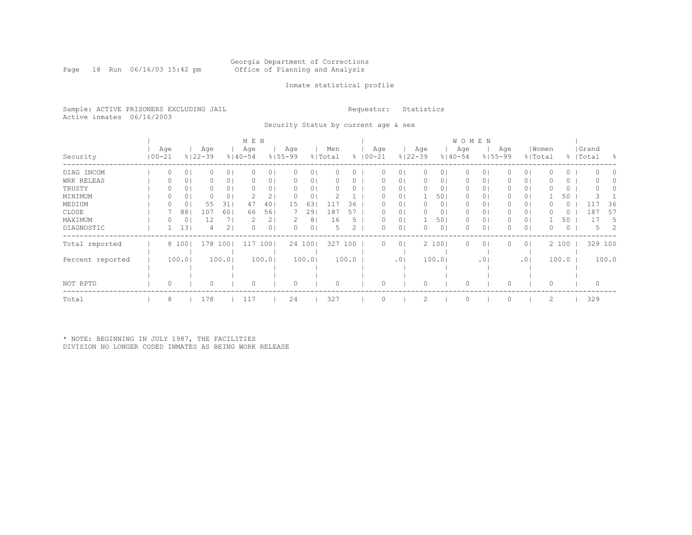Page 18 Run 06/16/03 15:42 pm

### Inmate statistical profile

Sample: ACTIVE PRISONERS EXCLUDING JAIL **Requestor:** Statistics Active inmates 06/16/2003

Security Status by current age & sex

|                  |                |        |                    |                 | M E N              |                |                    |                |                |       |                    |                 |                    |                | <b>WOMEN</b>       |     |                    |                |                |       |                    |            |
|------------------|----------------|--------|--------------------|-----------------|--------------------|----------------|--------------------|----------------|----------------|-------|--------------------|-----------------|--------------------|----------------|--------------------|-----|--------------------|----------------|----------------|-------|--------------------|------------|
| Security         | Age<br>  00-21 |        | Age<br>$8122 - 39$ |                 | Age<br>$8140 - 54$ |                | Age<br>$8155 - 99$ |                | Men<br>% Total |       | Age<br>$8$   00-21 |                 | Age<br>$8122 - 39$ |                | Age<br>$8140 - 54$ |     | Age<br>$8155 - 99$ | % Total        | Women          |       | Grand<br>%   Total | $^{\circ}$ |
| DIAG INCOM       | 0              | 0      |                    | 0 <sub>1</sub>  |                    | 0 I            |                    | 01             |                |       |                    | $\circ$         |                    | ΟI             |                    | 0   |                    | 0 <sub>1</sub> |                | 0     |                    |            |
| WRK RELEAS       |                | 0      |                    | 0 <sub>1</sub>  |                    | 0 <sub>1</sub> |                    | 0              |                |       |                    | 0               |                    | 0              |                    | 0   |                    | 0 <sub>1</sub> |                | 0     |                    |            |
| TRUSTY           |                | 0      |                    | 0 <sub>1</sub>  |                    | 0 <sup>1</sup> |                    | 01             |                |       |                    | $\circ$         | $\Omega$           | 0 <sup>1</sup> | $\Omega$           | 01  |                    | 0 <sub>1</sub> |                | 0     |                    |            |
| MINIMUM          |                | 0      |                    | 0 <sup>1</sup>  |                    |                |                    | 0              |                |       |                    | $\Omega$        |                    | 50             | 0                  | 0   |                    | 0 <sub>1</sub> |                | 50    |                    |            |
| MEDIUM           | 0              | 0      | 55                 | 31              | 47                 | 401            | 15                 | 63             | 117            | 36    | 0                  | $\circ$         | $\Omega$           | 0 <sup>1</sup> | $\Omega$           | 01  |                    | 0 <sub>1</sub> |                | 0     |                    | 36         |
| CLOSE            |                | 88     | 107                | 60 <sub>1</sub> | 66                 | 561            |                    | 291            | 187            | 57    |                    | $\circ$         |                    | 0              | 0                  | 0   |                    | 0 <sub>1</sub> |                | U     | 187                | 57         |
| MAXIMUM          |                | 0      |                    |                 |                    | 2 <sub>1</sub> |                    | 8 <sup>1</sup> | 16             |       |                    | $\circ$         |                    | 501            | 0                  | 0   |                    | 0 <sub>1</sub> |                | 50    |                    | 5.         |
| DIAGNOSTIC       |                | 13     |                    | 2 <sub>1</sub>  |                    | 01             |                    | 01             |                |       |                    | $\circ$         |                    | 0 <sup>1</sup> | O                  | 0   |                    | 0 <sub>1</sub> |                | 0     |                    | 5          |
| Total reported   |                | 8 100  | 178 1001           |                 | 117                | 1001           |                    | 24 1001        | 327            | 100   | $\Omega$           | $\circ$         |                    | 2 1001         | $\circ$            | 01  |                    | 0 <sub>1</sub> |                | 2 100 |                    | 329 100    |
| Percent reported |                | 100.01 |                    | 100.01          |                    | 100.01         |                    | 100.01         |                | 100.0 |                    | .0 <sub>1</sub> |                    | 100.01         |                    | .01 |                    | .01            |                | 100.0 |                    | 100.0      |
|                  |                |        |                    |                 |                    |                |                    |                |                |       |                    |                 |                    |                |                    |     |                    |                |                |       |                    |            |
|                  |                |        |                    |                 |                    |                |                    |                |                |       |                    |                 |                    |                |                    |     |                    |                |                |       |                    |            |
| NOT RPTD         | 0              |        |                    |                 |                    |                |                    |                |                |       |                    |                 |                    |                |                    |     |                    |                |                |       |                    | 0          |
| Total            | 8              |        | 178                |                 | 117                |                | 24                 |                | 327            |       |                    |                 |                    |                | $\cap$             |     |                    |                | $\mathfrak{D}$ |       | 329                |            |

\* NOTE: BEGINNING IN JULY 1987, THE FACILITIES DIVISION NO LONGER CODED INMATES AS BEING WORK RELEASE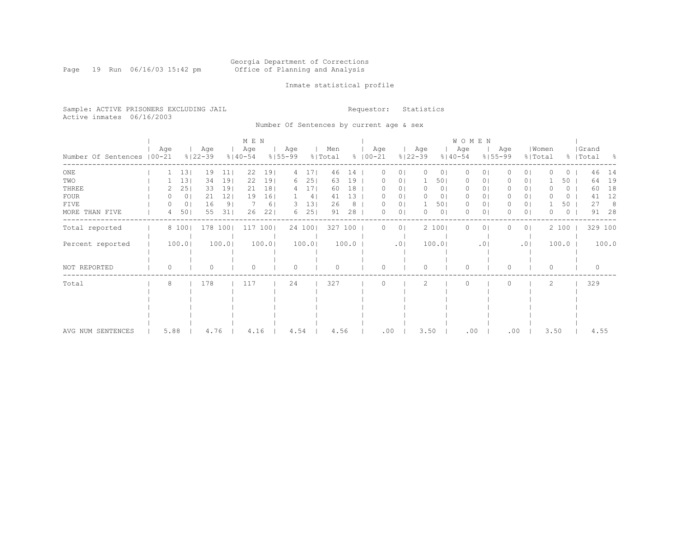#### Georgia Department of Corrections Page 19 Run 06/16/03 15:42 pm Office of Planning and Analysis

### Inmate statistical profile

Sample: ACTIVE PRISONERS EXCLUDING JAIL **Requestor:** Statistics Active inmates 06/16/2003

Number Of Sentences by current age & sex

|                             |      |                |                    |                | M E N              |                 |                    |                 |                |       |                      |                |                    |       | <b>WOMEN</b>       |           |                    |                |                  |         |                    |       |
|-----------------------------|------|----------------|--------------------|----------------|--------------------|-----------------|--------------------|-----------------|----------------|-------|----------------------|----------------|--------------------|-------|--------------------|-----------|--------------------|----------------|------------------|---------|--------------------|-------|
| Number Of Sentences   00-21 | Age  |                | Age<br>$8122 - 39$ |                | Age<br>$8140 - 54$ |                 | Age<br>$8155 - 99$ |                 | Men<br>% Total |       | Age<br>$8   00 - 21$ |                | Age<br>$8122 - 39$ |       | Age<br>$8140 - 54$ |           | Age<br>$8155 - 99$ |                | Women<br>% Total |         | Grand<br>%   Total | - 8   |
| $_{\rm ONE}$                |      | 131            | 19                 | 11             | 22                 | 191             | 4                  | 17 <sup>1</sup> | 46             | 14    |                      | 0              | $\Omega$           | 0     | O                  |           |                    | $\circ$        |                  | 0       | 46                 | 14    |
| TWO                         |      | 13             | 34                 | 191            | 22                 | 191             | 6                  | 251             | 63             | 19    | O                    | 01             |                    | 501   | 0                  | 0         |                    | 0 <sup>1</sup> |                  | 50      | 64                 | 19    |
| THREE                       |      | 25             | 33                 | 191            | 21                 | 18 <sup>1</sup> | 4                  | 17 <sub>l</sub> | 60             | 18    |                      | 0              | 0                  | 0     | 0                  | 0         |                    | 01             |                  | 0       | 60                 | 18    |
| <b>FOUR</b>                 |      | 0 <sub>1</sub> | 21                 | 121            | 19                 | 16              |                    | 4 <sub>1</sub>  | 41             | 13    |                      | 01             | 0                  | 0     | $\mathbf{0}$       | 0         |                    | 0 <sub>1</sub> |                  | $\circ$ | 41                 | 12    |
| FIVE                        |      | 0 <sup>1</sup> | 16                 | 9 <sub>1</sub> |                    | 61              | З.                 | 13              | 26             | 8     | 0                    | 0              |                    | 501   | $\circ$            | 0         |                    | 0              |                  | 50      | 27                 | 8     |
| MORE THAN FIVE              | 4    | 501            | 55                 | 31             | 26                 | 221             | 6                  | 25              | 91             | 28    | O                    | 0              | $\Omega$           | 0     | $\Omega$           | 0         |                    | $\circ$        | O                | 0       | 91                 | 28    |
| Total reported              |      | 8 100          | 178 100            |                | 117                | $100$           |                    | 24 100          | 327 100        |       | 0                    | 0 <sup>1</sup> |                    | 2 100 | $\Omega$           | 0         |                    | 0 <sup>1</sup> |                  | 2 100   | 329 100            |       |
| Percent reported            |      | 100.0          |                    | 100.0          |                    | 100.0           |                    | 100.0           |                | 100.0 |                      | .01            |                    | 100.0 |                    | $\cdot$ 0 |                    | .01            |                  | 100.0   |                    | 100.0 |
| NOT REPORTED                | O    |                |                    |                |                    |                 |                    |                 |                |       | O                    |                | $\Omega$           |       | $\Omega$           |           | O                  |                | $\Omega$         |         |                    |       |
| Total                       | 8    |                | 178                |                | 117                |                 | 24                 |                 | 327            |       | U                    |                | $\mathcal{P}$      |       | $\bigcap$          |           | 0                  |                | $\mathfrak{D}$   |         | 329                |       |
|                             |      |                |                    |                |                    |                 |                    |                 |                |       |                      |                |                    |       |                    |           |                    |                |                  |         |                    |       |
|                             |      |                |                    |                |                    |                 |                    |                 |                |       |                      |                |                    |       |                    |           |                    |                |                  |         |                    |       |
|                             |      |                |                    |                |                    |                 |                    |                 |                |       |                      |                |                    |       |                    |           |                    |                |                  |         |                    |       |
|                             |      |                |                    |                |                    |                 |                    |                 |                |       |                      |                |                    |       |                    |           |                    |                |                  |         |                    |       |
|                             |      |                |                    |                |                    |                 |                    |                 |                |       |                      |                |                    |       |                    |           |                    |                |                  |         |                    |       |
| AVG NUM SENTENCES           | 5.88 |                | 4.76               |                | 4.16               |                 | 4.54               |                 | 4.56           |       | .00                  |                | 3.50               |       | .00                |           | .00                |                | 3.50             |         | 4.55               |       |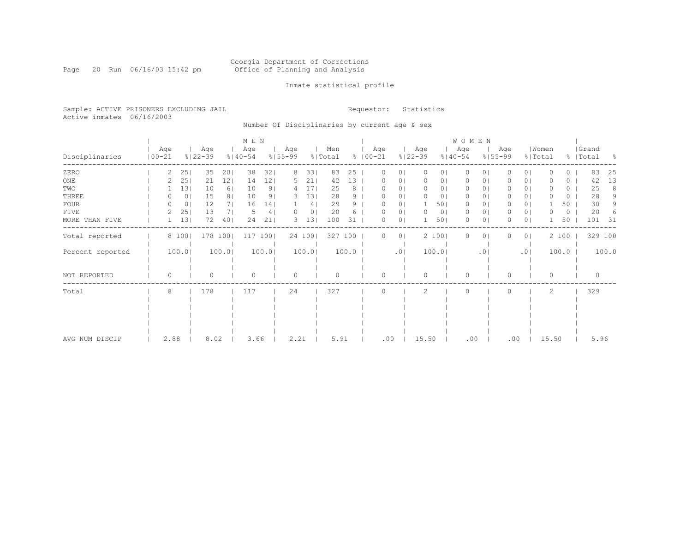#### Georgia Department of Corrections Page 20 Run 06/16/03 15:42 pm Office of Planning and Analysis

### Inmate statistical profile

Sample: ACTIVE PRISONERS EXCLUDING JAIL **Requestor:** Statistics Active inmates 06/16/2003

Number Of Disciplinaries by current age & sex

|                  |                   |               |                    |                | M E N              |                 |                    |                |                |       |                    |                |                    |                | WOMEN              |          |                    |                |                  |       |                    |       |
|------------------|-------------------|---------------|--------------------|----------------|--------------------|-----------------|--------------------|----------------|----------------|-------|--------------------|----------------|--------------------|----------------|--------------------|----------|--------------------|----------------|------------------|-------|--------------------|-------|
| Disciplinaries   | Age<br>$100 - 21$ |               | Age<br>$8122 - 39$ |                | Age<br>$8140 - 54$ |                 | Age<br>$8155 - 99$ |                | Men<br>% Total |       | Age<br>$8100 - 21$ |                | Age<br>$8122 - 39$ |                | Age<br>$8140 - 54$ |          | Age<br>$8155 - 99$ |                | Women<br>% Total |       | Grand<br>%   Total | - 옹   |
| ZERO             |                   | 2<br>25       | 35                 | 201            | 38                 | 321             | 8                  | 331            | 83             | 25    | $\Omega$           | 0 <sup>1</sup> | 0                  | 0 <sub>1</sub> | 0                  | $\Omega$ |                    | 0 <sub>1</sub> | O                | 0     | 83                 | 25    |
| $_{\rm ONE}$     |                   | 25            | 21                 | 121            | 14                 | 12              | 5.                 | 211            | 42             | 13    |                    | 0 <sub>1</sub> |                    | 0              | 0                  | 01       |                    | 0 <sub>1</sub> |                  | 0     | 42                 | 13    |
| TWO              |                   | 131           | 10                 | 6              | 10                 | 9 <sub>1</sub>  | 4                  | 17             | 25             | 8     |                    | 0 <sub>1</sub> |                    | 01             | 0                  | 01       |                    | 0 <sub>1</sub> |                  | 0     | 25                 | 8     |
| THREE            |                   | 0<br>$^{(1)}$ | 15                 | 8 <sup>1</sup> | 10                 | 91              | 3.                 | 13             | 28             | 9     |                    | 0 <sub>1</sub> |                    | 01             | $\Omega$           | 01       |                    | 0 <sub>1</sub> |                  | 0     | 28                 |       |
| FOUR             |                   | 0<br>0        | 12                 | 7 I            | 16                 | 14 <sub>1</sub> |                    | 4              | 29             | 9     |                    | 0 <sub>1</sub> |                    | 501            | $\Omega$           | 01       |                    | 0 <sub>1</sub> |                  | 50    | 30                 | 9     |
| FIVE             |                   | 25            | 13                 | 7 I            | 5                  | 4               |                    | 0 <sub>1</sub> | 20             |       |                    | 0 <sub>1</sub> |                    | 0 <sub>1</sub> | 0                  | 01       |                    | 0 <sub>1</sub> |                  | 0     | 20                 |       |
| MORE THAN FIVE   |                   | 13            | 72                 | 40             | 24                 | 21              | 3                  | 131            | 100            | 31    |                    | 0 <sub>1</sub> |                    | 501            | $\Omega$           | $\circ$  |                    | 0 <sub>1</sub> |                  | 50    | 101                | 31    |
| Total reported   |                   | 8 100         |                    | 178 100        | 117                | 100             |                    | 24 100         | 327 100        |       | $\Omega$           | 0 <sup>1</sup> |                    | 2 100          | $\Omega$           | $\circ$  |                    | 0 <sub>1</sub> |                  | 2 100 | 329 100            |       |
| Percent reported |                   | 100.0         |                    | 100.01         |                    | 100.01          |                    | 100.0          |                | 100.0 |                    | .01            |                    | 100.01         |                    | .01      |                    | .01            |                  | 100.0 |                    | 100.0 |
| NOT REPORTED     |                   | $\Omega$      | 0                  |                | $\Omega$           |                 | $\circ$            |                | $\Omega$       |       | Λ                  |                |                    |                | $\Omega$           |          | O                  |                | 0                |       | $\Omega$           |       |
| Total            |                   | 8             | 178                |                | 117                |                 | 24                 |                | 327            |       |                    |                | $\mathcal{L}$      |                | $\Omega$           |          |                    |                | 2                |       | 329                |       |
|                  |                   |               |                    |                |                    |                 |                    |                |                |       |                    |                |                    |                |                    |          |                    |                |                  |       |                    |       |
|                  |                   |               |                    |                |                    |                 |                    |                |                |       |                    |                |                    |                |                    |          |                    |                |                  |       |                    |       |
|                  |                   |               |                    |                |                    |                 |                    |                |                |       |                    |                |                    |                |                    |          |                    |                |                  |       |                    |       |
|                  |                   |               |                    |                |                    |                 |                    |                |                |       |                    |                |                    |                |                    |          |                    |                |                  |       |                    |       |
| AVG NUM DISCIP   |                   | 2.88          | 8.02               |                | 3.66               |                 | 2.21               |                | 5.91           |       | .00                |                | 15.50              |                | .00                |          | .00                |                | 15.50            |       | 5.96               |       |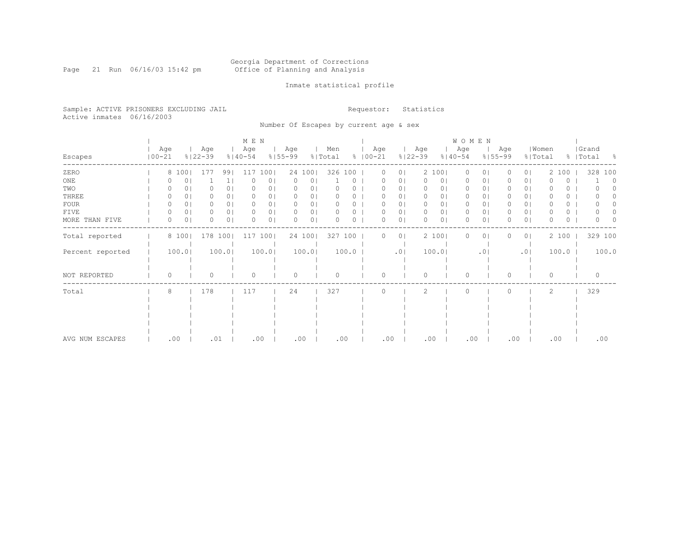#### Georgia Department of Corrections Page 21 Run 06/16/03 15:42 pm Office of Planning and Analysis

### Inmate statistical profile

Sample: ACTIVE PRISONERS EXCLUDING JAIL **Requestor:** Statistics Active inmates 06/16/2003

Number Of Escapes by current age & sex

|                  |            |          |                |                    |                | M E N              |        |                    |                |                |       |                    |                |                    |                | WOMEN              |                |                    |                |                  |          |                    |       |
|------------------|------------|----------|----------------|--------------------|----------------|--------------------|--------|--------------------|----------------|----------------|-------|--------------------|----------------|--------------------|----------------|--------------------|----------------|--------------------|----------------|------------------|----------|--------------------|-------|
| Escapes          | $100 - 21$ | Age      |                | Age<br>$8122 - 39$ |                | Age<br>$8140 - 54$ |        | Age<br>$8155 - 99$ |                | Men<br>% Total |       | Age<br>$8100 - 21$ |                | Age<br>$8122 - 39$ |                | Age<br>$8140 - 54$ |                | Age<br>$8155 - 99$ |                | Women<br>% Total |          | Grand<br>%   Total | - 옹   |
| ZERO             |            |          | 8 100          | 177                | 991            | 117                | 1001   |                    | 24 1001        | 326 100        |       | $\mathbf{0}$       | 0 <sup>1</sup> |                    | 2 100          | $\circ$            | 0 <sub>1</sub> |                    | 0 <sup>1</sup> |                  | 2 100    | 328 100            |       |
| $_{\rm ONE}$     |            |          | 0              |                    | 1 <sub>1</sub> |                    | 0      | 0                  | 0              |                | 0     |                    | 01             |                    | 0 <sub>1</sub> | 0                  | 0 <sub>1</sub> |                    | 0 <sub>1</sub> |                  | 0        |                    | 0     |
| TWO              |            |          | 01             |                    | 0 <sub>1</sub> | 0                  | 01     | 0                  | 0              |                | n     | 0                  | 01             | O                  | 0 <sub>1</sub> | $\Omega$           | 01             |                    | 0 <sub>1</sub> |                  | 0        |                    |       |
| THREE            |            |          | ΟI             |                    | 0 <sub>1</sub> |                    | U      | 0                  | 0              |                |       | 0                  | 01             |                    | 0 <sub>1</sub> | $\Omega$           | 01             |                    | 0 <sub>1</sub> |                  | 0        |                    |       |
| <b>FOUR</b>      |            |          | 01             |                    | 0 <sup>1</sup> |                    | 01     | 0                  | $\circ$        |                | n     | 0                  | 01             | <sup>0</sup>       | 01             | $\Omega$           | 0 <sub>1</sub> |                    | 0 <sub>1</sub> |                  | 0        |                    |       |
| FIVE             |            | 0        | 0 <sub>1</sub> |                    | 0 <sub>1</sub> | O.                 | 0      | 0                  | 0 <sub>1</sub> | 0              | n     | 0                  | 0 <sub>1</sub> | $\Omega$           | 0 <sub>1</sub> | $\Omega$           | 0 <sub>1</sub> |                    | 0 <sub>1</sub> |                  | 0        |                    |       |
| MORE THAN FIVE   |            | 0        | 0 <sub>1</sub> |                    | 0 <sub>1</sub> | 0                  | 0      | 0                  | $\circ$        |                | 0     | 0                  | 0 <sub>1</sub> | $\Omega$           | 0 <sub>1</sub> | $\Omega$           | 0 <sub>1</sub> |                    | 0 <sub>1</sub> | O                | $\Omega$ |                    |       |
| Total reported   |            |          | 8 100          | 178 100            |                | 117                | 100    |                    | 24 100         | 327 100        |       | 0                  | 0 <sub>1</sub> |                    | 2 100          | $\Omega$           | 0 <sub>1</sub> |                    | 0 <sub>1</sub> |                  | 2 100    | 329 100            |       |
| Percent reported |            |          | 100.0          |                    | 100.0          |                    | 100.01 |                    | 100.0          |                | 100.0 |                    | .01            |                    | 100.0          |                    | .01            |                    | .01            |                  | 100.0    |                    | 100.0 |
| NOT REPORTED     |            | $\Omega$ |                | Ω                  |                | 0                  |        | $\circ$            |                | $\Omega$       |       | 0                  |                | $\Omega$           |                | $\Omega$           |                | $\Omega$           |                | 0                |          | $\Omega$           |       |
| Total            |            | 8        |                | 178                |                | 117                |        | 24                 |                | 327            |       | O                  |                | 2                  |                | $\Omega$           |                |                    |                | 2                |          | 329                |       |
|                  |            |          |                |                    |                |                    |        |                    |                |                |       |                    |                |                    |                |                    |                |                    |                |                  |          |                    |       |
|                  |            |          |                |                    |                |                    |        |                    |                |                |       |                    |                |                    |                |                    |                |                    |                |                  |          |                    |       |
|                  |            |          |                |                    |                |                    |        |                    |                |                |       |                    |                |                    |                |                    |                |                    |                |                  |          |                    |       |
|                  |            |          |                |                    |                |                    |        |                    |                |                |       |                    |                |                    |                |                    |                |                    |                |                  |          |                    |       |
| AVG NUM ESCAPES  |            | .00      |                | .01                |                | .00                |        | .00                |                | .00            |       | .00                |                | .00                |                | .00                |                |                    | .00            | .00              |          | .00                |       |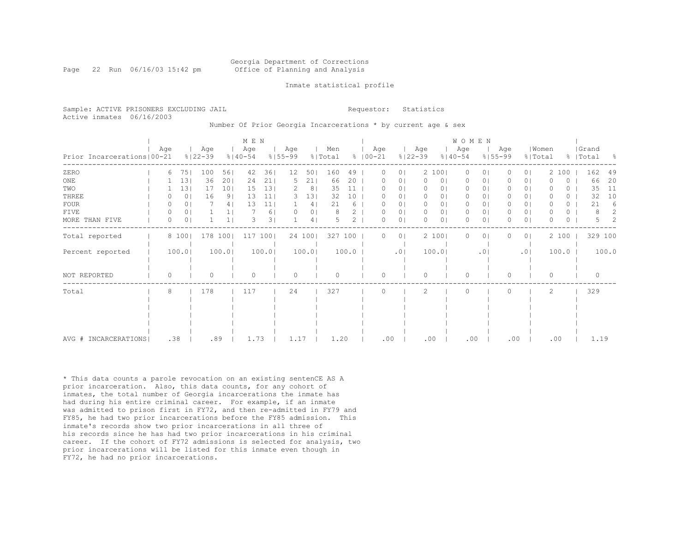### Georgia Department of Corrections Page 22 Run 06/16/03 15:42 pm Office of Planning and Analysis

#### Inmate statistical profile

|                           | Sample: ACTIVE PRISONERS EXCLUDING JAIL | Requestor: Statistics |  |
|---------------------------|-----------------------------------------|-----------------------|--|
| Active inmates 06/16/2003 |                                         |                       |  |

Number Of Prior Georgia Incarcerations \* by current age & sex

|                              |          |                |                    |                | M E N              |       |                    |                |                |       |                      |                |                    |        | W O M E N          |                 |                    |                |                  |       |                    |       |
|------------------------------|----------|----------------|--------------------|----------------|--------------------|-------|--------------------|----------------|----------------|-------|----------------------|----------------|--------------------|--------|--------------------|-----------------|--------------------|----------------|------------------|-------|--------------------|-------|
| Prior Incarcerations   00-21 | Age      |                | Age<br>$8122 - 39$ |                | Age<br>$8140 - 54$ |       | Age<br>$8155 - 99$ |                | Men<br>% Total |       | Age<br>$8   00 - 21$ |                | Age<br>$8122 - 39$ |        | Age<br>$8140 - 54$ |                 | Age<br>$8155 - 99$ |                | Women<br>% Total |       | Grand<br>%   Total | - 8   |
| ZERO                         | 6        | 75             | 100                | 561            | 42                 | 361   | 12                 | 501            | 160            | 49    | $\Omega$             | 0 <sub>1</sub> |                    | 2 100  | $\circ$            | 0               | $\Omega$           | 0 <sup>1</sup> |                  | 2 100 | 162                | 49    |
| ONE                          |          | 13             | 36                 | 201            | 24                 | 211   | 5                  | 211            | 66             | 20    | 0                    | 0 <sub>1</sub> | $\mathbf{0}$       | 0      | 0                  | 0               | 0                  | 0 <sub>1</sub> | O                | 0     | 66                 | 20    |
| TWO                          |          | 13             | 17                 | 101            | 15                 | 131   |                    | 8              | 35             | 11    |                      | 0 <sub>1</sub> | 0                  | 01     | 0                  | 01              | 0                  | 0 <sup>1</sup> |                  | 0.    | 35                 | 11    |
| THREE                        |          | 0 <sub>1</sub> | 16                 | 9 <sub>1</sub> | 13                 | 11    |                    | 131            | 32             | 10    |                      | 0              | $\circ$            | 01     | $\circ$            | 0               | 0                  | 0 <sup>1</sup> |                  | 0     | 32                 | 10    |
| <b>FOUR</b>                  |          | 0 <sub>1</sub> |                    | 4              | 13                 | 11    |                    | 41             | 21             | 6     |                      | 0 <sub>1</sub> | 0                  | 0      | 0                  | 0               | 0                  | 0 <sub>1</sub> | $\Omega$         | 0     | 21                 | 6     |
| FIVE                         | $\Omega$ | 0 <sub>1</sub> |                    | $\mathbf{1}$   |                    | 6     |                    | 0 <sub>1</sub> | 8              | 2     | $\Omega$             | 0 <sup>1</sup> | $\mathbf{0}$       | 0      | $\mathbf{0}$       | 0               | 0                  | 0 <sup>1</sup> | O                | 0     | 8                  | 2     |
| MORE THAN FIVE               |          | 0 <sub>1</sub> |                    | $\mathbf{1}$   | 3                  | 31    |                    | 4              |                | 2     | $\Omega$             | 0 <sub>1</sub> | $\Omega$           | 0      | $\Omega$           | 0               | 0                  | $\circ$        | O                | 0     | 5                  | 2     |
| Total reported               |          | 8 100          | 178                | 100            | 117                | 100   |                    | 24 100         | 327 100        |       | 0                    | 0 <sub>1</sub> |                    | 2 100  | $\Omega$           | 0               | 0                  | 0 <sup>1</sup> |                  | 2 100 | 329 100            |       |
| Percent reported             |          | 100.0          |                    | 100.0          |                    | 100.0 |                    | 100.0          |                | 100.0 |                      | .01            |                    | 100.01 |                    | .0 <sub>1</sub> |                    | .01            |                  | 100.0 |                    | 100.0 |
| NOT REPORTED                 | $\Omega$ |                | Λ                  |                | ∩                  |       | $\Omega$           |                |                |       | $\Omega$             |                | $\Omega$           |        | $\Omega$           |                 | 0                  |                | $\Omega$         |       | $\Omega$           |       |
| Total                        | 8        |                | 178                |                | 117                |       | 24                 |                | 327            |       | $\Omega$             |                | 2                  |        | $\Omega$           |                 | $\Omega$           |                | $\overline{c}$   |       | 329                |       |
|                              |          |                |                    |                |                    |       |                    |                |                |       |                      |                |                    |        |                    |                 |                    |                |                  |       |                    |       |
|                              |          |                |                    |                |                    |       |                    |                |                |       |                      |                |                    |        |                    |                 |                    |                |                  |       |                    |       |
|                              |          |                |                    |                |                    |       |                    |                |                |       |                      |                |                    |        |                    |                 |                    |                |                  |       |                    |       |
|                              |          |                |                    |                |                    |       |                    |                |                |       |                      |                |                    |        |                    |                 |                    |                |                  |       |                    |       |
| AVG # INCARCERATIONS         | .38      |                | .89                |                | 1.73               |       | 1.17               |                | 1.20           |       | .00                  |                | .00                |        | .00                |                 | .00                |                | .00              |       | 1.19               |       |

\* This data counts a parole revocation on an existing sentenCE AS A prior incarceration. Also, this data counts, for any cohort of inmates, the total number of Georgia incarcerations the inmate has had during his entire criminal career. For example, if an inmate was admitted to prison first in FY72, and then re-admitted in FY79 and FY85, he had two prior incarcerations before the FY85 admission. This inmate's records show two prior incarcerations in all three of his records since he has had two prior incarcerations in his criminal career. If the cohort of FY72 admissions is selected for analysis, two prior incarcerations will be listed for this inmate even though in FY72, he had no prior incarcerations.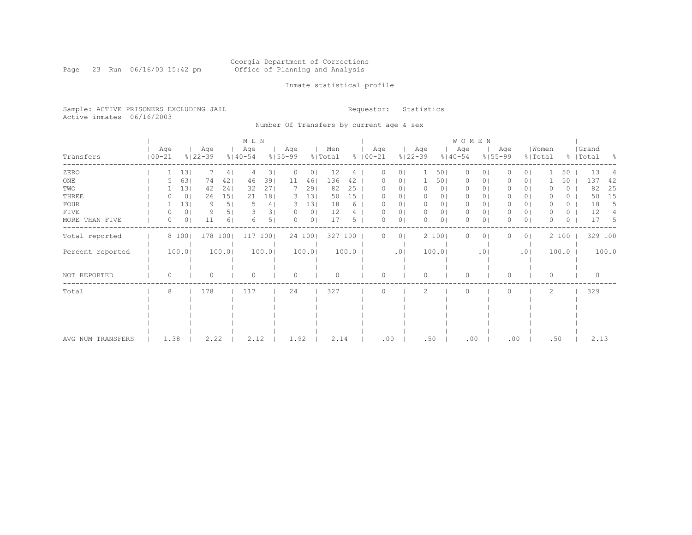#### Georgia Department of Corrections Page 23 Run 06/16/03 15:42 pm Office of Planning and Analysis

### Inmate statistical profile

Sample: ACTIVE PRISONERS EXCLUDING JAIL **Requestor:** Statistics Active inmates 06/16/2003

Number Of Transfers by current age & sex

|                   |                   |                |                    |       | M E N              |       |                    |                |                |       |               |                  |                |                    |                | W O M E N          |                |                    |                |                  |          |                    |       |
|-------------------|-------------------|----------------|--------------------|-------|--------------------|-------|--------------------|----------------|----------------|-------|---------------|------------------|----------------|--------------------|----------------|--------------------|----------------|--------------------|----------------|------------------|----------|--------------------|-------|
| Transfers         | Age<br>$100 - 21$ |                | Age<br>$8122 - 39$ |       | Age<br>$8140 - 54$ |       | Age<br>$8155 - 99$ |                | Men<br>% Total |       | $8   00 - 21$ | Age              |                | Age<br>$8122 - 39$ |                | Age<br>$8140 - 54$ |                | Age<br>$8155 - 99$ |                | Women<br>% Total |          | Grand<br>%   Total | - 옹   |
| ZERO              |                   | 131            |                    | 41    | 4                  | 31    | 0                  | 01             | 12             | 4     |               | $\Omega$         | $\Omega$       |                    | 501            | $\circ$            | 0 <sub>1</sub> |                    | 0 <sub>1</sub> |                  | 50       | 13                 |       |
| ONE               |                   | 63             | 74                 | 421   | 46                 | 39    | 11                 | 46             | 136            | 42    |               |                  | 0.             |                    | 501            | 0                  | 01             |                    | 01             |                  | 50       | 137                | 42    |
| TWO               |                   | 13             | 42                 | 24    | 32                 | 271   |                    | 29             | 82             | 25    |               |                  | 01             |                    | 0 <sub>1</sub> | 0                  | 01             |                    | 0 <sub>1</sub> |                  | 0        | 82                 | 25    |
| THREE             |                   | 0 <sub>1</sub> | 26                 | 151   | 21                 | 18    | 3.                 | 13             | 50             | 15    |               |                  | 01             |                    | 01             | $\Omega$           | 01             |                    | 0 <sub>1</sub> |                  | 0        | 50                 | 15    |
| <b>FOUR</b>       |                   | 13             | 9                  | 5     |                    | 4     | З.                 | 13             | 18             | 6     |               | 0                | 0 <sup>1</sup> |                    | 0 <sub>1</sub> | $\Omega$           | 0 <sup>1</sup> |                    | 0 <sup>1</sup> |                  | $\circ$  | 18                 | 5     |
| FIVE              |                   | 0 <sub>1</sub> | 9                  | 5     |                    | 31    | $\left( \right)$   | 0 <sub>1</sub> | 12             |       |               | $\left( \right)$ | 0 <sub>1</sub> | $\Omega$           | 01             | $\circ$            | 0 <sub>1</sub> |                    | 0 <sub>1</sub> |                  | 0        | 12                 |       |
| MORE THAN FIVE    | 0                 | 0 <sub>1</sub> | 11                 | 6     | 6                  | 51    | $\Omega$           | 0 <sup>1</sup> | 17             | 5.    |               | 0                | 0 <sup>1</sup> | ∩                  | 01             | $\bigcap$          | 0 <sub>1</sub> |                    | 0 <sup>1</sup> | O                | $\Omega$ | 17                 | -5    |
| Total reported    |                   | 8 100          | 178 100            |       | 117                | 100   |                    | 24 100         | 327 100        |       |               | 0                | $\circ$        |                    | 2 100          | 0                  | 0 <sub>1</sub> |                    | 0 <sub>1</sub> |                  | 2 100    | 329 100            |       |
| Percent reported  |                   | 100.0          |                    | 100.0 |                    | 100.0 |                    | 100.0          |                | 100.0 |               |                  | .01            |                    | 100.0          |                    | .01            |                    | .01            |                  | 100.0    |                    | 100.0 |
| NOT REPORTED      | $\Omega$          |                |                    |       | $\Omega$           |       | $\circ$            |                | $\Omega$       |       |               | 0                |                | ∩                  |                | $\Omega$           |                | $\Omega$           |                | 0                |          | $\Omega$           |       |
| Total             | 8                 |                | 178                |       | 117                |       | 24                 |                | 327            |       |               |                  |                | $\mathfrak{D}$     |                | $\bigcap$          |                |                    |                | 2                |          | 329                |       |
|                   |                   |                |                    |       |                    |       |                    |                |                |       |               |                  |                |                    |                |                    |                |                    |                |                  |          |                    |       |
|                   |                   |                |                    |       |                    |       |                    |                |                |       |               |                  |                |                    |                |                    |                |                    |                |                  |          |                    |       |
|                   |                   |                |                    |       |                    |       |                    |                |                |       |               |                  |                |                    |                |                    |                |                    |                |                  |          |                    |       |
|                   |                   |                |                    |       |                    |       |                    |                |                |       |               |                  |                |                    |                |                    |                |                    |                |                  |          |                    |       |
| AVG NUM TRANSFERS | 1.38              |                | 2.22               |       | 2.12               |       | 1.92               |                | 2.14           |       |               | .00              |                | .50                |                | .00                |                | .00                |                | .50              |          | 2.13               |       |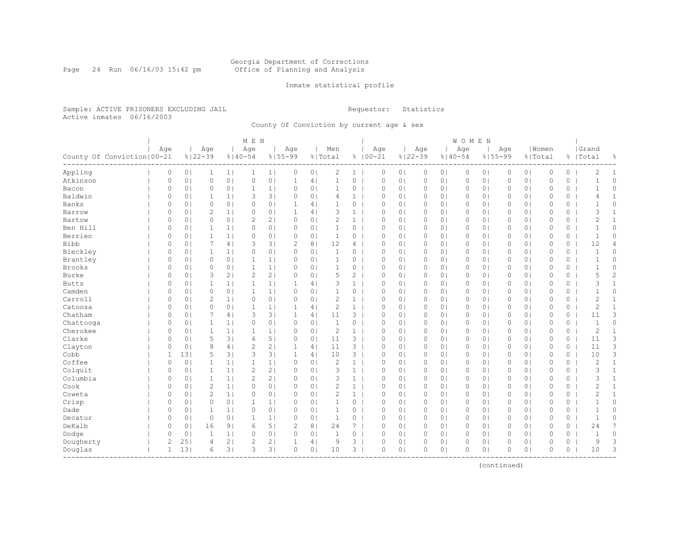#### Georgia Department of Corrections Page 24 Run 06/16/03 15:42 pm Office of Planning and Analysis

### Inmate statistical profile

Sample: ACTIVE PRISONERS EXCLUDING JAIL **Requestor:** Statistics Active inmates 06/16/2003

County Of Conviction by current age & sex

|                              |     |                |                |                    |                | M E N              |                |                    |                |                |                       |                    |                |                    |                | WOMEN    |                |          |                |                  |          |                    |                |
|------------------------------|-----|----------------|----------------|--------------------|----------------|--------------------|----------------|--------------------|----------------|----------------|-----------------------|--------------------|----------------|--------------------|----------------|----------|----------------|----------|----------------|------------------|----------|--------------------|----------------|
| County Of Conviction   00-21 | Age |                |                | Age<br>$8122 - 39$ |                | Age<br>$8140 - 54$ |                | Age<br>$8155 - 99$ |                | Men<br>% Total |                       | Age<br>$8100 - 21$ |                | Age<br>$8122 - 39$ | $8140 - 54$    | Age      | $8155 - 99$    | Age      |                | Women<br>% Total |          | Grand<br>%   Total | g.             |
| Appling                      |     | 0              | 0 <sub>1</sub> | 1                  | 1              | $\mathbf{1}$       | 1              | 0                  | 0 <sub>1</sub> | 2              | 1                     | 0                  | 0 <sub>1</sub> | $\circ$            | 0 <sub>1</sub> | $\circ$  | 0 <sub>1</sub> | 0        | 0 <sub>1</sub> | $\mathbb O$      | $\circ$  | $\overline{c}$     | 1              |
| Atkinson                     |     | 0              | 0 <sub>1</sub> | $\circ$            | 0 <sub>1</sub> | $\circ$            | 0 <sup>1</sup> | $\mathbf{1}$       | 4              | $\mathbf{1}$   | $\circ$               | $\mathbb O$        | 0 <sub>1</sub> | $\mathbb O$        | 0 <sub>1</sub> | 0        | 0 <sub>1</sub> | 0        | 0 <sub>1</sub> | $\mathbb O$      | $\circ$  | $\mathbf{1}$       | 0              |
| Bacon                        |     | 0              | 0 <sub>1</sub> | $\circ$            | 0 <sub>1</sub> | $\mathbf{1}$       | 1 <sup>1</sup> | 0                  | 0 <sub>1</sub> | $\mathbf{1}$   | 0                     | $\circ$            | 0 <sub>1</sub> | $\circ$            | 0 <sub>1</sub> | 0        | 0 <sub>1</sub> | 0        | 0 <sub>1</sub> | $\circ$          | 0        | $\mathbf 1$        | $\circ$        |
| Baldwin                      |     | $\Omega$       | 0 <sub>1</sub> | 1                  | 1 <sup>1</sup> | 3                  | 3 <sup>1</sup> | $\Omega$           | 0 <sub>1</sub> | 4              | $\mathbf{1}$          | $\Omega$           | 0 <sub>1</sub> | $\circ$            | 0 <sup>1</sup> | $\Omega$ | 0 <sub>1</sub> | $\Omega$ | 0 <sub>1</sub> | $\mathbf{0}$     | 0        | 4                  | 1              |
| Banks                        |     | $\Omega$       | 0 <sub>1</sub> | $\circ$            | 0 <sub>1</sub> | $\circ$            | 0 <sub>1</sub> | 1                  | 4 <sub>1</sub> | $\mathbf{1}$   | 0                     | $\circ$            | 0 <sup>1</sup> | $\circ$            | 0 <sup>1</sup> | 0        | 0 <sub>1</sub> | $\Omega$ | 0 <sub>1</sub> | $\circ$          | $\Omega$ | $\mathbf{1}$       | $\Omega$       |
| Barrow                       |     | 0              | 0 <sub>1</sub> | $\overline{2}$     | 1 <sub>1</sub> | 0                  | 0 <sub>1</sub> | 1                  | 4 <sub>1</sub> | 3              | $\mathbf{1}$          | $\circ$            | 0 <sub>1</sub> | $\circ$            | 0 <sub>1</sub> | $\circ$  | 0 <sub>1</sub> | 0        | 0 <sub>1</sub> | $\circ$          | 0        | 3                  | $\mathbf{1}$   |
| Bartow                       |     | 0              | 0 <sub>1</sub> | $\circ$            | 0 <sub>1</sub> | 2                  | 2 <sub>1</sub> | 0                  | 0 <sub>1</sub> | 2              | $\mathbf{1}$          | 0                  | 0 <sub>1</sub> | $\circ$            | 0 <sub>1</sub> | 0        | 0 <sub>1</sub> | 0        | 0 <sub>1</sub> | $\mathbb O$      | 0        | $\mathbf{2}$       | $\mathbf{1}$   |
| Ben Hill                     |     | $\circ$        | 0 <sub>1</sub> | $\mathbf{1}$       | 1 <sup>1</sup> | $\circ$            | 0 <sub>1</sub> | $\Omega$           | 0 <sub>1</sub> | $\mathbf{1}$   | 0                     | $\Omega$           | 0 <sub>1</sub> | $\circ$            | 0 <sup>1</sup> | 0        | 0 <sub>1</sub> | $\Omega$ | 0 <sub>1</sub> | $\mathbf{0}$     | $\circ$  | $\mathbf{1}$       | $\Omega$       |
| Berrien                      |     | $\circ$        | 0 <sub>1</sub> | $\mathbf{1}$       | 1 <sub>1</sub> | $\circ$            | 0 <sub>1</sub> | 0                  | 0 <sub>1</sub> | $\mathbf{1}$   | 0                     | $\Omega$           | 0 <sub>1</sub> | $\circ$            | 0 <sup>1</sup> | $\circ$  | 0 <sub>1</sub> | 0        | 0 <sub>1</sub> | $\mathbf{0}$     | 0        | $\mathbf{1}$       | 0              |
| <b>Bibb</b>                  |     | 0              | 0 <sub>1</sub> | 7                  | 4 <sub>1</sub> | 3                  | 3 <sup>1</sup> | $\overline{c}$     | 8 <sub>1</sub> | 12             | 4                     | $\mathbf 0$        | 0 <sub>1</sub> | 0                  | 0 <sub>1</sub> | 0        | 0 <sub>1</sub> | 0        | 0 <sub>1</sub> | $\mathbf{0}$     | $\circ$  | 12                 | 4              |
| Bleckley                     |     | 0              | 0 <sub>1</sub> | $\mathbf{1}$       | 1 <sup>1</sup> | 0                  | 0 <sup>1</sup> | 0                  | 0 <sub>1</sub> | $\mathbf 1$    | 0                     | $\circ$            | 0 <sup>1</sup> | $\circ$            | 0 <sup>1</sup> | 0        | 0 <sub>1</sub> | 0        | 0 <sub>1</sub> | $\circ$          | 0        | $\mathbf{1}$       | 0              |
| Brantley                     |     | 0              | 0 <sub>1</sub> | $\circ$            | 0 <sub>1</sub> | $\mathbf{1}$       | 1 <sub>1</sub> | 0                  | 0 <sub>1</sub> | $\mathbf{1}$   | 0                     | $\mathbf{0}$       | 0 <sub>1</sub> | $\circ$            | 0 <sup>1</sup> | 0        | 0 <sub>1</sub> | $\Omega$ | 0 <sub>1</sub> | $\mathbf{0}$     | $\circ$  | $\mathbf 1$        | 0              |
| Brooks                       |     | $\circ$        | 0 <sub>1</sub> | $\circ$            | 0 <sub>1</sub> | $\mathbf{1}$       | 1              | $\Omega$           | 0 <sub>1</sub> | $\mathbf{1}$   | $\circ$               | $\mathbb O$        | 0 <sub>1</sub> | 0                  | 0 <sub>1</sub> | 0        | 0 <sub>1</sub> | $\Omega$ | 0 <sub>1</sub> | $\mathbf{0}$     | 0        | $\mathbf{1}$       | 0              |
| Burke                        |     | 0              | 0 <sub>1</sub> | 3                  | 2 <sub>1</sub> | $\overline{c}$     | 2 <sub>1</sub> | $\circ$            | 0 <sub>1</sub> | 5              | $\mathbf{2}^{\prime}$ | $\mathbf{0}$       | 0 <sub>1</sub> | $\circ$            | 0 <sub>1</sub> | 0        | 0 <sub>1</sub> | 0        | 0 <sub>1</sub> | $\mathbf{0}$     | 0        | 5                  | $\overline{c}$ |
| <b>Butts</b>                 |     | 0              | 0 <sub>1</sub> | $\mathbf{1}$       | 1 <sup>1</sup> | 1                  | 1 <sub>1</sub> | $\mathbf{1}$       | 4              | 3              | $\mathbf{1}$          | $\circ$            | 0 <sub>1</sub> | $\circ$            | 0 <sup>1</sup> | 0        | 0 <sub>1</sub> | 0        | 0 <sub>1</sub> | $\circ$          | 0        | 3                  | $\mathbf{1}$   |
| Camden                       |     | $\circ$        | 0 <sub>1</sub> | $\circ$            | 0 <sub>1</sub> | $\mathbf{1}$       | 1              | 0                  | 0 <sub>1</sub> | 1              | 0                     | $\Omega$           | 0 <sub>1</sub> | $\circ$            | 0 <sub>1</sub> | 0        | 0 <sub>1</sub> | 0        | 0 <sub>1</sub> | $\mathbf{0}$     | $\circ$  |                    | 0              |
| Carroll                      |     | $\Omega$       | 0 <sub>1</sub> | $\overline{2}$     | 1 <sub>1</sub> | $\circ$            | 0 <sub>1</sub> | 0                  | 0 <sub>1</sub> | $\overline{c}$ | $\mathbf{1}$          | $\Omega$           | 0 <sup>1</sup> | $\circ$            | 0 <sup>1</sup> | 0        | 0 <sub>1</sub> | $\Omega$ | 0 <sub>1</sub> | $\Omega$         | 0        | 2                  | $\mathbf{1}$   |
| Catoosa                      |     | 0              | 0 <sub>1</sub> | $\circ$            | 0 <sub>1</sub> | $\mathbf{1}$       | 1 <sub>1</sub> | 1                  | 4              | $\overline{c}$ | $\mathbf{1}$          | $\circ$            | 0 <sub>1</sub> | $\circ$            | 0 <sup>1</sup> | 0        | 0 <sub>1</sub> | $\Omega$ | 0 <sub>1</sub> | $\mathbf{0}$     | 0        | 2                  | $\mathbf{1}$   |
| Chatham                      |     | 0              | 0 <sub>1</sub> | 7                  | 4              | 3                  | 3 <sub>1</sub> | 1                  | 4 <sub>1</sub> | 11             | 3 <sup>1</sup>        | 0                  | 0 <sub>1</sub> | $\circ$            | 0 <sub>1</sub> | 0        | 0 <sub>1</sub> | 0        | 0 <sub>1</sub> | $\mathbb O$      | 0        | 11                 | 3              |
| Chattooga                    |     | $\circ$        | 0 <sub>1</sub> | $\mathbf{1}$       | 1              | $\circ$            | 0 <sub>1</sub> | $\circ$            | 0 <sub>1</sub> | $\mathbf{1}$   | 0                     | $\mathbf{0}$       | 0 <sub>1</sub> | $\circ$            | 0 <sup>1</sup> | 0        | 0 <sub>1</sub> | $\Omega$ | 0 <sub>1</sub> | $\mathbf{0}$     | $\circ$  | $\mathbf{1}$       | 0              |
| Cherokee                     |     | $\circ$        | 0 <sub>1</sub> | $\mathbf{1}$       | 1 <sub>1</sub> | $\mathbf{1}$       | 1              | $\circ$            | 0 <sub>1</sub> | $\overline{c}$ | $\mathbf{1}$          | $\mathbf{0}$       | 0 <sub>1</sub> | $\circ$            | 0 <sup>1</sup> | $\circ$  | 0 <sub>1</sub> | 0        | 0 <sub>1</sub> | $\mathbf{0}$     | $\circ$  | $\mathbf{2}$       | $\mathbf{1}$   |
| Clarke                       |     | 0              | 0 <sub>1</sub> | 5                  | 3              | 6                  | 5              | 0                  | 0 <sub>1</sub> | 11             | $3-1$                 | $\circ$            | 0 <sub>1</sub> | 0                  | 0 <sub>1</sub> | 0        | 0 <sub>1</sub> | 0        | 0 <sub>1</sub> | $\mathbf{0}$     | 0        | 11                 | 3              |
| Clayton                      |     | 0              | 0 <sub>1</sub> | 8                  | 4 <sub>1</sub> | 2                  | 2 <sub>1</sub> | 1                  | 4 <sub>1</sub> | 11             | 3 <sup>1</sup>        | $\Omega$           | 0 <sub>1</sub> | $\circ$            | 0 <sub>1</sub> | 0        | 0 <sub>1</sub> | 0        | 0 <sub>1</sub> | $\mathbf{0}$     | 0        | 11                 | 3              |
| Cobb                         |     | 1              | 131            | 5                  | 31             | 3                  | 31             | $\mathbf{1}$       | 4 <sub>1</sub> | 10             | $3-1$                 | $\circ$            | 0 <sub>1</sub> | $\circ$            | 0 <sup>1</sup> | $\circ$  | 0 <sub>1</sub> | 0        | 0 <sub>1</sub> | $\circ$          | 0        | 10                 | 3              |
| Coffee                       |     | $\circ$        | 0 <sub>1</sub> | $\mathbf 1$        | 1 <sub>1</sub> | $\mathbf{1}$       | 1              | 0                  | 0 <sub>1</sub> | $\overline{c}$ | $\mathbf{1}$          | 0                  | 0 <sub>1</sub> | $\circ$            | 0 <sub>1</sub> | 0        | 0 <sub>1</sub> | 0        | 0 <sub>1</sub> | $\mathbf{0}$     | 0        | $\mathbf{2}$       | $\mathbf{1}$   |
| Colquit                      |     | 0              | 0 <sub>1</sub> | $\mathbf{1}$       | 1 <sub>1</sub> | $\mathbf{2}$       | 2 <sub>1</sub> | 0                  | 0 <sub>1</sub> | 3              | $\mathbf{1}$          | 0                  | 0 <sub>1</sub> | $\circ$            | 0 <sub>1</sub> | 0        | 0 <sub>1</sub> | 0        | 0 <sub>1</sub> | $\mathbb O$      | 0        | 3                  | $\mathbf{1}$   |
| Columbia                     |     | 0              | 0 <sub>1</sub> | $\mathbf{1}$       | 1 <sup>1</sup> | 2                  | 2 <sub>1</sub> | 0                  | 0 <sub>1</sub> | 3              | $\mathbf{1}$          | $\circ$            | 0 <sub>1</sub> | $\circ$            | 0 <sup>1</sup> | 0        | 0 <sub>1</sub> | 0        | 0 <sub>1</sub> | $\mathbf{0}$     | 0        | 3                  | $\mathbf{1}$   |
| Cook                         |     | $\Omega$       | 0 <sub>1</sub> | $\overline{2}$     | 1 <sup>1</sup> | 0                  | 0 <sub>1</sub> | $\Omega$           | 0 <sub>1</sub> | 2              | $\mathbf{1}$          | $\circ$            | 0 <sub>1</sub> | $\circ$            | 0 <sub>1</sub> | 0        | 0 <sub>1</sub> | $\Omega$ | 0 <sub>1</sub> | $\circ$          | $\circ$  | $\overline{2}$     | $\mathbf{1}$   |
| Coweta                       |     | $\circ$        | 0 <sub>1</sub> | $\overline{2}$     | 1 <sub>1</sub> | $\Omega$           | 0 <sup>1</sup> | $\Omega$           | 0              | $\overline{2}$ | $\mathbf{1}$          | $\bigcap$          | 0 <sup>1</sup> | $\circ$            | $\circ$        | $\Omega$ | 0 <sub>1</sub> | $\Omega$ | 0 <sub>1</sub> | $\mathbf{0}$     | $\circ$  | $\overline{2}$     | $\mathbf{1}$   |
| Crisp                        |     | 0              | 0 <sub>1</sub> | $\circ$            | 0 <sub>1</sub> | $\mathbf{1}$       | 1              | $\circ$            | 0 <sub>1</sub> | $\mathbf{1}$   | $\overline{0}$        | $\circ$            | 0 <sup>1</sup> | $\circ$            | 0 <sup>1</sup> | $\circ$  | 0 <sub>1</sub> | $\Omega$ | 0 <sub>1</sub> | $\mathbf{0}$     | 0        | $\mathbf{1}$       | 0              |
| Dade                         |     | 0              | 0 <sub>1</sub> | 1                  | 1 <sub>1</sub> | 0                  | 0 <sub>1</sub> | 0                  | 0 <sub>1</sub> | 1              | 0                     | 0                  | 0 <sub>1</sub> | $\circ$            | 0 <sub>1</sub> | 0        | 0 <sub>1</sub> | 0        | 0 <sub>1</sub> | 0                | 0        | $\mathbf{1}$       | 0              |
| Decatur                      |     | $\circ$        | 0 <sub>1</sub> | $\circ$            | 0 <sup>1</sup> | $\mathbf{1}$       | 1 <sub>1</sub> | $\Omega$           | 0 <sub>1</sub> | $\mathbf{1}$   | 0                     | $\mathbf{0}$       | 0 <sub>1</sub> | $\circ$            | 0 <sub>1</sub> | 0        | 0 <sub>1</sub> | $\Omega$ | 0 <sub>1</sub> | $\mathbf{0}$     | 0        | $\mathbf{1}$       | 0              |
| DeKalb                       |     | $\circ$        | 0 <sub>1</sub> | 16                 | 9 <sub>1</sub> | 6                  | 5 <sub>1</sub> | $\overline{c}$     | 8 <sub>1</sub> | 24             | 7 <sup>1</sup>        | $\mathbf{0}$       | 0 <sub>1</sub> | $\circ$            | $\circ$        | $\circ$  | 0 <sub>1</sub> | $\Omega$ | 0 <sub>1</sub> | $\mathbf{0}$     | $\circ$  | 24                 | 7              |
| Dodge                        |     | 0              | 0 <sub>1</sub> | 1                  | 1 <sub>1</sub> | 0                  | 0 <sub>1</sub> | 0                  | 0 <sub>1</sub> | 1              | 0                     | $\circ$            | 0 <sub>1</sub> | $\circ$            | 0 <sub>1</sub> | $\circ$  | 0 <sub>1</sub> | 0        | 0 <sub>1</sub> | $\circ$          | 0        | $\mathbf 1$        | 0              |
| Dougherty                    |     | $\overline{c}$ | 251            | 4                  | 2 <sub>1</sub> | 2                  | 2 <sub>1</sub> | 1                  | 4              | 9              | 3                     | $\Omega$           | $\circ$        | 0                  | 0 <sub>1</sub> | $\Omega$ | $\circ$        | 0        | 0 <sub>1</sub> | $\circ$          | 0        | 9                  | 3              |
| Douglas<br>--------------    |     | $\mathbf{1}$   | 131            | 6                  | 31             | 3                  | 31             | $\circ$            | 0 <sub>1</sub> | 10             | $3-1$                 | $\circ$            | 0 <sub>1</sub> | $\circ$            | 0 <sub>1</sub> | 0        | 0 <sub>1</sub> | $\Omega$ | 0 <sub>1</sub> | $\mathbf{0}$     | 0        | 10                 | 3              |

(continued)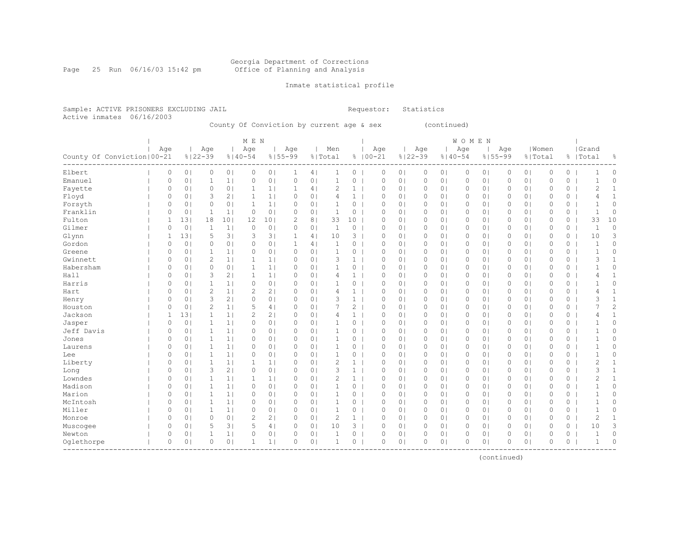Page 25 Run 06/16/03 15:42 pm

### Inmate statistical profile

Sample: ACTIVE PRISONERS EXCLUDING JAIL **Requestor:** Statistics Active inmates 06/16/2003

County Of Conviction by current age & sex (continued)

|                              |          |                |                |                | M E N          |                 |              |                |                |                |             |                |             |                | <b>WOMEN</b> |                |          |                |             |          |                |              |
|------------------------------|----------|----------------|----------------|----------------|----------------|-----------------|--------------|----------------|----------------|----------------|-------------|----------------|-------------|----------------|--------------|----------------|----------|----------------|-------------|----------|----------------|--------------|
|                              | Age      |                | Age            |                | Age            |                 | Age          |                | Men            |                | Age         |                | Age         |                | Age          |                | Age      |                | Women       |          | Grand          |              |
| County Of Conviction   00-21 |          |                | $8122 - 39$    |                | $8140 - 54$    |                 | $8155 - 99$  |                | % Total        |                | $8100 - 21$ |                | $8122 - 39$ | $8140 - 54$    |              | $8155 - 99$    |          | % Total        |             |          | %   Total      | 옹            |
| Elbert                       | 0        | 0 <sub>1</sub> | 0              | 0 <sub>1</sub> | $\circ$        | 0 <sub>1</sub>  | 1            | 4              | 1              | 0              | $\circ$     | 0 <sub>1</sub> | $\circ$     | 01             | 0            | $\circ$        | 0        | 0 <sub>1</sub> | $\circ$     | 0        | -1             | 0            |
| Emanuel                      | 0        | 0 <sub>1</sub> | 1              | 1              | 0              | 0 <sub>1</sub>  | $\circ$      | 0 <sub>1</sub> | 1              | 0              | $\circ$     | 0 <sub>1</sub> | $\circ$     | 0 <sub>1</sub> | $\circ$      | 0 <sub>1</sub> | $\Omega$ | 0 <sub>1</sub> | $\mathbf 0$ | 0        | -1             | 0            |
| Fayette                      | 0        | 0 <sub>1</sub> | $\circ$        | 0 <sub>1</sub> | $\mathbf 1$    | 1               | 1            | 4              | 2              | $\mathbf{1}$   | 0           | 0 <sub>1</sub> | 0           | 0 <sub>1</sub> | 0            | 0 <sub>1</sub> | 0        | 0 <sub>1</sub> | $\circ$     | 0        | $\mathbf{2}$   | $\mathbf{1}$ |
| Floyd                        | 0        | 0 <sub>1</sub> | 3              | 2              | $\mathbf{1}$   | 1 <sub>1</sub>  | $\circ$      | 0 <sub>1</sub> | 4              | $\mathbf{1}$   | $\circ$     | 0 <sub>1</sub> | 0           | 0 <sub>1</sub> | $\circ$      | 0 <sub>1</sub> | 0        | 0 <sub>1</sub> | $\circ$     | 0        | 4              | $\mathbf{1}$ |
| Forsyth                      | 0        | 0 <sup>1</sup> | $\mathbf 0$    | 0 <sub>1</sub> | $\mathbf{1}$   | 1 <sub>1</sub>  | $\circ$      | 0 <sub>1</sub> | $\mathbf{1}$   | $\circ$        | $\circ$     | 0 <sub>1</sub> | $\circ$     | 0 <sub>1</sub> | $\circ$      | 0 <sub>1</sub> | 0        | 0 <sub>1</sub> | $\circ$     | 0        | $\mathbf{1}$   | $\circ$      |
| Franklin                     | 0        | 0 <sup>1</sup> | $\mathbf{1}$   | 1 <sup>1</sup> | $\circ$        | 0 <sub>1</sub>  | $\circ$      | 0 <sub>1</sub> | $\mathbf{1}$   | 0              | $\circ$     | 0 <sub>1</sub> | $\circ$     | 0 <sub>1</sub> | $\circ$      | 0 <sub>1</sub> | 0        | 0 <sub>1</sub> | $\circ$     | 0        | $\mathbf 1$    | $\circ$      |
| Fulton                       | 1        | 131            | 18             | 101            | 12             | 10 <sub>1</sub> | 2            | 8 <sup>1</sup> | 33             | 10             | $\circ$     | 0 <sub>1</sub> | 0           | 0 <sub>1</sub> | $\circ$      | 0 <sub>1</sub> | 0        | 0 <sub>1</sub> | $\mathbf 0$ | 0        | 33             | 10           |
| Gilmer                       | 0        | 0              | 1              | 1 <sub>1</sub> | 0              | 0 <sub>1</sub>  | $\Omega$     | 0 <sub>1</sub> | $\mathbf 1$    | 0              | $\Omega$    | 0 <sub>1</sub> | 0           | 0 <sup>1</sup> | $\Omega$     | 0 <sub>1</sub> | $\Omega$ | 0 <sub>1</sub> | $\circ$     | 0        | $\mathbf{1}$   | 0            |
| Glynn                        | 1        | 13             | 5              | 3              | 3              | 3 <sup>1</sup>  | $\mathbf{1}$ | 4              | 10             | 3              | $\circ$     | 0 <sub>1</sub> | $\circ$     | 0 <sup>1</sup> | $\circ$      | $\circ$        | 0        | 0 <sub>1</sub> | $\circ$     | 0        | 10             | 3            |
| Gordon                       | 0        | 0 <sup>1</sup> | $\circ$        | 0 <sub>1</sub> | 0              | 0 <sub>1</sub>  | 1            | 4 <sub>1</sub> | $\mathbf{1}$   | 0              | $\circ$     | 0 <sub>1</sub> | $\circ$     | 0 <sup>1</sup> | $\circ$      | 0 <sub>1</sub> | 0        | 0 <sub>1</sub> | $\circ$     | 0        | 1              | 0            |
| Greene                       | 0        | 0 <sub>1</sub> | $\mathbf{1}$   | 1 <sub>1</sub> | 0              | 0 <sub>1</sub>  | $\circ$      | 0 <sub>1</sub> | $\mathbf{1}$   | 0              | $\circ$     | 0 <sub>1</sub> | $\circ$     | 0 <sub>1</sub> | $\circ$      | 0 <sub>1</sub> | 0        | 0 <sub>1</sub> | $\mathbf 0$ | 0        | $\mathbf{1}$   | 0            |
| Gwinnett                     | $\circ$  | 0 <sup>1</sup> | $\overline{c}$ | 1 <sub>1</sub> | $\mathbf{1}$   | 1 <sub>1</sub>  | $\circ$      | 0 <sub>1</sub> | 3              | $\mathbf{1}$   | $\circ$     | 0 <sub>1</sub> | $\circ$     | 0 <sub>1</sub> | $\circ$      | 0 <sub>1</sub> | 0        | 0 <sub>1</sub> | $\mathbf 0$ | 0        | 3              | $\mathbf{1}$ |
| Habersham                    | $\circ$  | 0 <sup>1</sup> | $\circ$        | 0 <sub>1</sub> | $\mathbf{1}$   | 1 <sub>1</sub>  | $\circ$      | 0 <sub>1</sub> | $\mathbf{1}$   | 0              | $\mathbf 0$ | 0 <sub>1</sub> | 0           | 0 <sub>1</sub> | 0            | 0 <sub>1</sub> | 0        | 0 <sub>1</sub> | $\mathbf 0$ | 0        | $\mathbf{1}$   | 0            |
| Hall                         | 0        | 0 <sub>1</sub> | 3              | 2 <sub>1</sub> | 1              | 1 <sub>1</sub>  | $\circ$      | 0 <sub>1</sub> | 4              | 1 <sup>1</sup> | $\circ$     | 0 <sub>1</sub> | 0           | 0 <sub>1</sub> | $\circ$      | 0 <sub>1</sub> | 0        | 0 <sub>1</sub> | $\mathbf 0$ | 0        | 4              | $\mathbf{1}$ |
| Harris                       | 0        | 0 <sup>1</sup> | $\mathbf{1}$   | 1 <sub>1</sub> | $\circ$        | 0 <sub>1</sub>  | $\circ$      | 0 <sub>1</sub> | -1             | $\circ$        | $\circ$     | 0 <sub>1</sub> | $\circ$     | 0 <sub>1</sub> | $\circ$      | 0 <sub>1</sub> | 0        | 0 <sub>1</sub> | $\circ$     | 0        |                | 0            |
| Hart                         | 0        | 0              | $\overline{c}$ | 1 <sub>1</sub> | $\overline{c}$ | 2 <sub>1</sub>  | $\circ$      | 0 <sub>1</sub> | 4              | $\mathbf{1}$   | $\circ$     | 0 <sub>1</sub> | $\circ$     | 0 <sub>1</sub> | $\circ$      | 0 <sub>1</sub> | 0        | 0 <sub>1</sub> | $\mathbf 0$ | 0        | 4              | $\mathbf{1}$ |
| Henry                        | 0        | 0              | 3              | 2 <sub>1</sub> | $\circ$        | 0 <sub>1</sub>  | $\Omega$     | 0 <sub>1</sub> | 3              | $\mathbf{1}$   | $\circ$     | 0 <sub>1</sub> | 0           | 0 <sub>1</sub> | $\circ$      | 0 <sub>1</sub> | 0        | 0 <sub>1</sub> | $\mathbf 0$ | 0        | 3              | $\mathbf{1}$ |
| Houston                      | 0        | 0              | $\overline{2}$ | 1 <sub>1</sub> | 5              | 4               | $\circ$      | 0 <sub>1</sub> | 7              | $\overline{2}$ | $\mathbf 0$ | 0 <sub>1</sub> | $\circ$     | 0 <sup>1</sup> | $\circ$      | $\circ$        | $\Omega$ | 0 <sub>1</sub> | $\mathbf 0$ | 0        | 7              | 2            |
| Jackson                      | 1        | 131            | $\mathbf{1}$   | 1 <sub>1</sub> | $\overline{c}$ | 2 <sub>1</sub>  | $\circ$      | 0 <sub>1</sub> | 4              | $\mathbf{1}$   | $\circ$     | 0 <sub>1</sub> | 0           | 0 <sub>1</sub> | 0            | 0 <sub>1</sub> | 0        | 0 <sub>1</sub> | $\mathbf 0$ | 0        | 4              | $\mathbf{1}$ |
| Jasper                       | 0        | 0 <sup>1</sup> | $\mathbf{1}$   | 1 <sub>1</sub> | 0              | 0 <sub>1</sub>  | $\circ$      | 0 <sub>1</sub> | 1              | 0              | $\circ$     | 0 <sub>1</sub> | $\circ$     | 0 <sub>1</sub> | $\circ$      | 0 <sub>1</sub> | 0        | 0 <sub>1</sub> | $\circ$     | 0        |                | 0            |
| Jeff Davis                   | $\circ$  | 0 <sub>1</sub> | $\mathbf{1}$   | 1              | $\circ$        | 0 <sub>1</sub>  | 0            | 0 <sub>1</sub> | 1              | 0              | 0           | 0 <sub>1</sub> | 0           | 0 <sub>1</sub> | 0            | 0 <sub>1</sub> | 0        | 0 <sub>1</sub> | $\circ$     | 0        | $\mathbf{1}$   | 0            |
| Jones                        | $\circ$  | 0 <sup>1</sup> | $\mathbf{1}$   | 1              | 0              | 0 <sub>1</sub>  | $\circ$      | 0 <sub>1</sub> | $\mathbf{1}$   | 0              | $\mathbf 0$ | 0 <sub>1</sub> | 0           | 0 <sub>1</sub> | $\circ$      | $\circ$        | 0        | 0 <sub>1</sub> | $\mathbf 0$ | 0        | $\mathbf{1}$   | 0            |
| Laurens                      | $\circ$  | 0 <sub>1</sub> | $\mathbf{1}$   | 1              | 0              | 0 <sub>1</sub>  | $\circ$      | 0 <sub>1</sub> | $\mathbf{1}$   | 0              | $\mathbf 0$ | 0 <sub>1</sub> | 0           | 0 <sub>1</sub> | $\circ$      | 0 <sub>1</sub> | 0        | 0 <sub>1</sub> | $\mathbf 0$ | 0        | $\mathbf 1$    | 0            |
| Lee                          | $\circ$  | 0 <sup>1</sup> | $\mathbf{1}$   | 1              | $\Omega$       | 0 <sub>1</sub>  | $\circ$      | 0 <sub>1</sub> | 1              | 0              | $\circ$     | 0 <sub>1</sub> | 0           | 0 <sub>1</sub> | 0            | 0 <sub>1</sub> | 0        | 0 <sub>1</sub> | $\mathbf 0$ | 0        |                | 0            |
| Liberty                      | 0        | 0              | 1              | 1              | $\mathbf{1}$   | 1               | $\circ$      | 0              | 2              | $\mathbf{1}$   | $\circ$     | 0 <sub>1</sub> | $\circ$     | 0 <sub>1</sub> | $\circ$      | 0 <sub>1</sub> | 0        | 0 <sub>1</sub> | $\circ$     | 0        | $\overline{c}$ | 1            |
| Long                         | $\circ$  | 0              | 3              | 2 <sub>1</sub> | $\circ$        | 0 <sub>1</sub>  | $\circ$      | 0 <sub>1</sub> | 3              | $\mathbf{1}$   | $\mathbf 0$ | 0 <sub>1</sub> | $\circ$     | 0 <sub>1</sub> | $\circ$      | 0 <sub>1</sub> | $\Omega$ | 0 <sub>1</sub> | $\mathbf 0$ | 0        | 3              | $\mathbf{1}$ |
| Lowndes                      | $\circ$  | 0 <sup>1</sup> | $\mathbf{1}$   | 1 <sub>1</sub> | $\mathbf{1}$   | 1 <sub>1</sub>  | $\circ$      | 0 <sub>1</sub> | $\overline{2}$ | $\mathbf{1}$   | $\circ$     | 0 <sub>1</sub> | $\circ$     | 0 <sup>1</sup> | $\circ$      | $\circ$        | $\Omega$ | 0 <sub>1</sub> | $\mathbf 0$ | 0        | 2              | $\mathbf{1}$ |
| Madison                      | $\circ$  | 0 <sub>1</sub> | $\mathbf{1}$   | 1 <sub>1</sub> | $\circ$        | 0 <sub>1</sub>  | $\circ$      | 0 <sub>1</sub> | 1              | 0              | $\circ$     | 0 <sub>1</sub> | 0           | 0 <sub>1</sub> | 0            | 0 <sub>1</sub> | 0        | 0 <sub>1</sub> | $\mathbf 0$ | 0        | $\mathbf{1}$   | 0            |
| Marion                       | 0        | 0 <sub>1</sub> | 1              | 1 <sub>1</sub> | 0              | 0 <sub>1</sub>  | $\circ$      | 0 <sub>1</sub> | 1              | 0              | 0           | 0 <sub>1</sub> | 0           | 0 <sub>1</sub> | 0            | 0 <sub>1</sub> | 0        | 0 <sub>1</sub> | 0           | 0        | $\mathbf{1}$   | 0            |
| McIntosh                     | 0        | 0 <sub>1</sub> | 1              | 1 <sub>1</sub> | 0              | 0 <sub>1</sub>  | $\circ$      | 0 <sub>1</sub> | 1              | 0              | $\circ$     | 0 <sub>1</sub> | 0           | 0 <sub>1</sub> | $\circ$      | 0 <sub>1</sub> | 0        | 0 <sub>1</sub> | $\circ$     | 0        | 1              | 0            |
| Miller                       | 0        | 0 <sup>1</sup> | $\mathbf{1}$   | 1 <sub>1</sub> | 0              | 0 <sub>1</sub>  | $\circ$      | 0 <sub>1</sub> | $\mathbf{1}$   | 0              | $\circ$     | 0 <sub>1</sub> | $\circ$     | 0 <sub>1</sub> | $\circ$      | 0 <sub>1</sub> | $\Omega$ | 0 <sub>1</sub> | $\circ$     | 0        | $\mathbf{1}$   | 0            |
| Monroe                       | $\circ$  | 0 <sub>1</sub> | $\circ$        | 0 <sub>1</sub> | $\overline{c}$ | 2 <sub>1</sub>  | $\circ$      | 0 <sub>1</sub> | $\overline{c}$ | 1 <sup>1</sup> | $\circ$     | 0 <sub>1</sub> | 0           | 0 <sub>1</sub> | $\circ$      | 0 <sub>1</sub> | 0        | 0 <sub>1</sub> | $\circ$     | $\circ$  | $\overline{2}$ | $\mathbf{1}$ |
| Muscogee                     | 0        | 0 <sub>1</sub> | 5              | 3              | 5              | 4               | $\circ$      | 0 <sub>1</sub> | 10             | $3-1$          | $\circ$     | 0 <sub>1</sub> | 0           | 0 <sub>1</sub> | 0            | 0 <sub>1</sub> | 0        | 0 <sub>1</sub> | $\circ$     | 0        | 10             | 3            |
| Newton                       | 0        | 0              | 1              | 1              | 0              | 0 <sub>1</sub>  | $\circ$      | 0 <sub>1</sub> | $\mathbf{1}$   | 0              | $\circ$     | 0 <sub>1</sub> | $\Omega$    | 0 <sub>1</sub> | $\Omega$     | $\circ$        | $\Omega$ | 0 <sub>1</sub> | $\circ$     | 0        | $\mathbf 1$    | 0            |
| Oqlethorpe                   | $\Omega$ | $\Omega$       | $\Omega$       | 0 <sub>1</sub> | 1              | 1 <sub>1</sub>  | $\Omega$     | 0 <sub>1</sub> | 1              | 0              | $\Omega$    | 0 <sub>1</sub> | $\Omega$    | 0 <sub>1</sub> | $\Omega$     | $\circ$        | $\Omega$ | 0 <sub>1</sub> | $\Omega$    | $\Omega$ | $\mathbf{1}$   | $\Omega$     |
|                              |          |                |                |                |                |                 |              |                |                |                |             |                |             |                |              |                |          |                |             |          |                |              |

(continued)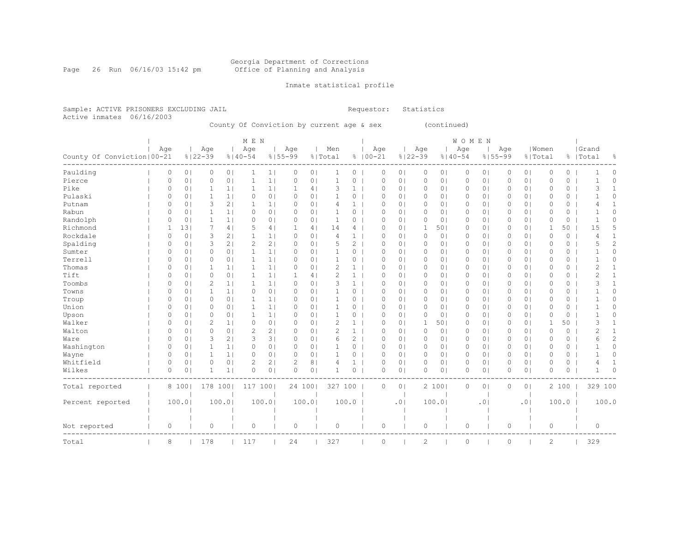Page 26 Run 06/16/03 15:42 pm

### Inmate statistical profile

Sample: ACTIVE PRISONERS EXCLUDING JAIL **Requestor:** Statistics Active inmates 06/16/2003

County Of Conviction by current age & sex (continued)

| County Of Conviction   00-21 | Age      |                | Age<br>$8122 - 39$ |                | M E N<br>Age<br>$8140 - 54$ |                | Age<br>$8155 - 99$ |                | Men<br>% Total |                | Age<br>$8100 - 21$ |                | Age<br>$8122 - 39$ |                | WOMEN<br>Age<br>$8140 - 54$ | $8155 - 99$    | Age         |                | Women<br>% Total |         | Grand<br>%   Total | g.           |
|------------------------------|----------|----------------|--------------------|----------------|-----------------------------|----------------|--------------------|----------------|----------------|----------------|--------------------|----------------|--------------------|----------------|-----------------------------|----------------|-------------|----------------|------------------|---------|--------------------|--------------|
| Paulding                     | 0        | 0 <sub>1</sub> | 0                  | 0 <sub>1</sub> | 1                           | 1 <sub>1</sub> | 0                  | 0 <sub>1</sub> | 1              | $\circ$        | 0                  | 0 <sub>1</sub> | $\circ$            | 0 <sub>1</sub> | 0                           | 0              | $\circ$     | 0 <sub>1</sub> | $\circ$          | $\circ$ | 1                  | 0            |
| Pierce                       | $\circ$  | 0 <sub>1</sub> | 0                  | 0 <sup>1</sup> | $\mathbf{1}$                | 1 <sub>1</sub> | 0                  | 0 <sub>1</sub> | $\mathbf{1}$   | $\circ$        | $\circ$            | 0 <sub>1</sub> | $\circ$            | 0 <sub>1</sub> | $\circ$                     | 0 <sup>1</sup> | $\circ$     | 0 <sub>1</sub> | $\circ$          | $\circ$ | -1                 | $\circ$      |
| Pike                         | 0        | 0 <sub>1</sub> | 1                  | 1 <sub>1</sub> | 1                           | 1 <sub>1</sub> | 1                  | 4              | 3              | 1              | $\Omega$           | 0 <sub>1</sub> | $\mathbf 0$        | 0              | $\circ$                     | $\circ$        | 0           | 0 <sub>1</sub> | $\circ$          | 0       | 3                  | 1            |
| Pulaski                      | 0        | 0 <sub>1</sub> | 1                  | 1 <sup>1</sup> | $\circ$                     | 0 <sub>1</sub> | 0                  | 0 <sub>1</sub> |                | $\circ$        | $\Omega$           | 01             | 0                  | 01             | 0                           | 0              | 0           | 0 <sub>1</sub> | 0                | 0       |                    | 0            |
| Putnam                       | $\Omega$ | 0 <sub>1</sub> | 3                  | 21             | 1                           | 1 <sub>1</sub> | 0                  | 0 <sub>1</sub> | 4              | 1              | $\Omega$           | 0              | $\mathbf 0$        | 01             | $\circ$                     | 0              | 0           | 0 <sup>1</sup> | $\circ$          | 0       | 4                  | 1            |
| Rabun                        | 0        | 0 <sub>1</sub> | 1                  | 1 <sub>1</sub> | $\circ$                     | 0 <sub>1</sub> | 0                  | 0 <sub>1</sub> |                | $\circ$        | $\Omega$           | 0 <sup>1</sup> | $\circ$            | 01             | 0                           | 0              | 0           | 0 <sup>1</sup> | $\circ$          | 0       | -1                 | 0            |
| Randolph                     | 0        | 0 <sub>1</sub> | 1                  | 1 <sup>1</sup> | $\circ$                     | 0 <sub>1</sub> | 0                  | 0 <sup>1</sup> | 1              | 0              | $\Omega$           | 0 <sub>1</sub> | $\circ$            | 0 <sub>1</sub> | 0                           | 0 <sub>1</sub> | 0           | 0 <sub>1</sub> | $\circ$          | 0       | -1                 | 0            |
| Richmond                     | 1        | 131            |                    | 4              | 5                           | 4              | 1                  | 4              | 14             | 4              | 0                  | 0 <sub>1</sub> | 1                  | 501            | 0                           | 0 <sub>1</sub> | 0           | 0 <sub>1</sub> | $\mathbf 1$      | 50      | 15                 | 5            |
| Rockdale                     | 0        | 0 <sub>1</sub> | 3                  | 21             | $\mathbf 1$                 | 1 <sub>1</sub> | 0                  | 0 <sub>1</sub> | 4              | $\mathbf{1}$   | $\Omega$           | 0 <sub>1</sub> | $\circ$            | 0 <sub>1</sub> | $\circ$                     | 0 <sup>1</sup> | $\circ$     | 0 <sub>1</sub> | $\mathbf{0}$     | $\circ$ | 4                  | $\mathbf{1}$ |
| Spalding                     | $\Omega$ | 0 <sub>1</sub> | 3                  | 2 <sub>1</sub> | $\overline{c}$              | 2 <sub>1</sub> | 0                  | 0 <sup>1</sup> | 5              | 2              | $\circ$            | 0 <sub>1</sub> | $\circ$            | 0 <sub>1</sub> | $\circ$                     | 0              | $\circ$     | 0 <sub>1</sub> | $\circ$          | 0       | 5                  | $\mathbf{2}$ |
| Sumter                       | 0        | 0 <sub>1</sub> | 0                  | 0 <sub>1</sub> | $\mathbf 1$                 | 1 <sub>1</sub> | 0                  | 0 <sup>1</sup> |                | $\circ$        | $\circ$            | 0 <sub>1</sub> | $\circ$            | 01             | $\circ$                     | 0 <sup>1</sup> | 0           | 0 <sub>1</sub> | $\circ$          | 0       |                    | 0            |
| Terrell                      | $\Omega$ | 0 <sub>1</sub> | 0                  | 0 <sub>1</sub> | 1                           | 1 <sub>1</sub> | 0                  | 0 <sub>1</sub> |                | 0              | $\Omega$           | 0 <sup>1</sup> | $\circ$            | 0              | 0                           | 0              | 0           | 0 <sub>1</sub> | $\circ$          | 0       |                    | 0            |
| Thomas                       | $\circ$  | 0 <sub>1</sub> | 1                  | 1 <sub>1</sub> | $\mathbf{1}$                | 1 <sub>1</sub> | 0                  | 0 <sub>1</sub> | $\overline{c}$ | $\mathbf{1}$   | $\Omega$           | $\circ$        | $\mathbf 0$        | 0 <sub>1</sub> | 0                           | 0              | $\mathbf 0$ | 0 <sup>1</sup> | $\circ$          | 0       | 2                  | $\mathbf{1}$ |
| Tift                         | 0        | 0 <sub>1</sub> | 0                  | 0 <sub>1</sub> | 1                           | 1 <sub>1</sub> | 1                  | 4              | $\mathcal{D}$  | $\mathbf{1}$   | $\Omega$           | 0 <sup>1</sup> | $\mathbf 0$        | 0 <sub>1</sub> | 0                           | 0              | $\circ$     | 0 <sup>1</sup> | $\circ$          | 0       | $\overline{c}$     | $\mathbf{1}$ |
| Toombs                       | 0        | 0 <sub>1</sub> | $\overline{2}$     | 1 <sup>1</sup> | 1                           | 1 <sub>1</sub> | 0                  | 0 <sub>1</sub> | 3              | $\mathbf{1}$   | $\Omega$           | 0 <sub>1</sub> | $\circ$            | 0 <sub>1</sub> | 0                           | 0              | 0           | 0 <sup>1</sup> | $\circ$          | 0       | 3                  | $\mathbf{1}$ |
| Towns                        | 0        | 0 <sub>1</sub> | 1                  | 1 <sub>1</sub> | 0                           | 0 <sub>1</sub> | 0                  | 0 <sub>1</sub> |                | 0              | 0                  | 0 <sub>1</sub> | $\mathbf 0$        | 0 <sub>1</sub> | 0                           | 0 <sub>1</sub> | 0           | 0 <sub>1</sub> | 0                | 0       |                    | 0            |
| Troup                        | 0        | 0 <sub>1</sub> | 0                  | 0 <sub>1</sub> | $\mathbf 1$                 | 1 <sub>1</sub> | 0                  | 0 <sub>1</sub> |                | $\circ$        | 0                  | 0 <sub>1</sub> | $\circ$            | 0 <sub>1</sub> | 0                           | $\circ$        | $\mathbf 0$ | 0 <sub>1</sub> | $\mathbb O$      | 0       | 1                  | 0            |
| Union                        | $\Omega$ | 0 <sub>1</sub> | 0                  | 0 <sub>1</sub> | 1                           | 1 <sub>1</sub> | $\Omega$           | 0 <sub>1</sub> | $\mathbf{1}$   | $\circ$        | $\circ$            | 0 <sub>1</sub> | $\circ$            | 0 <sub>1</sub> | 0                           | 0              | 0           | 0 <sup>1</sup> | $\circ$          | 0       | $\mathbf{1}$       | 0            |
| Upson                        | $\Omega$ | 0 <sub>1</sub> | 0                  | 0 <sub>1</sub> | $\mathbf{1}$                | 1 <sub>1</sub> | $\Omega$           | 0 <sub>1</sub> | 1              | 0              | $\Omega$           | 0 <sub>1</sub> | $\circ$            | 0 <sub>1</sub> | $\circ$                     | $\circ$        | 0           | 0 <sub>1</sub> | $\circ$          | 0       | -1                 | 0            |
| Walker                       | $\Omega$ | 0 <sub>1</sub> | $\overline{2}$     | 1              | 0                           | 0 <sub>1</sub> | 0                  | 0 <sub>1</sub> | $\overline{c}$ | 1              | $\Omega$           | 0 <sub>1</sub> | 1                  | 501            | $\circ$                     | 0              | 0           | 0 <sub>1</sub> | 1                | 50      | 3                  | 1            |
| Walton                       | $\Omega$ | 0 <sub>1</sub> | 0                  | 0 <sub>1</sub> | $\overline{2}$              | 2 <sub>1</sub> | 0                  | 0 <sub>1</sub> | $\overline{c}$ | $\mathbf{1}$   | $\Omega$           | 0 <sup>1</sup> | $\circ$            | 0 <sub>1</sub> | 0                           | 0              | 0           | 0 <sub>1</sub> | $\circ$          | 0       | 2                  | 1            |
| Ware                         | $\Omega$ | 0 <sub>1</sub> | 3                  | 21             | 3                           | 3              | 0                  | 0 <sub>1</sub> | 6              | $\overline{c}$ | $\Omega$           | $\circ$        | $\mathbf 0$        | 0 <sub>1</sub> | 0                           | 0              | $\mathbf 0$ | 0 <sup>1</sup> | $\circ$          | 0       | 6                  | 2            |
| Washington                   | 0        | 0 <sub>1</sub> | 1                  | 1 <sub>1</sub> | $\circ$                     | 0 <sub>1</sub> | 0                  | 0 <sub>1</sub> | 1              | $\circ$        | $\Omega$           | 0 <sup>1</sup> | $\mathbf 0$        | 0 <sub>1</sub> | 0                           | 0              | $\circ$     | 0 <sup>1</sup> | $\circ$          | 0       | -1                 | 0            |
| Wayne                        | $\circ$  | 0 <sub>1</sub> | 1                  | 1 <sub>1</sub> | $\circ$                     | 0 <sub>1</sub> | 0                  | 0 <sub>1</sub> | 1              | 0              | $\circ$            | 0 <sub>1</sub> | $\circ$            | 0 <sub>1</sub> | 0                           | 0 <sub>1</sub> | $\circ$     | 0 <sub>1</sub> | $\circ$          | 0       | -1                 | 0            |
| Whitfield                    | $\Omega$ | 0 <sub>1</sub> | 0                  | 0 <sub>1</sub> | $\overline{2}$              | 2 <sub>1</sub> | 2                  | 8 <sup>1</sup> | 4              | $\mathbf{1}$   | $\Omega$           | 0 <sub>1</sub> | $\circ$            | 0 <sub>1</sub> | $\circ$                     | 0 <sub>1</sub> | $\Omega$    | 0 <sub>1</sub> | $\circ$          | 0       | 4                  | 1            |
| Wilkes                       | $\circ$  | 0 <sub>1</sub> | 1                  | 1 <sub>1</sub> | $\mathbf 0$                 | 0 <sub>1</sub> | $\circ$            | 0 <sub>1</sub> |                | $\circ$        | $\Omega$           | 0 <sub>1</sub> | $\mathbf 0$        | 0 <sub>1</sub> | 0                           | 0              | $\Omega$    | 0 <sup>1</sup> | $\mathbf{0}$     | $\circ$ | 1                  | $\Omega$     |
| Total reported               |          | 8 100          | 178 100            |                | 117                         | 1001           | 24 1001            |                | 327 100        |                | $\circ$            | 0 <sub>1</sub> |                    | 2 100          | $\circ$                     | 0              | $\circ$     | 0 <sup>1</sup> |                  | 2 100   | 329 100            |              |
| Percent reported             |          | 100.01         |                    | 100.0          |                             | 100.01         |                    | 100.0          |                | 100.0          |                    | .01            |                    | 100.01         |                             | $\cdot$ 0      |             | .01            |                  | 100.0   |                    | 100.0        |
| Not reported                 | 0        |                | 0                  |                | $\circ$                     |                | 0                  |                | $\circ$        |                | 0                  |                | 0                  |                | $\circ$                     |                | 0           |                | $\circ$          |         | $\circ$            |              |
| Total                        | 8        |                | 178                |                | 117                         |                | 24                 |                | 327            |                | 0                  |                | 2                  |                | $\circ$                     |                | $\circ$     |                | $\overline{c}$   |         | 329                |              |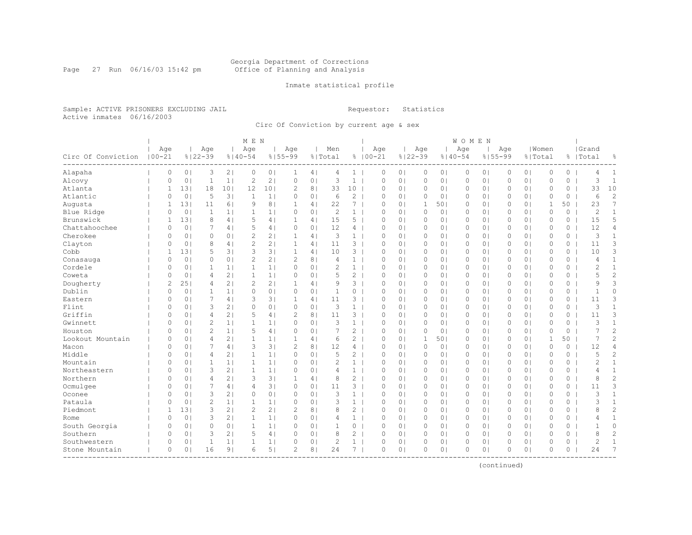#### Georgia Department of Corrections Page 27 Run 06/16/03 15:42 pm Office of Planning and Analysis

### Inmate statistical profile

Sample: ACTIVE PRISONERS EXCLUDING JAIL **Requestor:** Statistics Active inmates 06/16/2003

Circ Of Conviction by current age & sex

|                    |                   |                |                    |                | M E N              |                |                    |                |                |                       |                    |                |                    |                | WOMEN    |                |          |                |                  |          |                    |                |
|--------------------|-------------------|----------------|--------------------|----------------|--------------------|----------------|--------------------|----------------|----------------|-----------------------|--------------------|----------------|--------------------|----------------|----------|----------------|----------|----------------|------------------|----------|--------------------|----------------|
| Circ Of Conviction | Age<br>$100 - 21$ |                | Age<br>$8122 - 39$ |                | Age<br>$8140 - 54$ |                | Aqe<br>$8155 - 99$ |                | Men<br>% Total |                       | Age<br>$8100 - 21$ |                | Age<br>$8122 - 39$ | $8140 - 54$    | Age      | $8155 - 99$    | Age      |                | Women<br>% Total |          | Grand<br>%   Total | g.             |
| Alapaha            | 0                 | 0 <sub>1</sub> | 3                  | 2 <sub>1</sub> | $\circ$            | 0 <sub>1</sub> | $\mathbf{1}$       | 4              | 4              | 1 <sup>1</sup>        | 0                  | 0 <sub>1</sub> | $\circ$            | 0 <sub>1</sub> | 0        | 0 <sub>1</sub> | 0        | 0 <sub>1</sub> | 0                | $\circ$  | 4                  | 1              |
| Alcovy             | 0                 | 0 <sub>1</sub> | $\mathbf{1}$       | 1 <sub>1</sub> | $\overline{c}$     | 2 <sub>1</sub> | $\circ$            | 0 <sub>1</sub> | 3              | $\mathbf{1}$          | $\circ$            | 0 <sub>1</sub> | $\circ$            | 0 <sub>1</sub> | 0        | 0 <sub>1</sub> | 0        | 0 <sub>1</sub> | $\mathbb O$      | 0        | 3                  | $\mathbf{1}$   |
| Atlanta            | $\mathbf{1}$      | 131            | 18                 | 101            | 12                 | 101            | 2                  | 8 <sup>1</sup> | 33             | 10                    | $\circ$            | 0 <sub>1</sub> | $\circ$            | 0 <sub>1</sub> | $\circ$  | 0 <sub>1</sub> | 0        | 0 <sub>1</sub> | $\circ$          | 0        | 33                 | 10             |
| Atlantic           | $\Omega$          | 0 <sub>1</sub> | 5                  | 3              | $\mathbf{1}$       | 1 <sub>1</sub> | $\Omega$           | 0 <sub>1</sub> | 6              | $\mathbf{2}^{\prime}$ | $\Omega$           | 0 <sub>1</sub> | $\Omega$           | 0 <sub>1</sub> | $\circ$  | 0 <sub>1</sub> | 0        | 0 <sup>1</sup> | $\mathbf{0}$     | $\circ$  | 6                  | $\overline{c}$ |
| Augusta            | $\mathbf{1}$      | 131            | 11                 | 61             | 9                  | 8 <sup>1</sup> | $\mathbf{1}$       | 4 <sup>1</sup> | 22             | $7^{\circ}$           | $\Omega$           | $\Omega$       | $\mathbf{1}$       | 501            | $\circ$  | 0 <sub>1</sub> | $\Omega$ | 0 <sub>1</sub> | $\mathbf{1}$     | 50       | 23                 | 7              |
| Blue Ridge         | 0                 | 0 <sub>1</sub> | 1                  | 1 <sub>1</sub> | $\mathbf 1$        | 1 <sub>1</sub> | $\circ$            | 0 <sub>1</sub> | 2              | $\mathbf{1}$          | 0                  | 0 <sub>1</sub> | $\circ$            | 0 <sub>1</sub> | 0        | 0 <sub>1</sub> | $\Omega$ | 0 <sub>1</sub> | $\mathbf{0}$     | $\circ$  | $\overline{2}$     | $\mathbf{1}$   |
| Brunswick          | 1                 | 131            | 8                  | 4              | 5                  | 4              | $\mathbf{1}$       | 4              | 15             | 5                     | 0                  | 0 <sub>1</sub> | $\circ$            | 0 <sub>1</sub> | 0        | 0 <sub>1</sub> | 0        | 0 <sub>1</sub> | 0                | 0        | 15                 | 5              |
| Chattahoochee      | $\Omega$          | 0 <sub>1</sub> | 7                  | 4              | 5                  | 4              | $\circ$            | 0 <sub>1</sub> | 12             | $\overline{4}$        | $\Omega$           | 0 <sub>1</sub> | $\circ$            | 0 <sub>1</sub> | $\circ$  | 0 <sub>1</sub> | $\Omega$ | 0 <sub>1</sub> | $\mathbf{0}$     | $\circ$  | 12                 | 4              |
| Cherokee           | 0                 | 0 <sup>1</sup> | $\Omega$           | 0 <sub>1</sub> | $\overline{c}$     | 2 <sub>1</sub> | $\mathbf{1}$       | 4              | 3              | 1 <sup>1</sup>        | $\Omega$           | 0 <sub>1</sub> | $\circ$            | 0 <sub>1</sub> | $\circ$  | 0 <sub>1</sub> | 0        | 0 <sub>1</sub> | $\mathbf{0}$     | 0        | 3                  | $\mathbf{1}$   |
| Clayton            | 0                 | 0 <sub>1</sub> | 8                  | 4              | $\overline{c}$     | 2 <sub>1</sub> | 1                  | 4              | 11             | 3 <sup>7</sup>        | $\Omega$           | 0 <sub>1</sub> | 0                  | 0 <sub>1</sub> | 0        | 0 <sub>1</sub> | $\Omega$ | 0 <sub>1</sub> | $\mathbf{0}$     | 0        | 11                 | 3              |
| Cobb               | 1                 | 131            | 5                  | 3 <sup>1</sup> | 3                  | 31             | $\mathbf{1}$       | 4 <sup>1</sup> | 10             | 3                     | $\Omega$           | $\circ$        | $\circ$            | 0 <sub>1</sub> | $\circ$  | 0 <sub>1</sub> | 0        | 0 <sub>1</sub> | $\circ$          | 0        | 10                 | 3              |
| Conasauga          | $\Omega$          | 0 <sup>1</sup> | 0                  | 0 <sub>1</sub> | $\overline{c}$     | 2 <sub>1</sub> | $\overline{c}$     | 8 <sub>1</sub> | $\overline{4}$ | 1 <sup>1</sup>        | $\Omega$           | 0 <sub>1</sub> | $\circ$            | 0 <sub>1</sub> | 0        | 0 <sub>1</sub> | $\Omega$ | 0 <sub>1</sub> | $\mathbf{0}$     | $\circ$  | 4                  | $\mathbf{1}$   |
| Cordele            | $\Omega$          | 0 <sub>1</sub> | 1                  | 1 <sub>1</sub> | $\mathbf{1}$       | 1 <sub>1</sub> | $\circ$            | 0 <sub>1</sub> | $\overline{2}$ | $\mathbf{1}$          | $\Omega$           | 0 <sub>1</sub> | $\circ$            | 0 <sub>1</sub> | $\Omega$ | 0 <sub>1</sub> | $\Omega$ | 0 <sub>1</sub> | $\mathbf{0}$     | 0        | $\overline{2}$     | $\mathbf{1}$   |
| Coweta             | $\Omega$          | 0 <sup>1</sup> | 4                  | 2 <sub>1</sub> | $\mathbf{1}$       | 1 <sub>1</sub> | $\circ$            | 0 <sub>1</sub> | 5              | $\overline{2}$        | $\circ$            | 0 <sub>1</sub> | $\circ$            | 0 <sub>1</sub> | $\circ$  | 0 <sub>1</sub> | $\Omega$ | 0 <sub>1</sub> | $\mathbf{0}$     | 0        | 5                  | $\overline{c}$ |
| Dougherty          | $\overline{2}$    | 251            | 4                  | 2 <sub>1</sub> | $\overline{2}$     | 2 <sub>1</sub> | $\mathbf{1}$       | 4              | 9              | $3-1$                 | $\circ$            | 0 <sub>1</sub> | $\circ$            | 0 <sub>1</sub> | $\circ$  | 0 <sub>1</sub> | 0        | 0 <sup>1</sup> | $\circ$          | 0        | 9                  | 3              |
| Dublin             | $\Omega$          | 0 <sub>1</sub> | 1                  | 1 <sub>1</sub> | $\circ$            | 0 <sub>1</sub> | $\Omega$           | 0 <sub>1</sub> | $\mathbf 1$    | 0                     | $\Omega$           | 0 <sub>1</sub> | $\circ$            | 0 <sub>1</sub> | $\circ$  | 0 <sub>1</sub> | $\Omega$ | 0 <sub>1</sub> | $\Omega$         | 0        |                    | 0              |
| Eastern            | $\Omega$          | 0              | 7                  | 4 <sup>1</sup> | 3                  | 3 <sub>1</sub> | $\mathbf{1}$       | 4 <sup>1</sup> | 11             | 3                     | $\Omega$           | $\Omega$       | $\circ$            | 0 <sub>1</sub> | $\circ$  | 0 <sub>1</sub> | 0        | 0 <sub>1</sub> | $\Omega$         | 0        | 11                 | 3              |
| Flint              | 0                 | 0 <sup>1</sup> | 3                  | 2 <sub>1</sub> | $\circ$            | 0 <sub>1</sub> | $\circ$            | 0 <sub>1</sub> | 3              | $\mathbf{1}$          | $\Omega$           | $\circ$        | $\circ$            | 0 <sub>1</sub> | 0        | 0 <sub>1</sub> | $\Omega$ | 0 <sub>1</sub> | $\circ$          | $\circ$  | 3                  | $\mathbf{1}$   |
| Griffin            | 0                 | 0 <sub>1</sub> | 4                  | 2 <sub>1</sub> | 5                  | 4              | $\overline{2}$     | 8 <sub>1</sub> | 11             | 3                     | 0                  | 0 <sub>1</sub> | $\circ$            | 0 <sub>1</sub> | 0        | 0 <sub>1</sub> | $\Omega$ | 0 <sub>1</sub> | $\mathbf{0}$     | 0        | 11                 | 3              |
| Gwinnett           | $\Omega$          | 0 <sub>1</sub> | $\overline{c}$     | 1 <sub>1</sub> | $\mathbf{1}$       | 1 <sub>1</sub> | $\circ$            | 0 <sub>1</sub> | 3              | $\mathbf{1}$          | $\Omega$           | 0 <sub>1</sub> | $\circ$            | 0 <sub>1</sub> | $\Omega$ | 0 <sub>1</sub> | $\Omega$ | 0 <sub>1</sub> | $\mathbf{0}$     | $\circ$  | 3                  | $\mathbf{1}$   |
| Houston            | $\Omega$          | 0 <sup>1</sup> | $\overline{c}$     | 1 <sub>1</sub> | 5                  | 4              | $\Omega$           | 0 <sub>1</sub> | 7              | $2^{\circ}$           | $\Omega$           | 0 <sub>1</sub> | $\circ$            | 0 <sub>1</sub> | $\circ$  | 0 <sub>1</sub> | 0        | 0 <sub>1</sub> | $\mathbf{0}$     | 0        | 7                  | $\overline{c}$ |
| Lookout Mountain   | $\Omega$          | 0 <sub>1</sub> | $\overline{4}$     | 2 <sub>1</sub> | $\mathbf 1$        | 1              | $\mathbf{1}$       | 4              | 6              | 2                     | $\circ$            | 0 <sub>1</sub> | 1                  | 501            | 0        | 0 <sub>1</sub> | 0        | 0 <sub>1</sub> | 1                | 50       | 7                  | $\overline{c}$ |
| Macon              | $\Omega$          | 0 <sub>1</sub> |                    | 4              | 3                  | 3 <sub>1</sub> | $\overline{c}$     | 8 <sub>1</sub> | 12             | 4                     | $\Omega$           | $\circ$        | 0                  | $\circ$        | 0        | 0 <sub>1</sub> | 0        | 0 <sub>1</sub> | $\mathbf{0}$     | 0        | 12                 | 4              |
| Middle             | $\Omega$          | 01             | 4                  | 2 <sub>1</sub> | $\mathbf{1}$       | 1 <sup>1</sup> | $\circ$            | 0 <sub>1</sub> | 5              | $\overline{c}$        | $\circ$            | $\circ$        | $\circ$            | 0 <sub>1</sub> | $\circ$  | 0 <sub>1</sub> | $\Omega$ | 0 <sub>1</sub> | $\circ$          | 0        | 5                  | $\overline{2}$ |
| Mountain           | $\Omega$          | 0 <sub>1</sub> | 1                  | 1 <sub>1</sub> | $\mathbf{1}$       | 1 <sub>1</sub> | $\circ$            | 0 <sub>1</sub> | $\overline{2}$ | $\mathbf{1}$          | $\circ$            | 0 <sub>1</sub> | $\circ$            | 0 <sub>1</sub> | $\circ$  | 0 <sub>1</sub> | $\Omega$ | 0 <sub>1</sub> | $\mathbf{0}$     | 0        | $\overline{c}$     | 1              |
| Northeastern       | $\Omega$          | 0 <sub>1</sub> | 3                  | 21             | $\mathbf{1}$       | 1 <sub>1</sub> | $\circ$            | 0 <sub>1</sub> | 4              | 1                     | $\Omega$           | 0 <sub>1</sub> | $\circ$            | 0 <sub>1</sub> | 0        | 0 <sub>1</sub> | 0        | 0 <sub>1</sub> | $\mathbb O$      | 0        | 4                  | 1              |
| Northern           | $\Omega$          | 0 <sub>1</sub> | $\overline{4}$     | 2 <sub>1</sub> | 3                  | 31             | $\mathbf{1}$       | 4 <sub>1</sub> | 8              | 2                     | $\circ$            | 0 <sub>1</sub> | $\circ$            | 0 <sub>1</sub> | $\circ$  | 0 <sub>1</sub> | 0        | 0 <sub>1</sub> | $\circ$          | 0        | 8                  | $\overline{2}$ |
| Ocmulgee           | $\Omega$          | 0 <sub>1</sub> | 7                  | 4              | $\overline{4}$     | 31             | $\Omega$           | 0 <sub>1</sub> | 11             | 3                     | $\Omega$           | 0 <sub>1</sub> | $\circ$            | 0 <sub>1</sub> | $\Omega$ | 0 <sub>1</sub> | $\Omega$ | 0 <sup>1</sup> | $\Omega$         | $\circ$  | 11                 | 3              |
| Oconee             | $\Omega$          | 0              | 3                  | 21             | $\Omega$           | 0 <sub>1</sub> | $\Omega$           | 0 <sup>1</sup> | 3              | $\mathbf{1}$          | $\Omega$           | $\circ$        | $\circ$            | 0 <sup>1</sup> | $\Omega$ | 0 <sub>1</sub> | 0        | 0 <sub>1</sub> | $\Omega$         | $\circ$  | 3                  | $\mathbf{1}$   |
| Pataula            | 0                 | 0              | $\overline{c}$     | 1 <sub>1</sub> | 1                  | 1              | $\circ$            | 0 <sup>1</sup> | 3              | $\mathbf{1}$          | $\Omega$           | $\circ$        | $\circ$            | 0 <sub>1</sub> | $\circ$  | 0 <sub>1</sub> | $\Omega$ | 0 <sub>1</sub> | $\circ$          | 0        | 3                  | $\mathbf{1}$   |
| Piedmont           | 1                 | 131            | 3                  | 2 <sub>1</sub> | $\overline{c}$     | 2 <sub>1</sub> | 2                  | 8 <sub>1</sub> | 8              | $\mathbf{2}^{\prime}$ | 0                  | 0 <sub>1</sub> | 0                  | 0 <sub>1</sub> | 0        | 0 <sub>1</sub> | 0        | 0 <sub>1</sub> | $\circ$          | 0        | 8                  | $\overline{c}$ |
| Rome               | $\Omega$          | 0 <sub>1</sub> | 3                  | 2 <sub>1</sub> | $\mathbf{1}$       | 1 <sub>1</sub> | $\circ$            | 0 <sub>1</sub> | 4              | $\mathbf{1}$          | $\Omega$           | 0 <sub>1</sub> | $\circ$            | 0 <sub>1</sub> | $\circ$  | 0 <sub>1</sub> | $\Omega$ | 0 <sub>1</sub> | $\mathbf{0}$     | $\circ$  | 4                  | $\mathbf{1}$   |
| South Georgia      | $\Omega$          | 0 <sup>1</sup> | $\Omega$           | 0 <sub>1</sub> | $\mathbf{1}$       | 1 <sub>1</sub> | $\Omega$           | 0 <sub>1</sub> | $\mathbf{1}$   | $\circ$               | $\Omega$           | 0 <sub>1</sub> | $\circ$            | 0 <sub>1</sub> | $\circ$  | 0 <sub>1</sub> | $\Omega$ | 0 <sub>1</sub> | $\Omega$         | $\circ$  | $\mathbf{1}$       | $\Omega$       |
| Southern           | $\Omega$          | 0 <sub>1</sub> | 3                  | 2 <sub>1</sub> | 5                  | 4              | $\Omega$           | 0 <sub>1</sub> | 8              | $\mathbf{2}^{\prime}$ | $\Omega$           | 0 <sub>1</sub> | $\circ$            | 0 <sub>1</sub> | $\circ$  | 0 <sub>1</sub> | $\Omega$ | 0 <sub>1</sub> | $\circ$          | 0        | 8                  | $\overline{c}$ |
| Southwestern       | $\Omega$          | 0 <sub>1</sub> | 1                  | 1 <sub>1</sub> | $\mathbf{1}$       | $1\vert$       | 0                  | 0              | $\overline{2}$ | $\mathbf{1}$          | $\Omega$           | 0              | 0                  | 0 <sub>1</sub> | 0        | 0 <sub>1</sub> | 0        | 0 <sub>1</sub> | $\circ$          | 0        | $\overline{c}$     | $\mathbf{1}$   |
| Stone Mountain     | 0                 | 01             | 16                 | 91             | 6                  | 51             | $\overline{c}$     | 8 <sub>1</sub> | 24             | 7 <sub>1</sub>        | $\Omega$           | 0 <sub>1</sub> | $\Omega$           | 0 <sub>1</sub> | $\circ$  | 0 <sub>1</sub> | O        | 0 <sub>1</sub> | $\Omega$         | $\Omega$ | 24                 | 7              |

(continued)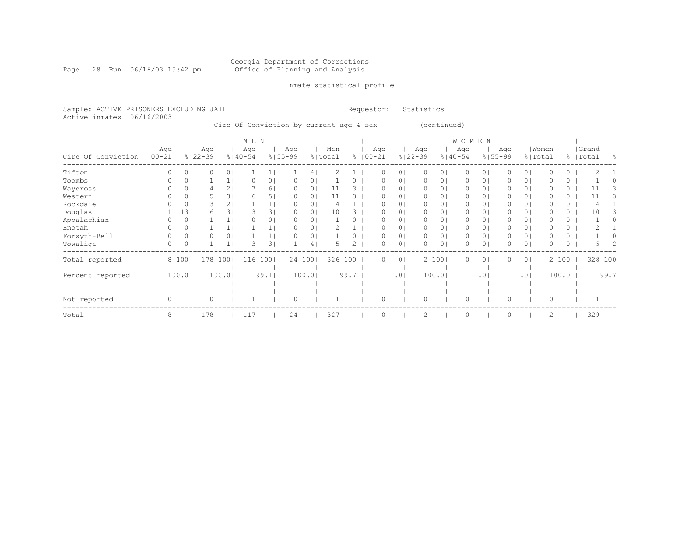Page 28 Run 06/16/03 15:42 pm

### Inmate statistical profile

Sample: ACTIVE PRISONERS EXCLUDING JAIL **Requestor:** Statistics Active inmates 06/16/2003

Circ Of Conviction by current age & sex (continued)

|                    |            |     |                |                    |                | M E N              |                |                    |        |                |      |                    |                |             |                |                | WOMEN    |                 |                    |                |         |          |                    |                |
|--------------------|------------|-----|----------------|--------------------|----------------|--------------------|----------------|--------------------|--------|----------------|------|--------------------|----------------|-------------|----------------|----------------|----------|-----------------|--------------------|----------------|---------|----------|--------------------|----------------|
| Circ Of Conviction | $100 - 21$ | Age |                | Age<br>$8122 - 39$ |                | Age<br>$8140 - 54$ |                | Age<br>$8155 - 99$ |        | Men<br>% Total |      | Age<br>$8100 - 21$ |                | $8122 - 39$ | Age            | $8140 - 54$    | Age      |                 | Age<br>$8155 - 99$ | % Total        | Women   |          | Grand<br>%   Total | $\frac{6}{10}$ |
| Tifton             |            |     | 0 <sub>1</sub> |                    | 0 <sub>1</sub> |                    |                |                    | 41     |                |      | 0                  | $\circ$        |             | 0              | 01             | 0        | 0               |                    | $\circ$        |         | 0        |                    |                |
| Toombs             |            |     | 0 <sub>1</sub> |                    |                |                    | 0              |                    | 01     |                |      | O                  | 0              |             | $\Omega$       | 0              | $\Omega$ | 0               |                    | $\circ$        |         | 0        |                    |                |
| Waycross           |            |     |                |                    | 2              |                    | 61             |                    | 01     | 11             |      | $\left( \right)$   | $\circ$        |             | $\Omega$       | 01             | $\Omega$ | 0               |                    | 01             |         | 0        |                    |                |
| Western            |            |     |                |                    | 31             | 6                  | 51             |                    | 01     | 11             |      | O                  | $\Omega$       |             | $\Omega$       | 0              | $\Omega$ | 0               |                    | 0 <sup>1</sup> |         | $\Omega$ | 11                 | 3              |
| Rockdale           |            |     | 01             |                    | 2              |                    |                |                    | 01     |                |      | 0                  | 0              |             | 0              | 01             | 0        | 0               | 0                  | 0              |         | 0        |                    |                |
| Douglas            |            |     | 131            | 6                  | 3              |                    | 31             |                    | 01     | 10             |      |                    | 0              |             | 0              | 0              | 0        | 0               | 0                  | 0 <sup>1</sup> |         | 0        | 10                 |                |
| Appalachian        |            |     | 0 <sub>1</sub> |                    |                |                    | 0 <sub>1</sub> | $\Omega$           | 01     |                |      | O                  | 0              |             | $\Omega$       | 01             | $\circ$  | 0               | 0                  | $\circ$        |         | 0        |                    |                |
| Enotah             |            |     |                |                    |                |                    |                |                    | 01     |                |      | O                  | $\circ$        |             | 0              | 01             | 0        | 0               |                    | 0              |         | 0        |                    |                |
| Forsyth-Bell       |            |     | 0 <sub>1</sub> |                    | 0 <sub>1</sub> |                    |                |                    | 01     |                |      | $\Omega$           | 0              |             | $\circ$        | 0 <sup>1</sup> | $\circ$  | 0               | 0                  | $\circ$        |         | 0        |                    |                |
| Towaliga           |            |     | 0 <sub>1</sub> |                    |                |                    | 31             |                    | 4      |                |      | $\Omega$           | $\circ$        |             | $\Omega$       | 0              | 0        | 0               | 0                  | $\circ$        | O       | 0        |                    |                |
| Total reported     |            |     | 8 100          | 178                | 1001           | 116                | 1001           | 24 100             |        | 326 100        |      | $\Omega$           | $\overline{0}$ |             |                | 2 100          | $\circ$  | 0               | 0                  | 0 <sup>1</sup> |         | 2 100    | 328 100            |                |
|                    |            |     |                |                    |                |                    |                |                    |        |                |      |                    |                |             |                |                |          |                 |                    |                |         |          |                    |                |
| Percent reported   |            |     | 100.01         |                    | 100.01         |                    | 99.1           |                    | 100.01 |                | 99.7 |                    | .0             |             |                | 100.01         |          | .0 <sup>1</sup> |                    | .01            |         | 100.0    |                    | 99.7           |
|                    |            |     |                |                    |                |                    |                |                    |        |                |      |                    |                |             |                |                |          |                 |                    |                |         |          |                    |                |
|                    |            |     |                |                    |                |                    |                |                    |        |                |      |                    |                |             |                |                |          |                 |                    |                |         |          |                    |                |
| Not reported       |            | 0   |                | 0                  |                |                    |                | 0                  |        |                |      | $\Omega$           |                |             | $\circ$        |                | $\circ$  |                 | $\Omega$           |                | $\circ$ |          |                    |                |
| Total              |            | 8   |                | 178                |                | 117                |                | 24                 |        | 327            |      | $\Omega$           |                |             | $\overline{c}$ |                | $\circ$  |                 | $\Omega$           |                | 2       |          | 329                |                |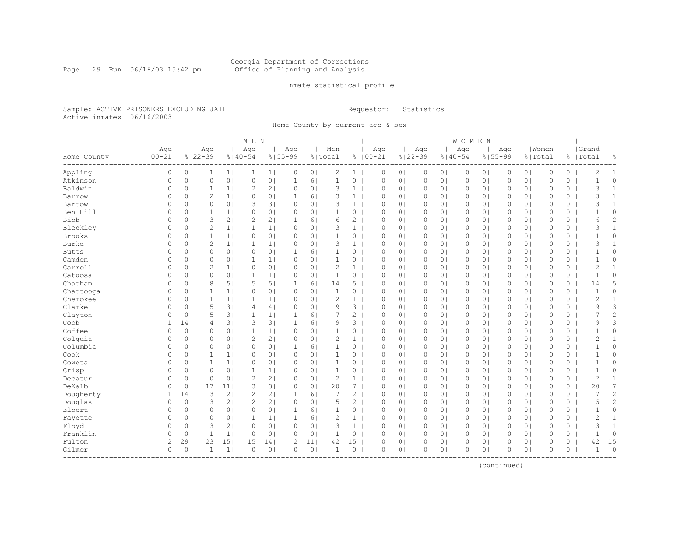#### Georgia Department of Corrections Page 29 Run 06/16/03 15:42 pm Office of Planning and Analysis

### Inmate statistical profile

Sample: ACTIVE PRISONERS EXCLUDING JAIL **Requestor:** Statistics Active inmates 06/16/2003

Home County by current age & sex

|               |                   |                |                    |                | M E N                                                                                                            |                |                    |                |                |                |                    |                |                    |                | WOMEN    |                |          |                |                  |          |                    |                |
|---------------|-------------------|----------------|--------------------|----------------|------------------------------------------------------------------------------------------------------------------|----------------|--------------------|----------------|----------------|----------------|--------------------|----------------|--------------------|----------------|----------|----------------|----------|----------------|------------------|----------|--------------------|----------------|
| Home County   | Age<br>$100 - 21$ |                | Age<br>$8122 - 39$ |                | Age<br>$8140 - 54$                                                                                               |                | Aqe<br>$8155 - 99$ |                | Men<br>% Total |                | Age<br>$8100 - 21$ |                | Age<br>$8122 - 39$ | $8140 - 54$    | Age      | $8155 - 99$    | Age      |                | Women<br>% Total |          | Grand<br>%   Total | 옹              |
| Appling       | $\circ$           | 0 <sub>1</sub> | $\mathbf{1}$       | 1              | 1                                                                                                                | 1              | $\circ$            | 0 <sub>1</sub> | $\mathbf{2}$   | $1 \mid$       | 0                  | 0 <sub>1</sub> | $\circ$            | 0 <sub>1</sub> | $\circ$  | 0 <sub>1</sub> | 0        | 0 <sub>1</sub> | $\mathbb O$      | $\circ$  | $\overline{c}$     | 1              |
| Atkinson      | $\circ$           | 0 <sub>1</sub> | $\mathbf{0}$       | 0 <sub>1</sub> | $\circ$                                                                                                          | 0 <sub>1</sub> | $\mathbf{1}$       | 6 <sub>1</sub> | $1\,$          | 0              | $\mathbf{0}$       | 0 <sub>1</sub> | $\circ$            | 0 <sub>1</sub> | 0        | 0 <sub>1</sub> | 0        | 0 <sub>1</sub> | $\mathbf{0}$     | $\circ$  | $\mathbf{1}$       | 0              |
| Baldwin       | 0                 | 0 <sup>1</sup> | $\mathbf{1}$       | 1 <sub>1</sub> | $\overline{2}$                                                                                                   | 2 <sub>1</sub> | 0                  | 0 <sub>1</sub> | 3              | $\mathbf{1}$   | $\circ$            | 0 <sub>1</sub> | 0                  | 0 <sub>1</sub> | 0        | 0 <sub>1</sub> | 0        | 0 <sub>1</sub> | $\circ$          | 0        | 3                  | $\mathbf{1}$   |
| Barrow        | 0                 | 0 <sub>1</sub> | $\overline{2}$     | 1 <sub>1</sub> | 0                                                                                                                | 0 <sup>1</sup> | 1                  | 6 <sup>1</sup> | 3              | $\mathbf{1}$   | $\Omega$           | 0 <sub>1</sub> | 0                  | 0 <sub>1</sub> | $\Omega$ | 0 <sub>1</sub> | 0        | 0 <sub>1</sub> | $\circ$          | $\circ$  | 3                  | $\mathbf{1}$   |
| Bartow        | 0                 | 0 <sub>1</sub> | $\circ$            | 0 <sup>1</sup> | 3                                                                                                                | 3 <sup>1</sup> | $\circ$            | 0 <sub>1</sub> | 3              | $\mathbf{1}$   | $\circ$            | 0 <sup>1</sup> | $\circ$            | 0 <sup>1</sup> | $\circ$  | 0 <sub>1</sub> | 0        | 0 <sub>1</sub> | $\circ$          | 0        | 3                  | $\mathbf{1}$   |
| Ben Hill      | 0                 | 0 <sup>1</sup> | $\mathbf{1}$       | 1 <sup>1</sup> | 0                                                                                                                | 0 <sub>1</sub> | $\circ$            | 0 <sub>1</sub> | 1              | 0              | $\circ$            | 0 <sub>1</sub> | $\circ$            | 0 <sub>1</sub> | $\circ$  | 0 <sub>1</sub> | 0        | 0 <sub>1</sub> | $\circ$          | 0        | $\mathbf{1}$       | 0              |
| <b>Bibb</b>   | $\circ$           | 0 <sub>1</sub> | 3                  | 2 <sub>1</sub> | $\mathfrak{2}% _{T}=\mathfrak{2}_{T}\!\left( a,b\right) ,\mathfrak{2}_{T}=\mathfrak{2}_{T}\!\left( a,b\right) ,$ | 2 <sub>1</sub> | $\mathbf{1}$       | 6              | 6              | $\overline{2}$ | $\mathbf{0}$       | 0 <sub>1</sub> | $\circ$            | 0 <sub>1</sub> | 0        | 0 <sub>1</sub> | $\Omega$ | 0 <sub>1</sub> | $\mathbf{0}$     | $\circ$  | 6                  | $\overline{c}$ |
| Bleckley      | 0                 | 0 <sub>1</sub> | $\overline{2}$     | 1 <sub>1</sub> | $\mathbf{1}$                                                                                                     | 1 <sub>1</sub> | $\circ$            | 0 <sub>1</sub> | 3              | 1 <sup>1</sup> | $\mathbf{0}$       | 0 <sub>1</sub> | $\circ$            | 0 <sub>1</sub> | $\circ$  | 0 <sub>1</sub> | 0        | 0 <sub>1</sub> | $\mathbf{0}$     | 0        | 3                  | $\mathbf{1}$   |
| <b>Brooks</b> | 0                 | 0 <sub>1</sub> | $\mathbf{1}$       | 1              | 0                                                                                                                | 0 <sub>1</sub> | $\circ$            | 0 <sub>1</sub> | $\mathbf{1}$   | 0              | $\circ$            | 0 <sub>1</sub> | $\circ$            | 0 <sub>1</sub> | $\circ$  | 0 <sub>1</sub> | 0        | 0 <sub>1</sub> | $\circ$          | 0        | $\mathbf 1$        | 0              |
| Burke         | 0                 | 0 <sub>1</sub> | $\overline{2}$     | 1 <sub>1</sub> | $\mathbf{1}$                                                                                                     | 1 <sub>1</sub> | $\Omega$           | 0 <sub>1</sub> | 3              | $\mathbf{1}$   | $\Omega$           | 0 <sub>1</sub> | $\circ$            | 0 <sup>1</sup> | 0        | 0 <sub>1</sub> | 0        | 0 <sub>1</sub> | $\circ$          | $\circ$  | 3                  | 1              |
| <b>Butts</b>  | 0                 | 0 <sub>1</sub> | $\circ$            | 0 <sub>1</sub> | $\circ$                                                                                                          | 0 <sub>1</sub> | 1                  | 61             | 1              | 0              | $\circ$            | 0 <sub>1</sub> | $\circ$            | 0 <sup>1</sup> | $\circ$  | 0 <sub>1</sub> | 0        | 0 <sub>1</sub> | $\circ$          | 0        | $\mathbf{1}$       | 0              |
| Camden        | 0                 | 0 <sup>1</sup> | $\circ$            | 0 <sub>1</sub> | 1                                                                                                                | 1              | 0                  | 0 <sub>1</sub> | $\mathbf{1}$   | 0              | $\circ$            | 0 <sub>1</sub> | $\circ$            | 0 <sub>1</sub> | 0        | 0 <sub>1</sub> | $\Omega$ | 0 <sub>1</sub> | $\mathbf{0}$     | 0        | $\mathbf{1}$       | 0              |
| Carroll       | $\circ$           | 0 <sub>1</sub> | $\overline{2}$     | 1 <sub>1</sub> | $\circ$                                                                                                          | 0 <sub>1</sub> | $\circ$            | 0 <sub>1</sub> | $\overline{c}$ | $\mathbf{1}$   | $\mathbf{0}$       | 0 <sub>1</sub> | $\circ$            | 0 <sup>1</sup> | 0        | 0 <sub>1</sub> | $\Omega$ | 0 <sub>1</sub> | $\mathbf{0}$     | $\circ$  | $\mathbf{2}$       | $\mathbf{1}$   |
| Catoosa       | $\circ$           | 0 <sup>1</sup> | $\circ$            | 0 <sub>1</sub> | 1                                                                                                                | 1 <sub>1</sub> | $\circ$            | 0 <sub>1</sub> | $\mathbf{1}$   | $0-1$          | $\circ$            | 0 <sub>1</sub> | $\circ$            | 0 <sub>1</sub> | 0        | 0 <sub>1</sub> | 0        | 0 <sub>1</sub> | $\mathbf{0}$     | 0        | $\overline{1}$     | 0              |
| Chatham       | 0                 | 0 <sub>1</sub> | 8                  | 5 <sub>1</sub> | 5                                                                                                                | 5 <sub>1</sub> | 1                  | 6              | 14             | $5-1$          | $\circ$            | 0 <sub>1</sub> | $\circ$            | 0 <sub>1</sub> | 0        | 0 <sub>1</sub> | 0        | 0 <sub>1</sub> | $\circ$          | 0        | 14                 | 5              |
| Chattooga     | 0                 | 0 <sub>1</sub> | $\mathbf{1}$       | 1 <sub>1</sub> | 0                                                                                                                | 0 <sup>1</sup> | 0                  | 0 <sub>1</sub> | $\mathbf{1}$   | 0              | $\Omega$           | 0 <sub>1</sub> | $\circ$            | 0 <sup>1</sup> | 0        | 0 <sub>1</sub> | 0        | 0 <sub>1</sub> | $\circ$          | $\circ$  | $\mathbf{1}$       | 0              |
| Cherokee      | $\Omega$          | 0 <sub>1</sub> | $\mathbf{1}$       | 1 <sup>1</sup> | 1                                                                                                                | 1 <sub>1</sub> | $\Omega$           | 0 <sup>1</sup> | $\overline{c}$ | $\mathbf{1}$   | $\Omega$           | $\Omega$       | $\circ$            | 0 <sup>1</sup> | $\circ$  | 0 <sub>1</sub> | $\Omega$ | 0 <sub>1</sub> | $\Omega$         | $\Omega$ | 2                  | $\mathbf{1}$   |
| Clarke        | 0                 | 0 <sup>1</sup> | 5                  | 3 <sub>1</sub> | 4                                                                                                                | 4              | $\circ$            | 0 <sub>1</sub> | 9              | 3              | $\circ$            | 0 <sub>1</sub> | $\circ$            | 0 <sub>1</sub> | $\circ$  | 0 <sub>1</sub> | $\Omega$ | 0 <sub>1</sub> | $\mathbf{0}$     | $\circ$  | 9                  | 3              |
| Clayton       | $\circ$           | 0 <sub>1</sub> | 5                  | 3              | $\mathbf{1}$                                                                                                     | 1              | $\mathbf{1}$       | 6              | 7              | $\overline{c}$ | $\mathbf{0}$       | 0 <sub>1</sub> | $\circ$            | 0 <sub>1</sub> | 0        | 0 <sub>1</sub> | 0        | 0 <sub>1</sub> | $\mathbb O$      | 0        | 7                  | $\overline{c}$ |
| Cobb          | 1                 | 14             | 4                  | 3              | 3                                                                                                                | 3 <sub>1</sub> | $\mathbf{1}$       | 6 <sup>1</sup> | 9              | $3-1$          | $\circ$            | 0 <sub>1</sub> | $\circ$            | 0 <sub>1</sub> | $\circ$  | 0 <sub>1</sub> | 0        | 0 <sub>1</sub> | $\mathbf{0}$     | 0        | 9                  | 3              |
| Coffee        | 0                 | 0 <sub>1</sub> | $\circ$            | 0 <sub>1</sub> | $\mathbf{1}$                                                                                                     | 1 <sub>1</sub> | 0                  | 0 <sub>1</sub> | $\mathbf{1}$   | 0              | $\circ$            | 0 <sub>1</sub> | $\circ$            | 0 <sub>1</sub> | $\circ$  | 0 <sub>1</sub> | 0        | 0 <sup>1</sup> | $\circ$          | 0        | $\mathbf 1$        | 0              |
| Colquit       | $\Omega$          | 0 <sub>1</sub> | $\circ$            | 0 <sup>1</sup> | $\overline{c}$                                                                                                   | 2 <sub>1</sub> | $\Omega$           | 0 <sub>1</sub> | $\overline{c}$ | $\mathbf{1}$   | $\Omega$           | 0 <sub>1</sub> | $\circ$            | 0 <sup>1</sup> | 0        | 0 <sub>1</sub> | $\Omega$ | 0 <sub>1</sub> | $\mathbf{0}$     | 0        | $\overline{2}$     | $\mathbf{1}$   |
| Columbia      | $\Omega$          | 0 <sub>1</sub> | $\circ$            | 0 <sup>1</sup> | $\circ$                                                                                                          | 0 <sub>1</sub> | $\mathbf{1}$       | 61             | 1              | 0              | $\mathbf{0}$       | 0 <sub>1</sub> | $\circ$            | 0 <sup>1</sup> | 0        | 0 <sub>1</sub> | $\Omega$ | 0 <sub>1</sub> | $\Omega$         | $\Omega$ | $\mathbf{1}$       | $\Omega$       |
| Cook          | 0                 | 0 <sub>1</sub> | 1                  | 1 <sub>1</sub> | 0                                                                                                                | 0 <sub>1</sub> | 0                  | 0 <sub>1</sub> | 1              | 0              | $\circ$            | 0 <sub>1</sub> | $\circ$            | 0 <sub>1</sub> | 0        | 0 <sub>1</sub> | 0        | 0 <sub>1</sub> | $\mathbf{0}$     | 0        | $\mathbf{1}$       | 0              |
| Coweta        | $\circ$           | 0 <sub>1</sub> | $\mathbf{1}$       | 1 <sub>1</sub> | 0                                                                                                                | 0 <sub>1</sub> | 0                  | 0 <sub>1</sub> | $\mathbf{1}$   | 0              | 0                  | 0 <sub>1</sub> | $\circ$            | 0 <sub>1</sub> | 0        | 0 <sub>1</sub> | 0        | 0 <sub>1</sub> | $\mathbb O$      | 0        | $\mathbf{1}$       | 0              |
| Crisp         | 0                 | 0 <sub>1</sub> | $\circ$            | 0 <sup>1</sup> | $\mathbf{1}$                                                                                                     | 1 <sub>1</sub> | 0                  | 0 <sub>1</sub> | $\mathbf{1}$   | 0              | $\circ$            | 0 <sub>1</sub> | $\circ$            | 0 <sup>1</sup> | 0        | 0 <sub>1</sub> | 0        | 0 <sub>1</sub> | $\circ$          | 0        | $\mathbf{1}$       | 0              |
| Decatur       | 0                 | 0 <sub>1</sub> | $\circ$            | 0 <sub>1</sub> | $\overline{2}$                                                                                                   | 2 <sub>1</sub> | 0                  | 0 <sub>1</sub> | $\overline{c}$ | $\mathbf{1}$   | $\circ$            | 0 <sub>1</sub> | $\circ$            | 0 <sub>1</sub> | 0        | 0 <sub>1</sub> | 0        | 0 <sub>1</sub> | $\circ$          | 0        | $\overline{c}$     | $\mathbf{1}$   |
| DeKalb        | $\Omega$          | 0 <sub>1</sub> | 17                 | 11             | 3                                                                                                                | 3 <sup>1</sup> | 0                  | 0 <sub>1</sub> | 20             | $\overline{7}$ | $\Omega$           | 0 <sub>1</sub> | $\circ$            | 0 <sup>1</sup> | $\Omega$ | 0 <sub>1</sub> | $\Omega$ | 0 <sub>1</sub> | $\mathbf{0}$     | $\circ$  | 20                 | 7              |
| Dougherty     | 1                 | 14             | 3                  | 2 <sub>1</sub> | $\mathbf{2}$                                                                                                     | 2 <sub>1</sub> | 1                  | 6 <sup>1</sup> | 7              | $\overline{c}$ | $\circ$            | 0 <sup>1</sup> | $\circ$            | 0 <sup>1</sup> | $\circ$  | 0 <sub>1</sub> | $\Omega$ | 0 <sub>1</sub> | $\Omega$         | 0        | $\overline{7}$     | $\overline{c}$ |
| Douglas       | 0                 | 0 <sub>1</sub> | 3                  | 2 <sub>1</sub> | 2                                                                                                                | 2 <sub>1</sub> | 0                  | 0 <sub>1</sub> | 5              | $\overline{2}$ | $\circ$            | 0 <sub>1</sub> | $\circ$            | 0 <sub>1</sub> | 0        | 0 <sub>1</sub> | 0        | 0 <sub>1</sub> | $\circ$          | 0        | 5                  | $\overline{c}$ |
| Elbert        | 0                 | 0 <sub>1</sub> | $\circ$            | 0 <sub>1</sub> | $\circ$                                                                                                          | 0 <sub>1</sub> | 1                  | 6              | $\mathbf{1}$   | $0-1$          | 0                  | 0 <sub>1</sub> | $\circ$            | 0 <sub>1</sub> | 0        | 0 <sub>1</sub> | 0        | 0 <sub>1</sub> | $\mathbb O$      | 0        | $\mathbf{1}$       | 0              |
| Fayette       | 0                 | 0 <sub>1</sub> | $\circ$            | 0 <sub>1</sub> | $\mathbf{1}$                                                                                                     | 1 <sub>1</sub> | $\mathbf{1}$       | 6 <sup>1</sup> | $\overline{c}$ | 1              | $\circ$            | 0 <sub>1</sub> | $\circ$            | 0 <sub>1</sub> | $\circ$  | 0 <sub>1</sub> | 0        | 0 <sub>1</sub> | $\circ$          | 0        | 2                  | $\mathbf{1}$   |
| Floyd         | $\circ$           | 0 <sub>1</sub> | 3                  | 21             | $\circ$                                                                                                          | 0 <sub>1</sub> | $\Omega$           | 0 <sub>1</sub> | 3              | $\mathbf{1}$   | $\Omega$           | 0 <sub>1</sub> | $\circ$            | 0 <sub>1</sub> | $\circ$  | 0 <sub>1</sub> | 0        | 0 <sup>1</sup> | $\circ$          | $\circ$  | 3                  | $\mathbf{1}$   |
| Franklin      | $\circ$           | 0 <sub>1</sub> | 1                  | 1              | 0                                                                                                                | 0 <sub>1</sub> | $\Omega$           | 0 <sub>1</sub> | 1              | 0              | $\Omega$           | 0 <sub>1</sub> | 0                  | 0 <sub>1</sub> | 0        | 0 <sub>1</sub> | $\Omega$ | 0 <sub>1</sub> | $\mathbf{0}$     | $\circ$  | $\mathbf{1}$       | 0              |
| Fulton        | $\mathbf{2}$      | 291            | 23                 | 15             | 15                                                                                                               | 14             | 2                  | 11             | 42             | 15             | $\Omega$           | 0 <sup>1</sup> | $\circ$            | 0 <sub>1</sub> | 0        | 0 <sub>1</sub> | $\Omega$ | 0 <sub>1</sub> | $\circ$          | 0        | 42                 | 15             |
| Gilmer        | $\circ$           | 0 <sub>1</sub> | -1                 | $\mathbf{1}$   | $\circ$                                                                                                          | 0 <sub>1</sub> | 0                  | 0 <sub>1</sub> | $\mathbf{1}$   | 0              | $\circ$            | 0 <sub>1</sub> | $\circ$            | 0 <sub>1</sub> | 0        | 0 <sub>1</sub> | $\Omega$ | 0 <sub>1</sub> | $\circ$          | $\circ$  | $\mathbf{1}$       | $\circ$        |

(continued)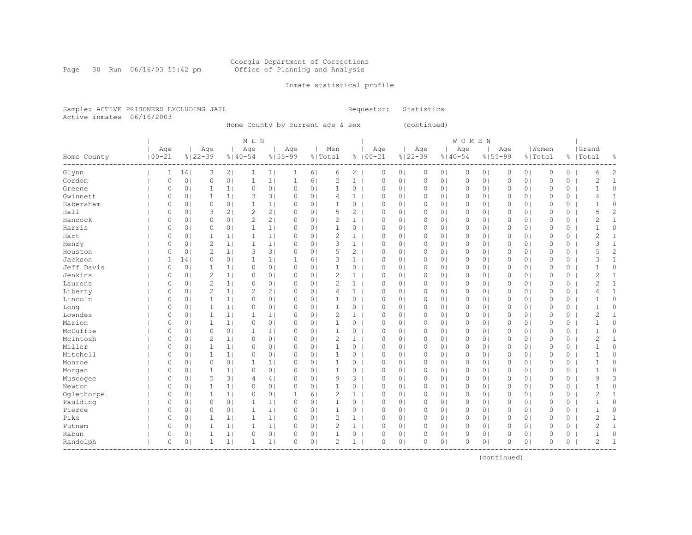#### Georgia Department of Corrections Page 30 Run 06/16/03 15:42 pm Office of Planning and Analysis

### Inmate statistical profile

Sample: ACTIVE PRISONERS EXCLUDING JAIL **Requestor:** Statistics Active inmates 06/16/2003

Home County by current age & sex (continued)

|             |                           |              |                |                |                | M E N          |                |              |                |                |                |              |                |             |                | <b>WOMEN</b> |                |          |                |              |          |                |                |
|-------------|---------------------------|--------------|----------------|----------------|----------------|----------------|----------------|--------------|----------------|----------------|----------------|--------------|----------------|-------------|----------------|--------------|----------------|----------|----------------|--------------|----------|----------------|----------------|
|             |                           | Age          |                | Age            |                | Age            |                | Age          |                | Men            |                | Age          |                | Age         |                | Age          |                | Age      |                | Women        |          | Grand          |                |
| Home County | $100 - 21$<br>----------- |              |                | $8122 - 39$    |                | $8140 - 54$    |                | $8155 - 99$  |                | % Total        |                | $8100 - 21$  |                | $8122 - 39$ | $8140 - 54$    |              | $8155 - 99$    |          |                | % Total      |          | %   Total      | 옹              |
| Glynn       |                           | 1            | 14             | 3              | 2 <sub>1</sub> | -1             | 1              | 1            | 6 <sup>1</sup> | 6              | $\overline{c}$ | $\circ$      | 0 <sub>1</sub> | $\circ$     | 0 <sup>1</sup> | $\circ$      | 0 <sub>1</sub> | 0        | 0 <sub>1</sub> | $\circ$      | $\circ$  | 6              | 2              |
| Gordon      |                           | 0            | 0 <sub>1</sub> | $\circ$        | 0 <sub>1</sub> | -1             | 1 <sub>1</sub> | 1            | 6 <sup>1</sup> | $\overline{c}$ | $\mathbf{1}$   | $\circ$      | 0 <sub>1</sub> | $\circ$     | 0 <sub>1</sub> | 0            | 0 <sub>1</sub> | $\Omega$ | 0 <sub>1</sub> | $\mathbf{0}$ | 0        | $\overline{2}$ | $\mathbf{1}$   |
| Greene      |                           | 0            | 0 <sub>1</sub> | 1              | 1 <sub>1</sub> | $\circ$        | 0 <sub>1</sub> | 0            | 0 <sub>1</sub> | 1              | 0              | 0            | 0 <sub>1</sub> | $\circ$     | 0 <sub>1</sub> | 0            | 0 <sub>1</sub> | 0        | 0 <sub>1</sub> | $\mathbf{0}$ | 0        | $\mathbf{1}$   | 0              |
| Gwinnett    |                           | 0            | 0 <sub>1</sub> | $\mathbf{1}$   | 1 <sub>1</sub> | 3              | 3 <sup>1</sup> | 0            | 0 <sub>1</sub> | $\overline{4}$ | $\mathbf{1}$   | $\circ$      | 0 <sub>1</sub> | $\circ$     | 0 <sup>1</sup> | 0            | 0 <sub>1</sub> | $\Omega$ | 0 <sub>1</sub> | $\mathbf{0}$ | 0        | 4              | $\mathbf{1}$   |
| Habersham   |                           | 0            | 0 <sup>1</sup> | $\circ$        | 0 <sup>1</sup> | $\mathbf{1}$   | 1 <sub>1</sub> | 0            | 0 <sub>1</sub> | $\mathbf{1}$   | $\circ$        | $\circ$      | 0 <sub>1</sub> | $\circ$     | 01             | 0            | 0 <sub>1</sub> | 0        | 0 <sub>1</sub> | $\circ$      | $\circ$  | $\mathbf{1}$   | 0              |
| Hall        |                           | 0            | 0 <sub>1</sub> | 3              | 2 <sub>1</sub> | $\overline{2}$ | 2 <sub>1</sub> | 0            | 0 <sub>1</sub> | 5              | $\overline{2}$ | $\circ$      | 0 <sub>1</sub> | $\circ$     | 0 <sub>1</sub> | 0            | 0 <sub>1</sub> | 0        | 0 <sub>1</sub> | $\circ$      | 0        | 5              | $\overline{c}$ |
| Hancock     |                           | 0            | 0 <sub>1</sub> | $\circ$        | 0 <sub>1</sub> | $\overline{2}$ | 2 <sub>1</sub> | 0            | 0 <sub>1</sub> | $\overline{c}$ | $\mathbf{1}$   | $\Omega$     | 0 <sub>1</sub> | 0           | 0 <sub>1</sub> | 0            | 0 <sub>1</sub> | 0        | 0 <sub>1</sub> | $\circ$      | $\circ$  | $\overline{2}$ | $\mathbf{1}$   |
| Harris      |                           | $\Omega$     | 0 <sub>1</sub> | $\circ$        | 0 <sup>1</sup> | $\mathbf{1}$   | 1              | $\Omega$     | 0 <sub>1</sub> |                | 0              | $\Omega$     | 0 <sup>1</sup> | 0           | 0 <sup>1</sup> | $\Omega$     | 0 <sub>1</sub> | $\Omega$ | 0 <sub>1</sub> | $\circ$      | 0        | $\mathbf{1}$   | 0              |
| Hart        |                           | 0            | 0 <sub>1</sub> | $\mathbf{1}$   | 1 <sub>1</sub> | $\mathbf{1}$   | 1 <sub>1</sub> | 0            | 0 <sup>1</sup> | $\overline{c}$ | $\mathbf{1}$   | $\circ$      | 0 <sup>1</sup> | $\circ$     | 0 <sup>1</sup> | 0            | 0 <sub>1</sub> | 0        | 0 <sub>1</sub> | $\circ$      | 0        | $\overline{c}$ | $\mathbf{1}$   |
| Henry       |                           | 0            | 0 <sub>1</sub> | $\overline{2}$ | 1 <sup>1</sup> | $\mathbf{1}$   | 1 <sub>1</sub> | 0            | 0 <sub>1</sub> | 3              | $\mathbf{1}$   | $\circ$      | 0 <sub>1</sub> | $\circ$     | 0 <sup>1</sup> | 0            | 0 <sub>1</sub> | 0        | 0 <sub>1</sub> | $\circ$      | 0        | 3              | $\mathbf{1}$   |
| Houston     |                           | 0            | 0 <sup>1</sup> | $\overline{2}$ | 1 <sub>1</sub> | 3              | 3 <sub>1</sub> | $\circ$      | 0 <sub>1</sub> | 5              | $\overline{c}$ | $\circ$      | 0 <sub>1</sub> | $\circ$     | 0 <sub>1</sub> | 0            | 0 <sub>1</sub> | 0        | 0 <sub>1</sub> | $\mathbf{0}$ | 0        | 5              | $\overline{c}$ |
| Jackson     |                           | $\mathbf{1}$ | 141            | $\circ$        | 0 <sub>1</sub> | $\mathbf{1}$   | 1              | $\mathbf{1}$ | 6              | 3              | $\mathbf{1}$   | $\circ$      | 0 <sub>1</sub> | $\circ$     | 0 <sub>1</sub> | 0            | 0 <sub>1</sub> | 0        | 0 <sub>1</sub> | $\mathbf{0}$ | $\circ$  | 3              | $\mathbf{1}$   |
| Jeff Davis  |                           | $\circ$      | 0 <sub>1</sub> | $\mathbf{1}$   | 1 <sub>1</sub> | $\circ$        | 0 <sub>1</sub> | $\circ$      | 0 <sub>1</sub> | $\mathbf{1}$   | $\circ$        | $\mathbf{0}$ | 0 <sub>1</sub> | $\circ$     | 0 <sub>1</sub> | $\circ$      | 0 <sub>1</sub> | 0        | 0 <sub>1</sub> | $\mathbf{0}$ | 0        | $\mathbf{1}$   | 0              |
| Jenkins     |                           | 0            | 0 <sub>1</sub> | $\overline{2}$ | 1 <sub>1</sub> | 0              | 0 <sub>1</sub> | 0            | 0 <sub>1</sub> | $\overline{c}$ | $\mathbf{1}$   | $\circ$      | 0 <sub>1</sub> | $\circ$     | 0 <sub>1</sub> | $\circ$      | 0 <sub>1</sub> | 0        | 0 <sub>1</sub> | $\mathbf{0}$ | 0        | $\overline{2}$ | $\mathbf{1}$   |
| Laurens     |                           | 0            | 0 <sub>1</sub> | $\overline{c}$ | 1 <sub>1</sub> | $\circ$        | 0 <sub>1</sub> | 0            | 0 <sub>1</sub> | $\overline{2}$ | 1 <sup>1</sup> | $\circ$      | 0 <sub>1</sub> | $\circ$     | 0 <sub>1</sub> | $\circ$      | 0 <sub>1</sub> | 0        | 0 <sup>1</sup> | $\circ$      | 0        | $\overline{2}$ | $\mathbf{1}$   |
| Liberty     |                           | 0            | 0 <sup>1</sup> | $\overline{2}$ | 1 <sub>1</sub> | $\overline{2}$ | 2 <sub>1</sub> | 0            | 0 <sub>1</sub> | 4              | $\mathbf{1}$   | $\Omega$     | 0 <sub>1</sub> | 0           | 0 <sub>1</sub> | 0            | 0 <sub>1</sub> | 0        | 0 <sub>1</sub> | $\mathbf{0}$ | $\circ$  | 4              | $\mathbf{1}$   |
| Lincoln     |                           | 0            | 0 <sub>1</sub> | $\mathbf{1}$   | 1 <sub>1</sub> | 0              | 0 <sub>1</sub> | $\circ$      | 0 <sub>1</sub> |                | 0              | $\Omega$     | 0 <sub>1</sub> | $\circ$     | 0 <sub>1</sub> | 0            | 0 <sub>1</sub> | $\Omega$ | 0 <sub>1</sub> | $\mathbf{0}$ | 0        | $\mathbf{1}$   | 0              |
| Long        |                           | 0            | 0 <sub>1</sub> | $\mathbf{1}$   | 1 <sub>1</sub> | 0              | 0 <sup>1</sup> | $\circ$      | 0 <sub>1</sub> | $\mathbf{1}$   | 0              | $\circ$      | 0 <sub>1</sub> | $\circ$     | 0 <sup>1</sup> | $\circ$      | 0 <sub>1</sub> | $\Omega$ | 0 <sub>1</sub> | $\mathbf{0}$ | 0        | $\mathbf{1}$   | 0              |
| Lowndes     |                           | 0            | 0 <sub>1</sub> | $\mathbf{1}$   | 1 <sub>1</sub> | $\mathbf{1}$   | 1 <sub>1</sub> | 0            | 0 <sub>1</sub> | 2              | $\mathbf{1}$   | $\circ$      | 0 <sub>1</sub> | $\circ$     | 0 <sub>1</sub> | 0            | 0 <sub>1</sub> | 0        | 0 <sub>1</sub> | $\mathbf{0}$ | 0        | 2              | $\mathbf{1}$   |
| Marion      |                           | 0            | 0 <sub>1</sub> | 1              | 1 <sup>1</sup> | $\circ$        | 0 <sub>1</sub> | 0            | 0 <sub>1</sub> | 1              | 0              | $\circ$      | 0 <sub>1</sub> | $\circ$     | 0 <sub>1</sub> | 0            | 0 <sub>1</sub> | 0        | 0 <sub>1</sub> | $\mathbf{0}$ | 0        | $\mathbf{1}$   | 0              |
| McDuffie    |                           | 0            | 0 <sub>1</sub> | $\circ$        | 0 <sub>1</sub> | $\mathbf{1}$   | 1 <sub>1</sub> | 0            | 0 <sub>1</sub> | $\mathbf{1}$   | 0              | $\mathbb O$  | 0 <sub>1</sub> | $\circ$     | 0 <sub>1</sub> | 0            | 0 <sub>1</sub> | 0        | 0 <sub>1</sub> | $\mathbb O$  | $\circ$  | $\mathbf{1}$   | 0              |
| McIntosh    |                           | $\circ$      | 0 <sub>1</sub> | $\overline{2}$ | 1 <sub>1</sub> | $\circ$        | 0 <sub>1</sub> | $\circ$      | 0 <sub>1</sub> | $\overline{c}$ | $\mathbf{1}$   | $\mathbf{0}$ | 0 <sub>1</sub> | $\circ$     | 0 <sup>1</sup> | 0            | 0 <sub>1</sub> | 0        | 0 <sub>1</sub> | $\mathbf{0}$ | 0        | 2              | $\mathbf{1}$   |
| Miller      |                           | $\circ$      | 0 <sub>1</sub> | $\mathbf{1}$   | 1 <sub>1</sub> | 0              | 0 <sub>1</sub> | 0            | 0 <sub>1</sub> | $\mathbf{1}$   | $\circ$        | $\circ$      | 0 <sub>1</sub> | $\circ$     | 0 <sub>1</sub> | 0            | 0 <sub>1</sub> | 0        | 0 <sub>1</sub> | $\mathbf{0}$ | 0        | $\mathbf 1$    | 0              |
| Mitchell    |                           | 0            | 0 <sub>1</sub> | 1              | 1 <sub>1</sub> | 0              | 0 <sub>1</sub> | 0            | 0 <sub>1</sub> | 1              | 0              | $\circ$      | 0 <sub>1</sub> | $\circ$     | 0 <sub>1</sub> | 0            | 0 <sub>1</sub> | 0        | 0 <sub>1</sub> | $\mathbf{0}$ | 0        |                | 0              |
| Monroe      |                           | 0            | 0 <sub>1</sub> | $\circ$        | 0 <sub>1</sub> | $\mathbf{1}$   | 1              | 0            | 0 <sub>1</sub> | 1              | 0              | $\circ$      | 0 <sup>1</sup> | $\circ$     | 0 <sub>1</sub> | 0            | 0 <sub>1</sub> | 0        | 0 <sub>1</sub> | $\circ$      | 0        | $\mathbf{1}$   | 0              |
| Morgan      |                           | 0            | 0 <sub>1</sub> | $\mathbf{1}$   | 1 <sub>1</sub> | 0              | 0 <sub>1</sub> | 0            | 0 <sub>1</sub> | $\mathbf{1}$   | 0              | $\mathbf{0}$ | 0 <sup>1</sup> | $\circ$     | 0 <sup>1</sup> | 0            | 0 <sub>1</sub> | $\Omega$ | 0 <sub>1</sub> | $\mathbf{0}$ | 0        | $\mathbf{1}$   | 0              |
| Muscogee    |                           | 0            | 0 <sub>1</sub> | 5              | 3              | 4              | 4 <sup>1</sup> | $\circ$      | 0 <sub>1</sub> | 9              | 3              | $\mathbf{0}$ | 0 <sub>1</sub> | $\circ$     | 0 <sup>1</sup> | $\circ$      | 0 <sub>1</sub> | $\Omega$ | 0 <sub>1</sub> | $\mathbf{0}$ | 0        | 9              | 3              |
| Newton      |                           | 0            | 0 <sub>1</sub> | $\mathbf{1}$   | 1 <sub>1</sub> | $\circ$        | 0 <sub>1</sub> | 0            | 0 <sub>1</sub> | $\mathbf{1}$   | 0              | $\circ$      | 0 <sub>1</sub> | $\circ$     | 0 <sub>1</sub> | $\circ$      | 0 <sub>1</sub> | 0        | 0 <sub>1</sub> | $\mathbf{0}$ | 0        | $\mathbf{1}$   | 0              |
| Oglethorpe  |                           | 0            | 0 <sub>1</sub> | $\mathbf{1}$   | 1 <sub>1</sub> | 0              | 0 <sub>1</sub> | 1            | 6 <sup>1</sup> | 2              | $\mathbf{1}$   | 0            | 0 <sub>1</sub> | $\circ$     | 0 <sub>1</sub> | 0            | 0 <sub>1</sub> | 0        | 0 <sub>1</sub> | 0            | 0        | 2              | 1              |
| Paulding    |                           | 0            | 0 <sub>1</sub> | $\circ$        | 0 <sub>1</sub> | $\mathbf{1}$   | 1              | 0            | 0 <sub>1</sub> | $\mathbf{1}$   | 0              | $\circ$      | 0 <sub>1</sub> | $\circ$     | 0 <sub>1</sub> | 0            | 0 <sub>1</sub> | 0        | 0 <sub>1</sub> | $\circ$      | 0        | $\mathbf{1}$   | 0              |
| Pierce      |                           | $\Omega$     | 0 <sub>1</sub> | $\circ$        | 0 <sub>1</sub> | 1              | 1              | $\Omega$     | 0 <sub>1</sub> | $\mathbf{1}$   | 0 <sub>1</sub> | $\Omega$     | 0 <sub>1</sub> | $\circ$     | 0 <sub>1</sub> | $\circ$      | 0 <sub>1</sub> | 0        | 0 <sub>1</sub> | $\circ$      | 0        | $\mathbf{1}$   | 0              |
| Pike        |                           | $\circ$      | 0 <sub>1</sub> | $\mathbf{1}$   | 1 <sub>1</sub> | $\mathbf 1$    | 1              | 0            | 0 <sub>1</sub> | $\overline{2}$ | 1 <sup>1</sup> | $\circ$      | 0 <sub>1</sub> | $\circ$     | 0 <sub>1</sub> | $\circ$      | 0 <sub>1</sub> | 0        | 0 <sub>1</sub> | $\mathbf{0}$ | 0        | $\overline{2}$ | $\mathbf{1}$   |
| Putnam      |                           | 0            | 0 <sub>1</sub> | $\mathbf 1$    | 1              | $\mathbf{1}$   | 1              | $\circ$      | 0 <sub>1</sub> | 2              | $1 \mid$       | $\circ$      | 0 <sub>1</sub> | $\circ$     | 0 <sub>1</sub> | $\circ$      | 0 <sub>1</sub> | 0        | 0 <sub>1</sub> | $\circ$      | 0        | 2              | $\mathbf 1$    |
| Rabun       |                           | 0            | 0 <sub>1</sub> | 1              | 1              | 0              | 0 <sup>1</sup> | $\Omega$     | 0 <sub>1</sub> |                | 0              | $\Omega$     | $\circ$        | 0           | $\circ$        | $\Omega$     | $\circ$        | 0        | 0 <sub>1</sub> | $\circ$      | 0        | $\mathbf{1}$   | $\circ$        |
| Randolph    |                           | $\Omega$     | 0 <sub>1</sub> | 1              | $1\vert$       | $\mathbf{1}$   | 1 <sub>1</sub> | $\Omega$     | 0 <sub>1</sub> | 2              | $\mathbf{1}$   | $\Omega$     | 0 <sub>1</sub> | $\Omega$    | 0 <sub>1</sub> | $\Omega$     | 0 <sub>1</sub> | $\Omega$ | 0 <sub>1</sub> | $\Omega$     | $\Omega$ | $\overline{c}$ | $\mathbf{1}$   |
|             |                           |              |                |                |                |                |                |              |                |                |                |              |                |             |                |              |                |          |                |              |          |                |                |

(continued)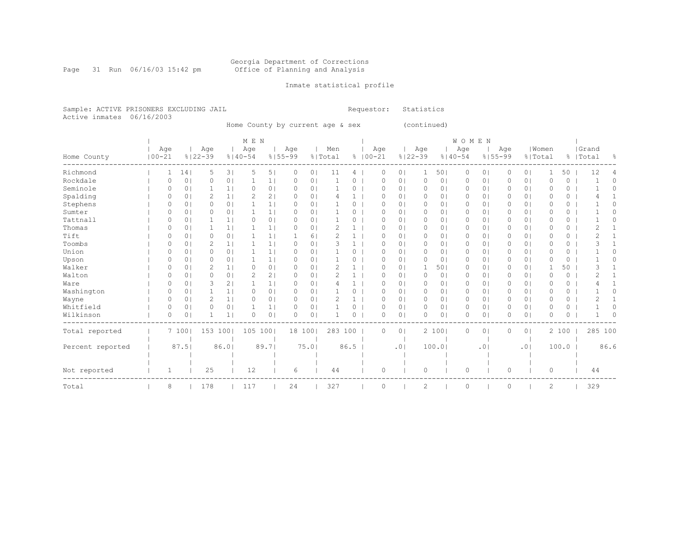#### Georgia Department of Corrections Page 31 Run 06/16/03 15:42 pm Office of Planning and Analysis

### Inmate statistical profile

Sample: ACTIVE PRISONERS EXCLUDING JAIL **Requestor:** Statistics Active inmates 06/16/2003

Home County by current age & sex (continued)

|                  |                   |                |                    |                | M E N              |                |                    |                |                |      |                    |                |                    |                | <b>WOMEN</b>       |                |                    |                |                  |       |                    |          |
|------------------|-------------------|----------------|--------------------|----------------|--------------------|----------------|--------------------|----------------|----------------|------|--------------------|----------------|--------------------|----------------|--------------------|----------------|--------------------|----------------|------------------|-------|--------------------|----------|
| Home County      | Age<br>$100 - 21$ |                | Age<br>$8122 - 39$ |                | Age<br>$8140 - 54$ |                | Age<br>$8155 - 99$ |                | Men<br>% Total |      | Age<br>$8100 - 21$ |                | Age<br>$8122 - 39$ |                | Age<br>$8140 - 54$ |                | Age<br>$8155 - 99$ |                | Women<br>% Total |       | Grand<br>%   Total | 옹        |
|                  |                   |                |                    |                |                    |                |                    |                |                |      |                    |                |                    |                |                    |                |                    |                |                  |       |                    |          |
| Richmond         |                   | 14             | 5                  | 3              | 5                  | 5 <sub>1</sub> | 0                  | 0 <sub>1</sub> | 11             | 4    | $\Omega$           | 0 <sub>1</sub> |                    | 501            | 0                  | 0 <sub>1</sub> | 0                  | 0 <sub>1</sub> |                  | 50    | 12                 |          |
| Rockdale         | 0                 | 0 <sup>1</sup> | $\circ$            | 0 <sup>1</sup> |                    | 1              | $\Omega$           | 0 <sup>1</sup> |                | 0    | $\Omega$           | 0 <sub>1</sub> | $\circ$            | 0 <sup>1</sup> | 0                  | $\circ$        | 0                  | 0 <sub>1</sub> | $\Omega$         | 0     |                    | $\Omega$ |
| Seminole         |                   | 0 <sub>1</sub> |                    | $\mathbf{1}$   | 0                  | 0 <sub>1</sub> | 0                  | 0 <sub>1</sub> |                | 0    | $\Omega$           | 0 <sub>1</sub> | 0                  | 0              | 0                  | 0 <sub>1</sub> | 0                  | 0 <sub>1</sub> | 0                | 0     |                    | 0        |
| Spalding         |                   | $\Omega$       | 2                  | 1              | 2                  | 2 <sub>1</sub> | O                  | 0 <sub>1</sub> |                |      | O                  | $\Omega$       | $\Omega$           | 0              | 0                  | $\circ$        | 0                  | 0 <sub>1</sub> | $\Omega$         | 0     |                    |          |
| Stephens         |                   | 01             | $\Omega$           | 0 <sub>1</sub> |                    | 1              | O                  | 0 <sub>1</sub> |                | 0    | $\Omega$           | 0 <sub>1</sub> | 0                  | 01             | 0                  | 0              | 0                  | 0 <sub>1</sub> | $\Omega$         | 0     |                    | Λ        |
| Sumter           | Ω                 | 0 <sub>1</sub> | 0                  | 0 <sup>1</sup> |                    | 1 <sub>1</sub> | $\Omega$           | 0 <sub>1</sub> |                | 0    | $\Omega$           | 0 <sub>1</sub> | 0                  | 01             | 0                  | 0 <sub>1</sub> | 0                  | 0 <sub>1</sub> | $\Omega$         | 0     |                    | Ω        |
| Tattnall         | Ω                 | 0 <sup>1</sup> |                    | 1              | $\Omega$           | 0 <sup>1</sup> | $\Omega$           | 0 <sub>1</sub> |                | 0    | $\Omega$           | 0 <sup>1</sup> | $\Omega$           | $\circ$        | 0                  | $\circ$        | 0                  | $\overline{0}$ | $\Omega$         | 0     |                    | 0        |
| Thomas           |                   | 01             |                    | 1              |                    | 1              | $\Omega$           | 0              | 2              | 1    | $\Omega$           | 0 <sup>1</sup> | 0                  | 01             | 0                  | $\circ$        | 0                  | 0 <sub>1</sub> | $\Omega$         | 0     |                    |          |
| Tift             |                   | 01             | $\Omega$           | 0 <sub>1</sub> |                    | $\frac{1}{2}$  |                    | 61             |                |      | O                  | 0 <sup>1</sup> | 0                  | 0              | 0                  | 0 <sub>1</sub> | 0                  | 0 <sub>1</sub> | $\Omega$         | 0     |                    |          |
| Toombs           | $\Omega$          | 0 <sub>1</sub> | 2                  | 1 <sub>1</sub> |                    | 1              | $\Omega$           | 0 <sub>1</sub> | 3              | 1    | $\Omega$           | 0 <sub>1</sub> | 0                  | 01             | $\circ$            | 0 <sub>1</sub> | $\Omega$           | $\overline{0}$ | $\circ$          | 0     |                    |          |
| Union            | Λ                 | 0 <sub>1</sub> | $\circ$            | 0 <sup>1</sup> |                    | 1              | $\Omega$           | 0 <sub>1</sub> |                | 0    | $\Omega$           | 0 <sup>1</sup> | 0                  | 0              | 0                  | $\circ$        | 0                  | 0 <sub>1</sub> | $\Omega$         | 0     |                    | Λ        |
| Upson            |                   | 01             | $\Omega$           | $\Omega$       |                    | 1 <sub>1</sub> | $\Omega$           | 0 <sub>1</sub> |                | 0    | O                  | 0 <sup>1</sup> | $\Omega$           | 0              | 0                  | $\circ$        | 0                  | 0 <sub>1</sub> | $\Omega$         | 0     |                    |          |
| Walker           | Ω                 | 01             | 2                  |                | $\Omega$           | 0 <sup>1</sup> | $\Omega$           | 0 <sub>1</sub> | 2              |      | O                  | 0 <sup>1</sup> |                    | 501            | 0                  | $\circ$        | 0                  | 0 <sub>1</sub> |                  | 50    |                    |          |
| Walton           |                   | 0 <sub>1</sub> | 0                  | 0 <sub>1</sub> | 2                  | 2              | $\Omega$           | 0 <sub>1</sub> | 2              |      | $\Omega$           | 0 <sup>1</sup> | 0                  | 0              | 0                  | 0 <sub>1</sub> | 0                  | 0 <sub>1</sub> | $\Omega$         | 0     |                    |          |
| Ware             | Ω                 | 01             | 3                  | 2              |                    | 1 <sub>1</sub> | $\Omega$           | 0 <sub>1</sub> |                |      | $\Omega$           | 0 <sup>1</sup> | $\Omega$           | 0              | 0                  | $\circ$        | 0                  | 0 <sub>1</sub> | $\Omega$         | 0     |                    |          |
| Washington       | Ω                 | 01             |                    | 1              | 0                  | 0 <sup>1</sup> | 0                  | 0 <sub>1</sub> |                | 0    | $\Omega$           | 0 <sup>1</sup> | 0                  | 01             | 0                  | $\circ$        | 0                  | 0 <sub>1</sub> | 0                | 0     |                    | Ω        |
| Wayne            | 0                 | 0 <sub>1</sub> | 2                  | 1              | 0                  | 0 <sup>1</sup> | $\Omega$           | 0 <sub>1</sub> | 2              | 1    | $\Omega$           | 0 <sub>1</sub> | $\circ$            | 0 <sup>1</sup> | 0                  | 0 <sub>1</sub> | 0                  | 0 <sub>1</sub> | $\circ$          | 0     | ∠                  |          |
| Whitfield        | $\Omega$          | 0 <sub>1</sub> | $\Omega$           | 0 <sub>1</sub> |                    | 1              | $\Omega$           | 0 <sub>1</sub> |                | 0    | $\Omega$           | 0 <sub>1</sub> | $\Omega$           | 0 <sub>1</sub> | 0                  | 0 <sub>1</sub> | 0                  | 0 <sub>1</sub> | $\Omega$         | 0     |                    |          |
| Wilkinson        | O                 | 0 <sup>1</sup> |                    | $\mathbf{1}$   | O                  | 0 <sub>1</sub> | $\bigcap$          | 0 <sup>1</sup> |                | 0    | $\cap$             | 0 <sub>1</sub> | $\Omega$           | 0 <sup>1</sup> | 0                  | $\circ$        | O                  | $\overline{0}$ | $\Omega$         | 0     |                    | ∩        |
| Total reported   |                   | 7100           | 153 100            |                | 105 100            |                |                    | 18 100         | 283 100        |      | 0                  | 0 <sub>1</sub> |                    | 2 100          | 0                  | 0 <sub>1</sub> | 0                  | 0 <sub>1</sub> |                  | 2 100 |                    | 285 100  |
|                  |                   |                |                    |                |                    |                |                    |                |                |      |                    |                |                    |                |                    |                |                    |                |                  |       |                    |          |
| Percent reported |                   | 87.5           |                    | 86.01          |                    | 89.71          |                    | 75.01          |                | 86.5 |                    | .01            |                    | 100.0          |                    | .01            |                    | .01            |                  | 100.0 |                    | 86.6     |
|                  |                   |                |                    |                |                    |                |                    |                |                |      |                    |                |                    |                |                    |                |                    |                |                  |       |                    |          |
| Not reported     | 1                 |                | 25                 |                | 12                 |                | 6                  |                | 44             |      | 0                  |                | 0                  |                | 0                  |                | 0                  |                | 0                |       | 44                 |          |
|                  |                   |                |                    |                |                    |                |                    |                |                |      |                    |                |                    |                |                    |                |                    |                |                  |       |                    |          |
| Total            | 8                 |                | 178                |                | 117                |                | 24                 |                | 327            |      | $\Omega$           |                | 2                  |                | $\Omega$           |                | $\Omega$           |                | $\mathfrak{D}$   |       | 329                |          |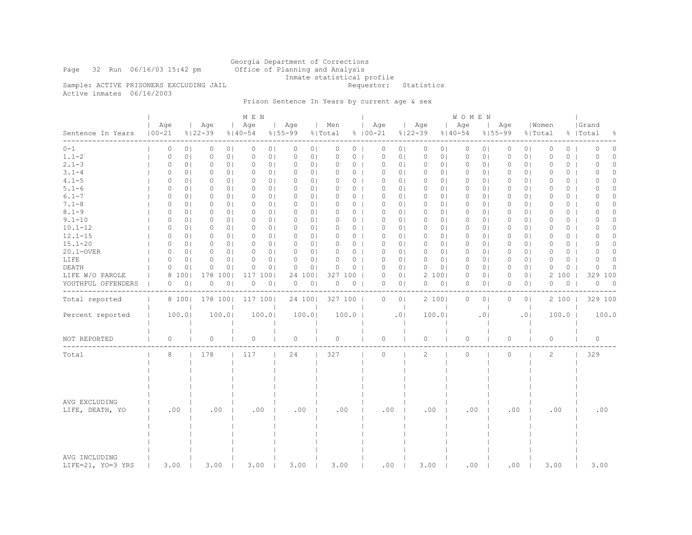Georgia Department of Corrections Page 32 Run 06/16/03 15:42 pm Office of Planning and Analysis Inmate statistical profile<br>Requestor: Statistics

Sample: ACTIVE PRISONERS EXCLUDING JAIL Active inmates 06/16/2003

## Prison Sentence In Years by current age & sex

|                                    |                   |                |                    |                | M E N              |                |                            |                |                |                    |                |                    |                | W O M E N          |                |                    |                |                  |         |                    |                          |
|------------------------------------|-------------------|----------------|--------------------|----------------|--------------------|----------------|----------------------------|----------------|----------------|--------------------|----------------|--------------------|----------------|--------------------|----------------|--------------------|----------------|------------------|---------|--------------------|--------------------------|
| Sentence In Years                  | Age<br>$100 - 21$ |                | Age<br>$8122 - 39$ |                | Age<br>$8140 - 54$ |                | Age<br>$8155 - 99$         | Men<br>% Total |                | Age<br>$8100 - 21$ |                | Age<br>$8122 - 39$ |                | Age<br>$8140 - 54$ |                | Age<br>$8155 - 99$ |                | Women<br>% Total |         | Grand<br>%   Total | ိင                       |
| $0 - 1$                            | 0                 | 0 <sub>1</sub> | 0                  | 0 <sub>1</sub> | 0                  | 0 <sub>1</sub> | 0<br>0 <sub>1</sub>        | 0              | 0              | 0                  | 0 <sub>1</sub> | 0                  | 0 <sub>1</sub> | $\circ$            | 0 <sub>1</sub> | 0                  | 0 <sub>1</sub> | 0                | $\circ$ | $\Omega$           | $\circ$                  |
| $1.1 - 2$                          | $\circ$           | 0 <sub>1</sub> | 0                  | 0 <sub>1</sub> | 0                  | 0 <sub>1</sub> | 0 <sub>1</sub><br>0        | 0              | $\circ$        | $\circ$            | 0 <sub>1</sub> | 0                  | 0 <sub>1</sub> | $\circ$            | 0 <sub>1</sub> | 0                  | 0 <sub>1</sub> | $\circ$          | 0       | 0                  | $\circ$                  |
| $2.1 - 3$                          | 0                 | 0 <sub>1</sub> | 0                  | 0 <sub>1</sub> | 0                  | 0 <sub>1</sub> | 0<br>0 <sub>1</sub>        | 0              | 0 <sub>1</sub> | 0                  | 0 <sub>1</sub> | 0                  | 0 <sub>1</sub> | $\circ$            | 0 <sub>1</sub> | 0                  | 0 <sub>1</sub> | $\circ$          | 0       | $\Omega$           | $\circ$                  |
| $3.1 - 4$                          | 0                 | 0 <sup>1</sup> | 0                  | 0 <sub>1</sub> | 0                  | 0 <sub>1</sub> | 0<br>0 <sub>1</sub>        | 0              | 0 <sub>1</sub> | 0                  | 0 <sub>1</sub> | 0                  | 01             | 0                  | 0 <sup>1</sup> | 0                  | 0 <sub>1</sub> | 0                | $\circ$ | ∩                  | $\Omega$                 |
| $4.1 - 5$                          | 0                 | 0 <sup>1</sup> | 0                  | 0 <sub>1</sub> | 0                  | 0 <sup>1</sup> | 0 <sup>1</sup><br>0        | 0              | 0 <sub>1</sub> | $\circ$            | 0 <sub>1</sub> | 0                  | 0 <sub>1</sub> | 0                  | 0 <sub>1</sub> | 0                  | 0 <sub>1</sub> | $\circ$          | $\circ$ | $\Omega$           | 0                        |
| $5.1 - 6$                          | 0                 | 0 <sup>1</sup> | $\circ$            | 0 <sub>1</sub> | $\circ$            | 0 <sup>1</sup> | $\Omega$<br>0 <sub>1</sub> | $\Omega$       | 0 <sub>1</sub> | $\circ$            | 0 <sub>1</sub> | $\circ$            | 0 <sub>1</sub> | $\circ$            | 0 <sub>1</sub> | 0                  | 0 <sub>1</sub> | $\Omega$         | 0       | $\Omega$           | 0                        |
| $6.1 - 7$                          | 0                 | 0 <sup>1</sup> | $\circ$            | 0 <sub>1</sub> | $\circ$            | 0 <sub>1</sub> | 0 <sub>1</sub><br>0        | 0              | 0 <sub>1</sub> | $\circ$            | 0 <sub>1</sub> | $\circ$            | 0 <sub>1</sub> | 0                  | 0 <sub>1</sub> | 0                  | 0 <sub>1</sub> | $\circ$          | $\circ$ | $\Omega$           | $\Omega$                 |
| $7.1 - 8$                          | 0                 | 0 <sub>1</sub> | 0                  | 0 <sub>1</sub> | 0                  | 0 <sub>1</sub> | $\circ$<br>0 <sub>1</sub>  | $\Omega$       | 0 <sub>1</sub> | $\circ$            | 0 <sub>1</sub> | 0                  | 0 <sub>1</sub> | $\circ$            | 0 <sub>1</sub> | 0                  | 0 <sub>1</sub> | 0                | $\circ$ | 0                  | $\Omega$                 |
| $8.1 - 9$                          | 0                 | 0 <sub>1</sub> | $\circ$            | 0 <sup>1</sup> | 0                  | 0 <sup>1</sup> | $\circ$<br>0 <sub>1</sub>  | 0              | 0 <sub>1</sub> | $\circ$            | 0 <sub>1</sub> | $\mathbf{0}$       | 01             | 0                  | 0 <sup>1</sup> | 0                  | 0 <sub>1</sub> | $\circ$          | 0       | $\Omega$           | $\circ$                  |
| $9.1 - 10$                         | 0                 | 0 <sup>1</sup> | $\circ$            | 0 <sub>1</sub> | $\circ$            | 0 <sub>1</sub> | $\circ$<br>0 <sub>1</sub>  | 0              | 0 <sub>1</sub> | $\circ$            | 0 <sub>1</sub> | $\circ$            | 0 <sub>1</sub> | $\circ$            | $\circ$        | 0                  | 0 <sub>1</sub> | $\circ$          | 0       | $\Omega$           | $\Omega$                 |
| $10.1 - 12$                        | 0                 | 0 <sup>1</sup> | 0                  | 0 <sub>1</sub> | 0                  | 0 <sup>1</sup> | 0 <sup>1</sup><br>0        | 0              | 0 <sub>1</sub> | $\circ$            | 0 <sub>1</sub> | $\mathbf{0}$       | 0 <sub>1</sub> | 0                  | 0 <sub>1</sub> | 0                  | 0 <sup>1</sup> | $\circ$          | 0       | $\Omega$           | $\Omega$                 |
| $12.1 - 15$                        | $\circ$           | 0 <sup>1</sup> | $\circ$            | 0 <sub>1</sub> | $\circ$            | 0 <sub>1</sub> | $\Omega$<br>0 <sub>1</sub> | 0              | 0 <sub>1</sub> | $\circ$            | 0 <sub>1</sub> | $\circ$            | 0 <sub>1</sub> | $\circ$            | 0 <sub>1</sub> | 0                  | 0 <sub>1</sub> | $\Omega$         | 0       | $\Omega$           | $\circ$                  |
| $15.1 - 20$                        | 0                 | 0 <sup>1</sup> | $\circ$            | 0 <sub>1</sub> | 0                  | 0 <sub>1</sub> | 0 <sub>1</sub><br>0        | 0              | $0-1$          | $\circ$            | 0 <sub>1</sub> | $\mathbf{0}$       | 0 <sub>1</sub> | 0                  | $\circ$        | 0                  | 0 <sub>1</sub> | $\circ$          | $\circ$ | $\Omega$           | $\Omega$                 |
| 20.1-OVER                          | $\circ$           | 0 <sub>1</sub> | 0                  | 0 <sub>1</sub> | 0                  | 0 <sup>1</sup> | $\circ$<br>0 <sub>1</sub>  | $\Omega$       | 0 <sub>1</sub> | $\circ$            | 0 <sub>1</sub> | 0                  | 0 <sub>1</sub> | $\circ$            | 0 <sub>1</sub> | 0                  | 0 <sub>1</sub> | $\circ$          | 0       | $\Omega$           | $\Omega$                 |
| LIFE                               | 0                 | 0 <sub>1</sub> | $\circ$            | 0 <sub>1</sub> | 0                  | 0 <sub>1</sub> | $\circ$<br>0 <sup>1</sup>  | 0              | 0 <sub>1</sub> | $\circ$            | 0 <sub>1</sub> | $\circ$            | 0 <sub>1</sub> | 0                  | 0 <sup>1</sup> | 0                  | 0 <sub>1</sub> | $\circ$          | 0       | $\Omega$           | 0                        |
| DEATH                              | 0                 | 0              | $\mathbf 0$        | 0 <sub>1</sub> | $\Omega$           | 0 <sub>1</sub> | 0 <sub>1</sub><br>$\circ$  | $\Omega$       | $0-1$          | $\mathbf 0$        | 0 <sub>1</sub> | $\circ$            | 0 <sub>1</sub> | $\circ$            | $\circ$        | 0                  | 0 <sub>1</sub> | $\circ$          | $\circ$ | $\Omega$           | $\Omega$                 |
| LIFE W/O PAROLE                    | 8                 | 100            | 178                | 1001           | 117                | 1001           | 24<br>1001                 |                | 327 100        | $\circ$            | 0 <sub>1</sub> |                    | 2 100          | 0                  | 0 <sub>1</sub> | 0                  | 0 <sub>1</sub> | 2                | 100     | 329                | 100                      |
| YOUTHFUL OFFENDERS                 | 0                 | 0 <sub>1</sub> | $\circ$            | 0 <sub>1</sub> | 0                  | 0 <sub>1</sub> | 0 <sub>1</sub><br>0        | 0              | 0              | $\circ$            | 0 <sub>1</sub> | 0                  | 0 <sub>1</sub> | 0                  | 0 <sub>1</sub> | 0                  | 0 <sub>1</sub> | $\circ$          | $\circ$ | $\circ$            | $\overline{\phantom{0}}$ |
|                                    |                   |                |                    |                |                    |                |                            |                |                |                    |                |                    |                |                    |                |                    |                |                  |         |                    |                          |
| Total reported                     |                   | 8 100          | 178 100            |                | 117 100            |                | 24 100                     |                | 327 100        | 0                  | 0 <sub>1</sub> |                    | 2 100          | 0                  | 0 <sub>1</sub> | 0                  | 0 <sub>1</sub> |                  | 2 100   | 329 100            |                          |
| Percent reported                   | 100.0             |                |                    | 100.01         |                    | 100.0          | 100.0                      |                | 100.0          |                    | .01            |                    | 100.0          |                    | .01            |                    | .0             |                  | 100.0   |                    | 100.0                    |
| NOT REPORTED                       | 0                 |                | $\circ$            |                | $\circ$            |                | $\circ$                    | 0              |                | $\circ$            |                | $\Omega$           |                | $\circ$            |                | 0                  |                | $\circ$          |         | $\circ$            |                          |
|                                    |                   |                |                    |                |                    |                |                            |                |                |                    |                |                    |                |                    |                |                    |                |                  |         |                    |                          |
| Total                              | 8                 |                | 178                |                | 117                |                | 24                         | 327            |                | $\circ$            |                | 2                  |                | $\Omega$           |                | $\Omega$           |                | 2                |         | 329                |                          |
| AVG EXCLUDING<br>LIFE, DEATH, YO   | .00               |                | .00                |                | .00                |                | .00                        |                | .00            | .00                |                | .00                |                | .00                |                | .00                |                | .00              |         | .00                |                          |
| AVG INCLUDING<br>LIFE=21, YO=3 YRS | 3.00              |                | 3.00               |                | 3.00               |                | 3.00                       | 3.00           |                | .00                |                | 3.00               |                | .00                |                | .00                |                | 3.00             |         | 3.00               |                          |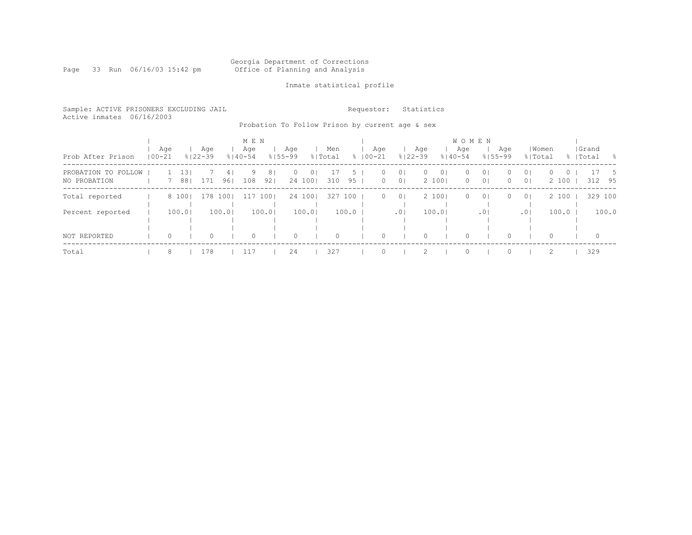#### Georgia Department of Corrections Page 33 Run 06/16/03 15:42 pm Office of Planning and Analysis

### Inmate statistical profile

Sample: ACTIVE PRISONERS EXCLUDING JAIL **Requestor:** Statistics Active inmates 06/16/2003

Probation To Follow Prison by current age & sex

| Prob After Prison                   | Age<br>$100 - 21$ |         |            | Age<br>$8122 - 39$ |           | M E N<br>Age<br>$8140 - 54$ |                       | Age<br>$8155 - 99$ |                           | Men<br>% Total |                     | $8100 - 21$ | Aqe          |                                  | Aqe<br>$8122 - 39$ |                         | W O M E N<br>Age<br>$8140 - 54$ | $8155 - 99$                      | Age                  | % Total                          | Women             |         | Grand<br>%   Total | - 양           |
|-------------------------------------|-------------------|---------|------------|--------------------|-----------|-----------------------------|-----------------------|--------------------|---------------------------|----------------|---------------------|-------------|--------------|----------------------------------|--------------------|-------------------------|---------------------------------|----------------------------------|----------------------|----------------------------------|-------------------|---------|--------------------|---------------|
| PROBATION TO FOLLOW<br>NO PROBATION |                   |         | 13'<br>881 | 171                | 41<br>961 | 9<br>108                    | 8 <sub>1</sub><br>921 | 0                  | 0 <sub>1</sub><br>24 1001 | 310            | $\mathcal{D}$<br>95 |             | 0<br>$\circ$ | 0 <sub>1</sub><br>0 <sup>1</sup> | $\Omega$           | 0 <sup>1</sup><br>2 100 | $\circ$<br>$\circ$              | 0 <sup>1</sup><br>0 <sup>1</sup> | $\Omega$<br>$\Omega$ | 0 <sub>1</sub><br>0 <sup>1</sup> | $\Omega$<br>2 100 | $\circ$ |                    | - 5<br>312 95 |
| Total reported                      |                   |         |            | 8 100   178 100    |           |                             | 117 1001              |                    | 24 100                    | 327            | 100                 |             | $\circ$      | 0 <sup>1</sup>                   |                    | 2 1001                  | $\circ$                         | 0 <sup>1</sup>                   | $\Omega$             | 0 <sup>1</sup>                   | 2 100             |         |                    | 329 100       |
| Percent reported                    |                   |         | 100.0      |                    | 100.01    |                             | 100.01                |                    | 100.01                    |                | 100.0               |             |              | .0 <sub>1</sub>                  |                    | 100.01                  |                                 | .01                              |                      | .01                              | 100.0             |         |                    | 100.0         |
| NOT REPORTED                        |                   | $\circ$ |            | $\Omega$           |           | 0                           |                       | $\Omega$           |                           | $\Omega$       |                     |             |              |                                  |                    |                         | $\Omega$                        |                                  |                      |                                  | $\Omega$          |         | $\Omega$           |               |
| Total                               |                   | 8       |            | 178                |           | 117                         |                       | 24                 |                           | 327            |                     |             |              |                                  |                    |                         | $\cap$                          |                                  |                      |                                  | $\mathcal{L}$     |         | 329                |               |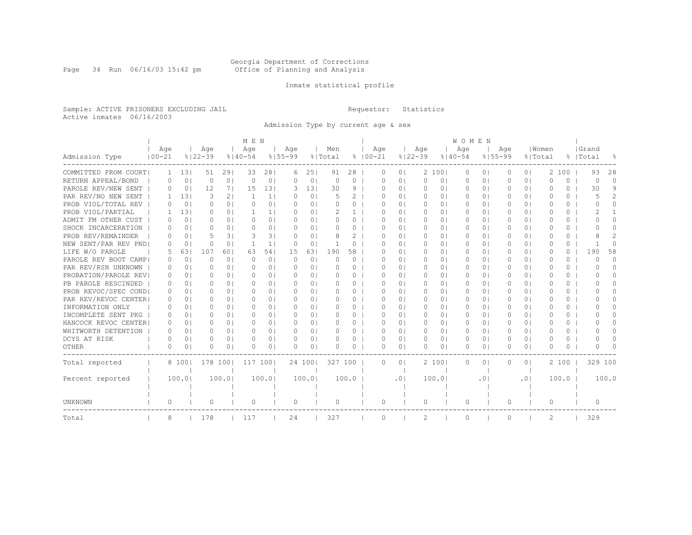#### Georgia Department of Corrections Page 34 Run 06/16/03 15:42 pm Office of Planning and Analysis

### Inmate statistical profile

Sample: ACTIVE PRISONERS EXCLUDING JAIL **Requestor:** Statistics Active inmates 06/16/2003

Admission Type by current age & sex

|                      |              |                |             |                | M E N        |                |             |                |           |          |             |                |             |                | <b>WOMEN</b> |                |             |                |           |          |           |                |
|----------------------|--------------|----------------|-------------|----------------|--------------|----------------|-------------|----------------|-----------|----------|-------------|----------------|-------------|----------------|--------------|----------------|-------------|----------------|-----------|----------|-----------|----------------|
|                      | Age          |                | Age         |                | Age          |                | Age         |                | Men       |          | Age         |                | Age         |                | Age          |                | Age         |                | Women     |          | Grand     |                |
| Admission Type       | $100 - 21$   |                | $8122 - 39$ |                | $8140 - 54$  |                | $8155 - 99$ |                | % Total   |          | $8100 - 21$ |                | $8122 - 39$ |                | $8140 - 54$  |                | $8155 - 99$ | % Total        |           |          | %   Total | ႜ              |
| COMMITTED FROM COURT | $\mathbf{1}$ | 131            | 51          | 291            | 33           | 281            | 6           | 25             | 91        | 28       | O           | $\circ$        |             | 2 100          | 0            | $\circ$        | 0           | 0 <sub>1</sub> | 2         | 100      | 93        | 28             |
| RETURN APPEAL/BOND   | 0            | $\circ$        | $\Omega$    | 0 <sub>1</sub> | $\Omega$     | 0              | $\Omega$    | $\circ$        | $\Omega$  | $\Omega$ | O           | 0 <sub>1</sub> | $\circ$     | 0 <sub>1</sub> | 0            | $\circ$        | $\Omega$    | 0 <sup>1</sup> | $\Omega$  | $\Omega$ | $\Omega$  | $\cap$         |
| PAROLE REV/NEW SENT  | 0            | 0 <sub>1</sub> | 12          | 71             | 15           | 131            | 3           | 131            | 30        | 9        | U           | 0 <sub>1</sub> | $\Omega$    | 0 <sub>1</sub> | $\Omega$     | 0 <sub>1</sub> | $\Omega$    | 0 <sup>1</sup> | U         | $\Omega$ | 30        | 9              |
| PAR REV/NO NEW SENT  | 1.           | 131            | 3           | 21             | $\mathbf{1}$ | 1 <sup>1</sup> | $\Omega$    | 0 <sup>1</sup> |           | 2        | O           | 0 <sub>1</sub> | $\circ$     | 0 <sub>1</sub> | $\Omega$     | $\circ$        | $\Omega$    | 0 <sup>1</sup> | $\bigcap$ | 0        | 5         | $\overline{2}$ |
| PROB VIOL/TOTAL REV  | O.           | 0 <sub>1</sub> | Ω           | 0 <sub>1</sub> | $\Omega$     | 0 <sub>1</sub> | $\Omega$    | 01             | $\Omega$  | 0        | O           | 0 <sub>1</sub> | 0           | 0 <sub>1</sub> | 0            | $\circ$        | O           | 0 <sup>1</sup> | $\Omega$  | 0        | $\bigcap$ | $\Omega$       |
| PROB VIOL/PARTIAL    |              | 131            | Ω           | 0 <sub>1</sub> |              | 11             | $\Omega$    | 01             |           |          | O           | 0 <sub>1</sub> | $\Omega$    | 0 <sub>1</sub> | $\Omega$     | 0 <sub>1</sub> |             | 0 <sub>1</sub> | O         | $\Omega$ |           |                |
| ADMIT FM OTHER CUST  | 0            | 0 <sub>1</sub> | Ω           | $\Omega$       | $\Omega$     | 0 <sub>1</sub> | $\Omega$    | $\Omega$       | O         | $\Omega$ | O           | 0 <sub>1</sub> | $\Omega$    | 0 <sub>1</sub> | $\Omega$     | 0 <sub>1</sub> | 0           | 0 <sub>1</sub> | $\Omega$  | $\Omega$ | O         | $\Omega$       |
| SHOCK INCARCERATION  | O.           | $\Omega$       | Ω           | $\Omega$       | O            | 0 <sub>1</sub> | O.          | 0 <sub>1</sub> | O         | $\Omega$ | 0           | 0 <sub>1</sub> | $\Omega$    | 0 <sub>1</sub> | $\Box$       | 0 <sub>1</sub> | 0           | 0 <sub>1</sub> | $\bigcap$ | $\Omega$ | ∩         | 0              |
| PROB REV/REMAINDER   | O.           | $\Omega$       | 5           | 31             | 3            | 31             | $\Omega$    | $\Omega$       | 8         | 2        | O           | 0 <sub>1</sub> | $\Omega$    | 01             | 0            | $\Omega$       | 0           | 0 <sup>1</sup> | O         | $\Omega$ |           | $\overline{2}$ |
| NEW SENT/PAR REV PND | $\bigcap$    | 0 <sub>1</sub> | Ω           | 0 <sub>1</sub> | -1           | 1 <sub>1</sub> | $\Omega$    | 0              |           | $\Omega$ | O           | 0 <sub>1</sub> | 0           | 0 <sub>1</sub> | $\Omega$     | 0 <sub>1</sub> | $\Omega$    | 0 <sup>1</sup> | $\Omega$  | 0        |           | $\Omega$       |
| LIFE W/O PAROLE      | 5            | 631            | 107         | 601            | 63           | 541            | 15          | 63             | 190       | 58       | O           | 0 <sub>1</sub> | 0           | 0 <sub>1</sub> | 0            | 0 <sub>1</sub> | 0           | 0 <sup>1</sup> | $\Omega$  | 0        | 190       | 58             |
| PAROLE REV BOOT CAMP | 0            | 0 <sub>1</sub> | Ω           | 0 <sub>1</sub> | $\Omega$     | 0 <sub>1</sub> | 0           | 0 <sup>1</sup> | $\Omega$  | 0        | O           | 0 <sub>1</sub> | 0           | 0 <sub>1</sub> | 0            | 0 <sub>1</sub> | O           | 0 <sup>1</sup> | O         | 0        | $\Omega$  | $\Omega$       |
| PAR REV/RSN UNKNOWN  | 0            | 0 <sub>1</sub> | Ω           | 0 <sub>1</sub> | $\Omega$     | 0 <sub>1</sub> | $\Omega$    | 0 <sub>1</sub> | $\Omega$  | $\Omega$ | O           | 0 <sub>1</sub> | 0           | 0 <sub>1</sub> | 0            | 0 <sub>1</sub> | O           | 0 <sup>1</sup> | $\Omega$  | 0        | $\bigcap$ | $\Omega$       |
| PROBATION/PAROLE REV | 0            | 0 <sub>1</sub> | Ω           | 0 <sub>1</sub> | $\Omega$     | 0 <sup>1</sup> | $\Omega$    | 01             | $\Omega$  | $\Omega$ | O           | 0 <sub>1</sub> | $\Omega$    | 0 <sub>1</sub> | $\Omega$     | 0 <sub>1</sub> | $\Omega$    | 0 <sup>1</sup> | O         | 0        | O         | 0              |
| PB PAROLE RESCINDED  | 0            | $\Omega$       | Λ           | 0 <sup>1</sup> | ∩            | $\Omega$       | $\Omega$    | 01             | 0         | $\Omega$ | U           | 0 <sub>1</sub> | $\Omega$    | 0 <sub>1</sub> | 0            | $\Omega$       | 0           | 0 <sub>1</sub> | U         | $\Omega$ | U         | 0              |
| PROB REVOC/SPEC COND | O.           | 0 <sup>1</sup> | Λ           | 0 <sup>1</sup> | ∩            | $\Omega$       | $\Omega$    | 01             | $\bigcap$ | $\Omega$ | U           | 0 <sub>1</sub> | $\Omega$    | 0 <sub>1</sub> | $\Omega$     | $\Omega$       | $\bigcap$   | 01             | U         | 0        |           | $\cap$         |
| PAR REV/REVOC CENTER | $\Omega$     | 0 <sup>1</sup> | Λ           | 0 <sup>1</sup> | ∩            | $\Omega$       | $\bigcap$   | 01             | ∩         | $\Omega$ | U           | 0 <sub>1</sub> | $\Omega$    | 0 <sub>1</sub> | $\Omega$     | $\Omega$       | $\Omega$    | 01             | U         | 0        |           | $\cap$         |
| INFORMATION ONLY     | $\Omega$     | 0 <sup>1</sup> | Ω           | 0 <sup>1</sup> | ∩            | 0 <sup>1</sup> | $\Omega$    | 01             |           | $\Omega$ | O           | 0 <sub>1</sub> | $\Omega$    | 0 <sub>1</sub> | $\Omega$     | $\Omega$       | O           | 01             | O         | 0        |           | $\cap$         |
| INCOMPLETE SENT PKG  | 0            | $\Omega$       | Ω           | $\Omega$       | O            | $\Omega$       | $\Omega$    | 01             |           | $\Omega$ | O           | 0 <sub>1</sub> | $\Omega$    | 0 <sub>1</sub> | 0            | $\Omega$       |             | 01             | O         | 0        |           | $\cap$         |
| HANCOCK REVOC CENTER | O.           | $\Omega$       | Ω           | $\Omega$       | ∩            | 0 <sub>1</sub> | $\bigcap$   | 0 <sub>1</sub> | $\Omega$  | $\Omega$ | O           | 0 <sup>1</sup> | $\Omega$    | 0 <sub>1</sub> | $\Omega$     | $\circ$        | $\Omega$    | 0 <sup>1</sup> | $\bigcap$ | 0        | U         | 0              |
| WHITWORTH DETENTION  | O.           | 0 <sub>1</sub> | Ω           | 0 <sub>1</sub> | $\Omega$     | 0 <sub>1</sub> | $\bigcap$   | 0 <sub>1</sub> | O         | $\Omega$ | $\bigcap$   | 0 <sup>1</sup> | $\Omega$    | 0 <sup>1</sup> | $\Omega$     | 0 <sub>1</sub> | $\Omega$    | 0 <sup>1</sup> | $\bigcap$ | 0        |           | 0              |
| DCYS AT RISK         | $\bigcap$    | 0 <sub>1</sub> | Ω           | 0 <sub>1</sub> | $\Omega$     | 0 <sup>1</sup> | $\bigcap$   | 0 <sub>1</sub> | $\Omega$  | $\Omega$ | $\bigcap$   | 0 <sub>1</sub> | 0           | 0 <sup>1</sup> | $\Omega$     | $\Omega$       | $\Omega$    | 0 <sup>1</sup> | $\bigcap$ | $\Omega$ |           | 0              |
| OTHER                | $\Omega$     | $\Omega$       | Λ           | 0 <sup>1</sup> | $\Omega$     | 0 <sub>1</sub> | $\Omega$    | 0 <sub>1</sub> |           | $\Omega$ | O           | 0 <sub>1</sub> | 0           | 0 <sub>1</sub> | $\Omega$     | $\circ$        | $\bigcap$   | 0 <sup>1</sup> | O         | $\cap$   |           | $\cap$         |
| Total reported       |              | 8 1001         | 178 1001    |                | 117 1001     |                |             | 24 1001        | 327 100   |          | $\Omega$    | 0 <sub>1</sub> |             | 2 1001         | 0            | $\circ$        | $\Omega$    | 0 <sup>1</sup> |           | 2 100    |           | 329 100        |
|                      |              |                |             |                |              |                |             |                |           |          |             |                |             |                |              |                |             |                |           |          |           |                |
| Percent reported     |              | 100.01         |             | 100.0          |              | 100.0          |             | 100.0          |           | 100.0    |             | .01            |             | 100.01         |              | $\cdot$ 0      |             | .01            |           | 100.0    |           | 100.0          |
|                      |              |                |             |                |              |                |             |                |           |          |             |                |             |                |              |                |             |                |           |          |           |                |
| UNKNOWN              | 0            |                | 0           |                | $\Omega$     |                | 0           |                | $\Omega$  |          | $\Omega$    |                | 0           |                | 0            |                | $\Omega$    |                | 0         |          | 0         |                |
| Total                | 8            |                | 178         |                | 117          |                | 24          |                | 327       |          | 0           |                | 2           |                | 0            |                | 0           |                | 2         |          | 329       |                |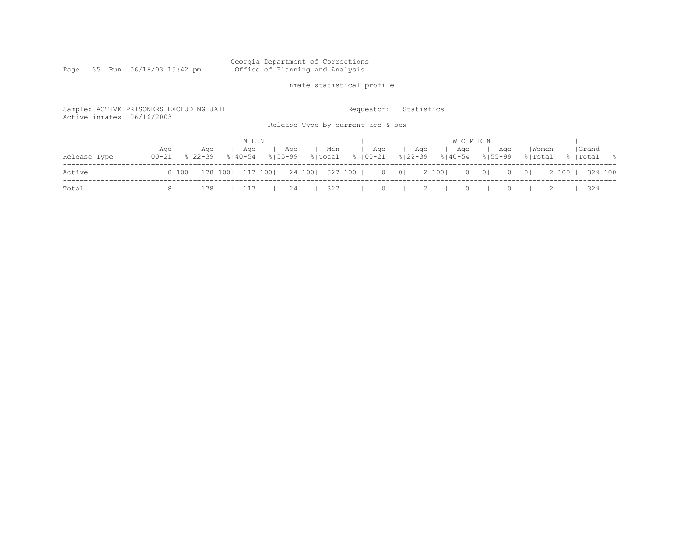#### Georgia Department of Corrections Page 35 Run 06/16/03 15:42 pm Office of Planning and Analysis

## Inmate statistical profile

| Sample: ACTIVE PRISONERS EXCLUDING JAIL<br>Active inmates 06/16/2003 |                   |                 |                    |                             |             |     | Release Type by current age & sex |                | Requestor: |          |                | Statistics |             |                     |                |          |                  |         |                    |         |
|----------------------------------------------------------------------|-------------------|-----------------|--------------------|-----------------------------|-------------|-----|-----------------------------------|----------------|------------|----------|----------------|------------|-------------|---------------------|----------------|----------|------------------|---------|--------------------|---------|
| Release Type                                                         | Aqe<br>$100 - 21$ |                 | Aqe<br>$8122 - 39$ | M E N<br>Age<br>$8140 - 54$ | $8155 - 99$ | Age |                                   | Men<br>% Total | %   00−21  | Age      | $8122 - 39$    | Age        | $8140 - 54$ | <b>WOMEN</b><br>Age | $8155 - 99$    | Aqe      | Women<br>% Total |         | Grand<br>%   Total | - 응     |
| Active                                                               |                   | 8 100   178 100 |                    |                             | 117 1001    |     | 24 100 327 100 1                  |                |            | $\circ$  | 0 <sup>1</sup> | 2 100      |             | $\circ$             | 0 <sup>1</sup> | $\Omega$ | $\overline{0}$   | 2 100 1 |                    | 329 100 |
| Total                                                                | 8                 |                 | 178                | $\perp$ $\perp$ $\perp$     |             | -24 |                                   | 327            |            | $\Omega$ |                |            |             |                     |                |          |                  |         | 329                |         |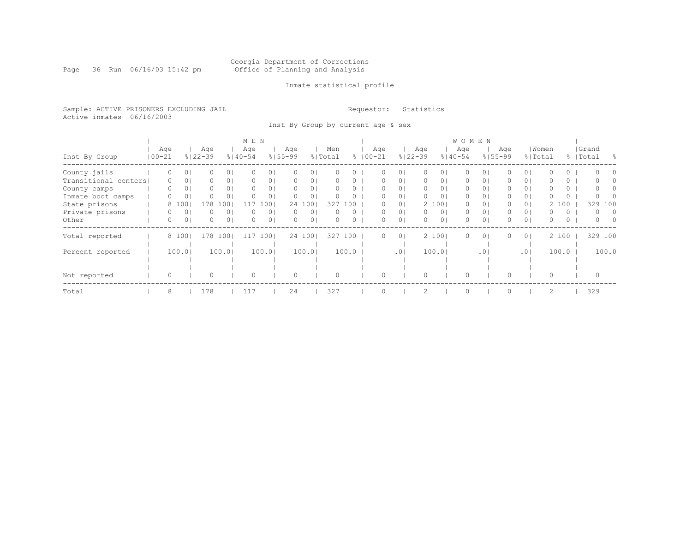Page 36 Run 06/16/03 15:42 pm

### Inmate statistical profile

Sample: ACTIVE PRISONERS EXCLUDING JAIL **Requestor:** Statistics Active inmates 06/16/2003

Inst By Group by current age & sex

|                      |            |          |                |             |                | M E N       |                |             |                |         |          |             |                |             |                | <b>WOMEN</b> |                 |             |                |          |          |           |          |
|----------------------|------------|----------|----------------|-------------|----------------|-------------|----------------|-------------|----------------|---------|----------|-------------|----------------|-------------|----------------|--------------|-----------------|-------------|----------------|----------|----------|-----------|----------|
|                      |            | Age      |                | Age         |                | Age         |                | Age         |                | Men     |          | Age         |                | Age         |                | Age          |                 | Aqe         |                | Women    |          | Grand     |          |
| Inst By Group        | $100 - 21$ |          |                | $8122 - 39$ |                | $8140 - 54$ |                | $8155 - 99$ |                | % Total |          | $8100 - 21$ |                | $8122 - 39$ |                | $8140 - 54$  |                 | $8155 - 99$ | % Total        |          |          | %   Total | - 옹      |
| County jails         |            | 0        | 0 <sup>1</sup> | 0           | 0 <sup>1</sup> |             | 0 <sub>1</sub> | 0           | 0              |         |          |             | $\circ$        | 0           | 01             | 0            | $\circ$         |             | 0 <sup>1</sup> |          | 0        | $\bigcap$ |          |
| Transitional centers |            | 0        | 0              |             | 0 <sup>1</sup> |             | 0 <sub>1</sub> | 0           | 0              |         | 0        |             | $\circ$        | 0           | 01             | 0            | 0               | 0           | 0 <sup>1</sup> |          | 0        |           |          |
| County camps         |            | $\Omega$ | 0              | 0           | 0 <sup>1</sup> | $\Omega$    | 0 <sub>1</sub> | $\Omega$    | 0 <sub>1</sub> |         |          |             | $\circ$        | 0           | 01             | 0            | 0               |             | 0 <sup>1</sup> |          | $\circ$  | $\cap$    |          |
| Inmate boot camps    |            | 0        | 0              |             | 0 <sup>1</sup> | $\Omega$    | 0 <sub>1</sub> | $\Omega$    | $\circ$        |         | $\Omega$ | 0           | 0 <sub>1</sub> | $\Omega$    | 0 <sub>1</sub> | $\circ$      | $\circ$         | 0           | 0 <sup>1</sup> | 0        | $\circ$  |           |          |
| State prisons        |            |          | 8 100          | 178         | 100            | 117         | 1001           |             | 24 100         | 327     | 100      |             | 0 <sub>1</sub> |             | 2 100          | 0            | 0               | 0           | 0 <sup>1</sup> |          | 2 100    | 329       | 100      |
| Private prisons      |            |          | 0              |             | $\circ$        |             | 0 <sub>1</sub> | $\Omega$    | $\circ$        |         |          |             | 0 <sup>1</sup> | $\circ$     | 0 <sub>1</sub> | 0            | 0               | 0           | 0 <sup>1</sup> | 0        | 0        | $\Omega$  | $\Omega$ |
| Other                |            | $\Omega$ | 0              | 0           | 0 <sup>1</sup> | $\Omega$    | 0 <sub>1</sub> | 0           | 0              | $\cap$  | $\Omega$ | 0           | 0 <sub>1</sub> | $\Omega$    | 0 <sub>1</sub> | $\Omega$     | 0               | 0           | 0 <sub>1</sub> | $\Omega$ | $\Omega$ | $\Omega$  | $\cap$   |
| Total reported       |            |          | 8 100          | 178         | 1001           | 11          | 100            |             | 24 100         | 327     | 100      | 0           | $\overline{0}$ |             | 2 1001         | $\Omega$     | $\circ$         | 0           | 0 <sup>1</sup> |          | 2 100    | 329 100   |          |
|                      |            |          |                |             |                |             |                |             |                |         |          |             |                |             |                |              |                 |             |                |          |          |           |          |
| Percent reported     |            |          | 100.0          |             | 100.01         |             | 100.01         |             | 100.01         |         | 100.0    |             | .01            |             | 100.01         |              | .0 <sup>1</sup> |             | .01            |          | 100.0    |           | 100.0    |
|                      |            |          |                |             |                |             |                |             |                |         |          |             |                |             |                |              |                 |             |                |          |          |           |          |
|                      |            |          |                |             |                |             |                |             |                |         |          |             |                |             |                |              |                 |             |                |          |          |           |          |
| Not reported         |            | $\Omega$ |                |             |                | $\Omega$    |                |             |                |         |          |             |                |             |                | $\Omega$     |                 |             |                | $\Omega$ |          |           |          |
| Total                |            | 8        |                | 178         |                | 117         |                | 24          |                | 327     |          |             |                | 2           |                | $\Omega$     |                 |             |                | 2        |          | 329       |          |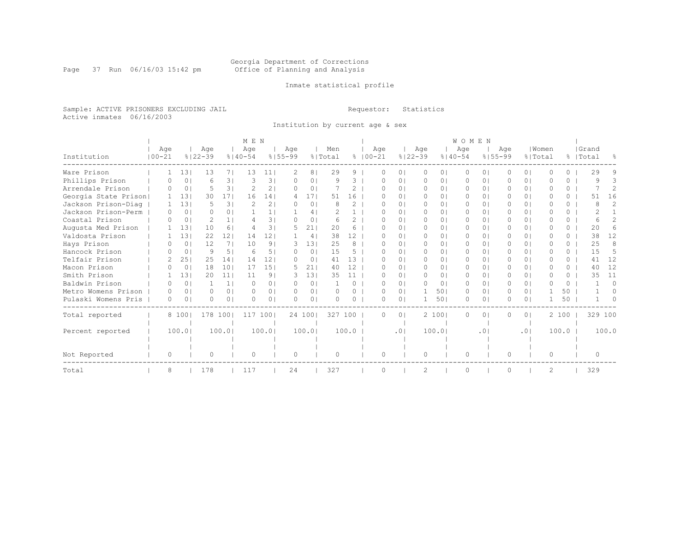Page 37 Run 06/16/03 15:42 pm

### Inmate statistical profile

Sample: ACTIVE PRISONERS EXCLUDING JAIL **Requestor:** Statistics Active inmates 06/16/2003

Institution by current age & sex

|                      |            | M E N          |                |                 |               |                   |             |                |           |               |             |     |                | <b>WOMEN</b> |                |           |                 |           |                |           |          |              |                |  |  |
|----------------------|------------|----------------|----------------|-----------------|---------------|-------------------|-------------|----------------|-----------|---------------|-------------|-----|----------------|--------------|----------------|-----------|-----------------|-----------|----------------|-----------|----------|--------------|----------------|--|--|
|                      | Age        |                | Age            |                 | Age           |                   | Age         |                | Men       |               | Age         |     |                | Age          |                | Age       |                 | Age       |                | Women     |          | Grand        |                |  |  |
| Institution          | $100 - 21$ |                | $8122 - 39$    |                 | $8140 - 54$   |                   | $8155 - 99$ |                | % Total   |               | $8100 - 21$ |     | $8122 - 39$    |              | $8140 - 54$    |           | $8155 - 99$     |           | % Total        |           |          | %   Total    | $\frac{6}{10}$ |  |  |
| Ware Prison          |            | 131            | 13             | 71              | 13            | 11                |             | 8              | 29        | 9             |             |     | $\Omega$       | $\Omega$     | 0 <sub>1</sub> | $\Omega$  | $\Omega$        |           | $\Omega$       | O         | 0        | 29           | 9              |  |  |
| Phillips Prison      | O.         | $\circ$        | 6              | 31              | 3             | 3                 | 0           | 0              | 9         | 3             |             | O   | 0 <sub>1</sub> | $\Omega$     | 0 <sub>1</sub> | $\Omega$  | $\Omega$        | O         | 0 <sub>1</sub> | O         | $\Omega$ | q            |                |  |  |
| Arrendale Prison     | ∩          | 0 <sup>1</sup> | 5              | 31              | $\mathcal{D}$ | 2 <sub>1</sub>    | $\Omega$    | 0 <sup>1</sup> |           | 2             |             |     | 0 <sub>1</sub> | $\Omega$     | 0 <sub>1</sub> | $\Omega$  | $\Omega$        | O         | $\bigcirc$     | O         | $\Omega$ |              | $\overline{2}$ |  |  |
| Georgia State Prison |            | 131            | 30             | 171             | 16            | 141               | 4           | 171            | 51        | 16            |             |     | 0 <sub>1</sub> | $\Omega$     | 0 <sub>1</sub> | $\Omega$  | $\Omega$        |           | 0 <sup>1</sup> | U         | $\Omega$ | 51           | 16             |  |  |
| Jackson Prison-Diag  |            | 131            |                | 31              |               | $\overline{2}$    |             | $\Omega$       |           | 2             |             |     | 0 <sub>1</sub> | $\Omega$     | 0 <sub>1</sub> | $\Omega$  | $\Omega$        |           | 0 <sub>1</sub> | O         | $\Omega$ | 8            | $\mathcal{D}$  |  |  |
| Jackson Prison-Perm  | 0          | $\circ$        | 0              | 0 <sub>1</sub>  |               |                   |             | 4              |           |               |             | n   | 0 <sub>1</sub> | $\Omega$     | 0 <sub>1</sub> | $\Omega$  | 01              | $\bigcap$ | $\bigcirc$     | U         | $\Omega$ |              |                |  |  |
| Coastal Prison       | $\bigcap$  | $\circ$        | $\mathfrak{D}$ | 1 <sup>1</sup>  |               | 31                | $\bigcap$   | 0              | 6         | $\mathcal{L}$ |             |     | 0 <sub>1</sub> | $\Omega$     | 0 <sub>1</sub> | $\Omega$  | $\Omega$        |           | $\bigcirc$     | O         | $\Omega$ | 6            | $\mathcal{L}$  |  |  |
| Augusta Med Prison   |            | 131            | 10             | 6               | 4             | $\overline{3}$    | 5.          | 211            | 20        | 6             |             | U   | $\Omega$       | $\Omega$     | 0 <sub>1</sub> | $\Omega$  | $\Omega$        | 0         | 0 <sup>1</sup> | U         | 0        | 2.0          | 6              |  |  |
| Valdosta Prison      |            | 131            | 22             | 121             | 14            | 12                |             | 4              | 38        | 12            |             |     | 0 <sub>1</sub> | $\Omega$     | 0 <sub>1</sub> | $\Omega$  | $\Omega$        |           | $\bigcirc$     | O         | 0        | 38           | 12             |  |  |
| Hays Prison          | n.         | $\circ$        | 12             | 71              | 10            | 9                 | 3           | 131            | 25        | 8             |             | n   | 0 <sub>1</sub> | $\Omega$     | 0 <sub>1</sub> | $\Omega$  | 01              | $\Omega$  | $\bigcirc$     | U         | 0        | 25           | 8              |  |  |
| Hancock Prison       | ∩          | $\circ$        | 9              | 5 <sub>1</sub>  | 6             | 51                | $\Omega$    | 0 <sup>1</sup> | 15        | 5             |             |     | $\Omega$       | $\Omega$     | 0 <sub>1</sub> | $\Omega$  | $\Omega$        |           | $\bigcirc$     | O         | 0        | 15           | .5             |  |  |
| Telfair Prison       |            | 25             | 25             | 141             | 14            | $12 \overline{ }$ | $\Omega$    | $\circ$        | 41        | 13            |             | n   | $\Omega$       | $\Omega$     | 0 <sub>1</sub> | $\bigcap$ | $\Omega$        | 0         | 0 <sub>1</sub> | U         | 0        | 41           | 12             |  |  |
| Macon Prison         | ∩          | $\circ$        | 18             | 101             | 17            | 151               | 5           | 21             | 40        | 12            |             |     | 0 <sub>1</sub> | $\Omega$     | 0 <sub>1</sub> | $\Omega$  | $\Omega$        |           | 0 <sup>1</sup> | $\Omega$  | $\Omega$ | 40           | 12             |  |  |
| Smith Prison         |            | 131            | 20             | 11 <sup>1</sup> | 11            | 91                | 3           | 131            | 35        | 11            |             | n   | 0 <sub>1</sub> | $\bigcap$    | 0 <sub>1</sub> | $\bigcap$ | $\Omega$        | $\bigcap$ | $\Omega$       | $\bigcap$ | $\cap$   | 35           | 11             |  |  |
| Baldwin Prison       | $\bigcap$  | 0 <sub>1</sub> |                | 1 <sup>1</sup>  | $\Omega$      | 0 <sub>1</sub>    | $\Omega$    | $\Omega$       |           | $\Omega$      |             | U   | 0 <sub>1</sub> | $\Omega$     | 0 <sup>1</sup> | $\Omega$  | $\Omega$        | $\Omega$  | $\bigcirc$     | $\cap$    | $\Omega$ |              | $\Omega$       |  |  |
| Metro Womens Prison  | $\bigcap$  | 0 <sub>1</sub> | $\Omega$       | 0 <sup>1</sup>  | $\bigcap$     | 0 <sub>1</sub>    | $\Omega$    | 0 <sub>1</sub> | $\Omega$  | $\Omega$      |             | U   | 0 <sub>1</sub> |              | 501            | $\Omega$  | $\Omega$        | $\Omega$  | 0 <sub>1</sub> |           | 50       |              | $\Omega$       |  |  |
| Pulaski Womens Pris  | $\Omega$   | $\Omega$       | 0              | 0 <sub>1</sub>  | $\Omega$      | 0 <sup>1</sup>    | $\Omega$    | 0              | $\bigcap$ | $\Omega$      |             | O   | 0 <sub>1</sub> |              | 501            | $\Omega$  | 0               |           | 0 <sup>1</sup> |           | 50       |              |                |  |  |
| Total reported       |            | 8 1001         | 178 100        |                 | 117           | 1001              |             | 24 100         | 327 100   |               |             | 0   | 0 <sub>1</sub> |              | 2 100          | 0         | $\Omega$        | 0         | 0 <sub>1</sub> |           | 2 100    |              | 329 100        |  |  |
|                      |            |                |                |                 |               |                   |             |                |           |               |             |     |                |              |                |           |                 |           |                |           |          |              |                |  |  |
| Percent reported     |            | 100.01         |                | 100.01          |               | 100.0             |             | 100.01         |           | 100.0         |             | .01 |                |              | 100.01         |           | .0 <sub>1</sub> |           | .01            |           | 100.0    |              | 100.0          |  |  |
|                      |            |                |                |                 |               |                   |             |                |           |               |             |     |                |              |                |           |                 |           |                |           |          |              |                |  |  |
| Not Reported         | 0          |                | 0              |                 | $\Omega$      |                   | 0           |                | $\bigcap$ |               |             | O   |                | $\Omega$     |                | $\Omega$  |                 | $\bigcap$ |                | $\Omega$  |          | <sup>0</sup> |                |  |  |
| Total                | 8          |                | 178            |                 | 117           |                   | 24          |                | 327       |               |             |     |                | 2            |                | $\Omega$  |                 |           |                | 2         |          | 329          |                |  |  |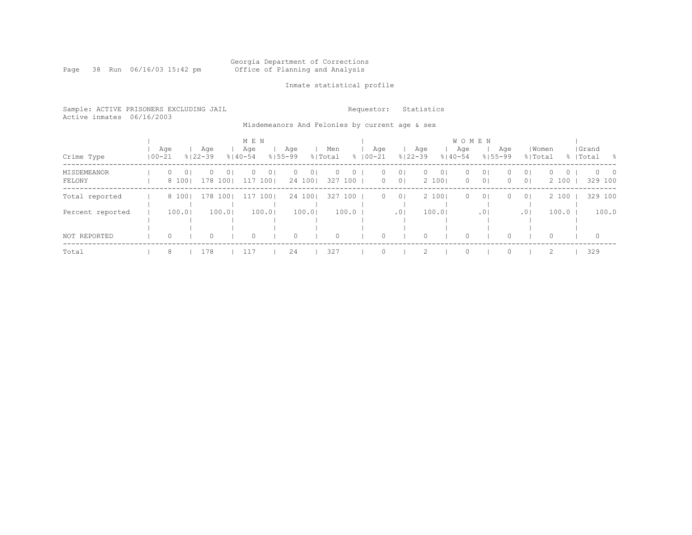#### Georgia Department of Corrections Page 38 Run 06/16/03 15:42 pm Office of Planning and Analysis

### Inmate statistical profile

|  | Sample: ACTIVE PRISONERS EXCLUDING JAIL |  | Requestor: Statistics |  |
|--|-----------------------------------------|--|-----------------------|--|
|  | Active inmates 06/16/2003               |  |                       |  |

Misdemeanors And Felonies by current age & sex

|                       |            |         |                  |                    |                            | M E N           |                         |          |                           |                |                    |                    | <b>WOMEN</b>                     |          |                         |                    |                                  |                     |                                  |                              |  |                        |     |  |  |  |
|-----------------------|------------|---------|------------------|--------------------|----------------------------|-----------------|-------------------------|----------|---------------------------|----------------|--------------------|--------------------|----------------------------------|----------|-------------------------|--------------------|----------------------------------|---------------------|----------------------------------|------------------------------|--|------------------------|-----|--|--|--|
| Crime Type            | $100 - 21$ | Age     |                  | Age<br>$8122 - 39$ | Age<br>$8140 - 54$         |                 | Aqe<br>$8155 - 99$      |          |                           | Men<br>% Total |                    | Aqe<br>$8100 - 21$ | Age<br>$8122 - 39$               |          | Age<br>$8140 - 54$      |                    | Age<br>$8155 - 99$               |                     | Women<br>% Total                 |                              |  | Grand<br>%   Total     | - 옹 |  |  |  |
| MISDEMEANOR<br>FELONY |            | $\circ$ | $\circ$<br>8 100 | $\Omega$           | $\overline{0}$<br>178 1001 | $\Omega$<br>117 | 0 <sub>1</sub><br>$100$ | $\Omega$ | 0 <sub>1</sub><br>24 1001 | $\Omega$       | $\circ$<br>327 100 | 0<br>$\circ$       | 0 <sup>1</sup><br>0 <sub>1</sub> | $\circ$  | 0 <sub>1</sub><br>2 100 | $\circ$<br>$\circ$ | 0 <sub>1</sub><br>0 <sup>1</sup> | $\Omega$<br>$\circ$ | 0 <sup>1</sup><br>0 <sup>1</sup> | $\Omega$<br>$\circ$<br>2 100 |  | $0\qquad 0$<br>329 100 |     |  |  |  |
| Total reported        |            |         | 8 100            |                    | 178 1001                   |                 | 117 1001                |          | 24 1001                   |                | 327 100            | $\circ$            | 0 <sup>1</sup>                   |          | 2 1001                  | $\circ$            | 0 <sup>1</sup>                   | $\Omega$            | 0 <sup>1</sup>                   | 2 100                        |  | 329 100                |     |  |  |  |
| Percent reported      |            |         | 100.01           |                    | 100.01                     |                 | 100.0                   |          | 100.01                    |                | 100.0              |                    | .0 <sub>1</sub>                  |          | 100.01                  |                    | .01                              |                     | .01                              | 100.0                        |  | 100.0                  |     |  |  |  |
| NOT REPORTED          |            | $\circ$ |                  | 0                  |                            | 0               |                         | 0        |                           | 0              |                    | 0                  |                                  | $\Omega$ |                         | 0                  |                                  | $\Omega$            |                                  | 0                            |  | $\circ$                |     |  |  |  |
| Total                 |            | 8       |                  | 178                |                            | 117             |                         | 24       |                           | 327            |                    |                    |                                  |          |                         | $\Omega$           |                                  |                     |                                  |                              |  | 329                    |     |  |  |  |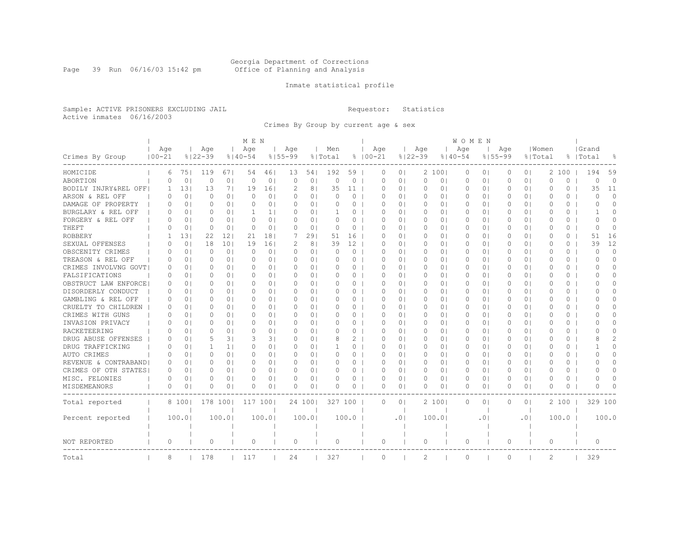#### Georgia Department of Corrections Page 39 Run 06/16/03 15:42 pm Office of Planning and Analysis

### Inmate statistical profile

Sample: ACTIVE PRISONERS EXCLUDING JAIL **Requestor:** Statistics Active inmates 06/16/2003

Crimes By Group by current age & sex

|                       |                   | M E N          |                    |                |                    |                |                    |                |                |                |                    |                 |                    | W O M E N      |                    |                 |                    |                |                  |          |                    |                |  |
|-----------------------|-------------------|----------------|--------------------|----------------|--------------------|----------------|--------------------|----------------|----------------|----------------|--------------------|-----------------|--------------------|----------------|--------------------|-----------------|--------------------|----------------|------------------|----------|--------------------|----------------|--|
| Crimes By Group       | Aqe<br>$100 - 21$ |                | Age<br>$8122 - 39$ |                | Age<br>$8140 - 54$ |                | Aqe<br>$8155 - 99$ |                | Men<br>% Total |                | Age<br>$8100 - 21$ |                 | Age<br>$8122 - 39$ |                | Age<br>$8140 - 54$ |                 | Age<br>$8155 - 99$ |                | Women<br>% Total |          | Grand<br>%   Total | 욲              |  |
| HOMICIDE              | 6                 | 751            | 119                | 671            | 54                 | 461            | 13                 | 54             | 192            | 59             | 0                  | 0 <sup>1</sup>  |                    | 2 1001         | 0                  | 0 <sub>1</sub>  | $\circ$            | 0 <sup>1</sup> |                  | 2 100    | 194                | 59             |  |
| ABORTION              | $\Omega$          | 0 <sub>1</sub> | $\circ$            | 0 <sub>1</sub> | $\mathbf 0$        | 0 <sub>1</sub> | $\Omega$           | 0 <sub>1</sub> | $\Omega$       | $\circ$        | $\Omega$           | 0 <sub>1</sub>  | $\circ$            | 0 <sub>1</sub> | $\Omega$           | 0 <sub>1</sub>  | $\circ$            | 0 <sub>1</sub> | $\Omega$         | $\Omega$ | $\circ$            | $\Omega$       |  |
| BODILY INJRY&REL OFF  | 1                 | 131            | 13                 | 7 <sub>1</sub> | 19                 | 16             | $\mathcal{D}$      | 8 <sup>1</sup> | 35             | 11             | $\Omega$           | 0 <sub>1</sub>  | 0                  | 0              | 0                  | 0 <sup>1</sup>  | 0                  | 0 <sup>1</sup> | 0                | 0        | 35                 | 11             |  |
| ARSON & REL OFF       | $\Omega$          | 0 <sub>1</sub> | $\Omega$           | 0 <sub>1</sub> | $\Omega$           | 0 <sub>1</sub> | $\Omega$           | 0 <sub>1</sub> | $\Omega$       | $\circ$        | $\Omega$           | $\Omega$        | 0                  | 01             | 0                  | 0 <sup>1</sup>  | $\Omega$           | 0 <sup>1</sup> | $\Omega$         | $\Omega$ | $\Omega$           | $\Omega$       |  |
| DAMAGE OF PROPERTY    | 0                 | 0 <sup>1</sup> | 0                  | 0 <sub>1</sub> | $\circ$            | 0 <sub>1</sub> | 0                  | 0 <sub>1</sub> | 0              | $\circ$        | $\Omega$           | 0 <sub>1</sub>  | 0                  | 01             | 0                  | 0 <sub>1</sub>  | 0                  | 0 <sup>1</sup> | $\circ$          | $\circ$  | $\Omega$           | $\Omega$       |  |
| BURGLARY & REL OFF    | $\Omega$          | 0 <sub>1</sub> | 0                  | 0 <sub>1</sub> | 1                  | 1 <sub>1</sub> | $\Omega$           | 0 <sub>1</sub> |                | $\circ$        | $\Omega$           | 0 <sub>1</sub>  | 0                  | 01             | 0                  | 0 <sub>1</sub>  | $\Omega$           | 0 <sub>1</sub> | $\circ$          | 0        | $\mathbf{1}$       | $\Omega$       |  |
| FORGERY & REL OFF     | $\Omega$          | 0 <sup>1</sup> | $\Omega$           | 0 <sub>1</sub> | $\Omega$           | 0 <sub>1</sub> | $\bigcap$          | 0 <sub>1</sub> | $\Omega$       | $\circ$        | $\Omega$           | $\Omega$        | 0                  | 0 <sub>1</sub> | $\Omega$           | 0 <sup>1</sup>  | $\Omega$           | 0 <sup>1</sup> | $\Omega$         | 0        | $\bigcap$          | $\Omega$       |  |
| THEFT                 | $\Omega$          | 0 <sub>1</sub> | 0                  | 0 <sub>1</sub> | $\Omega$           | 0 <sub>1</sub> | $\Omega$           | 0 <sub>1</sub> | $\Omega$       | $\circ$        | $\Omega$           | 0 <sup>1</sup>  | $\circ$            | 0 <sub>1</sub> | $\circ$            | 0 <sub>1</sub>  | 0                  | 0 <sub>1</sub> | $\Omega$         | 0        | $\Omega$           | 0              |  |
| <b>ROBBERY</b>        | -1                | 131            | 22                 | 121            | 21                 | 181            | 7                  | 291            | 51             | 16             | $\Omega$           | 0 <sub>1</sub>  | 0                  | 01             | $\Omega$           | 0 <sup>1</sup>  | $\Omega$           | 0 <sup>1</sup> | $\Omega$         | 0        | 51                 | 16             |  |
| SEXUAL OFFENSES       | $\Omega$          | 0 <sub>1</sub> | 18                 | 101            | 19                 | 161            | 2                  | 8 <sup>1</sup> | 39             | 12             | $\Omega$           | $\Omega$ I      | 0                  | $\Omega$ I     | $\Omega$           | $\Omega$        | $\Omega$           | $\Omega$       | $\cap$           | $\Omega$ | 39                 | 12             |  |
| OBSCENITY CRIMES      | O                 | 0 <sub>1</sub> | 0                  | 0 <sub>1</sub> | $\Omega$           | 0 <sub>1</sub> | $\Omega$           | 0 <sub>1</sub> | $\Omega$       | $\circ$        | O                  | $\Omega$        | 0                  | 01             | 0                  | 0 <sub>1</sub>  | 0                  | 0 <sup>1</sup> | 0                | 0        | $\Omega$           | $\Omega$       |  |
| TREASON & REL OFF     | $\Omega$          | 0 <sub>1</sub> | 0                  | 0 <sub>1</sub> | $\circ$            | 0 <sub>1</sub> | 0                  | 0 <sub>1</sub> | 0              | $\circ$        | $\Omega$           | 0 <sub>1</sub>  | 0                  | 01             | 0                  | 0 <sub>1</sub>  | 0                  | 0 <sub>1</sub> | $\circ$          | 0        | $\Omega$           | 0              |  |
| CRIMES INVOLVNG GOVT  | $\Omega$          | 0 <sub>1</sub> | $\Omega$           | $\Omega$       | $\Omega$           | 0 <sub>1</sub> | $\Omega$           | 0 <sub>1</sub> | $\Omega$       | $\Omega$       | $\Omega$           | 0 <sub>1</sub>  | $\Omega$           | $\Omega$ I     | $\Omega$           | $\Omega$        | $\Omega$           | 0 <sup>1</sup> | $\Omega$         | $\Omega$ | O                  | $\Omega$       |  |
| FALSIFICATIONS        | $\Omega$          | 0 <sub>1</sub> | $\Omega$           | 0 <sub>1</sub> | $\Omega$           | 0 <sub>1</sub> | $\bigcap$          | 0 <sub>1</sub> | $\Omega$       | 0 <sub>1</sub> | $\Omega$           | 0 <sup>1</sup>  | $\Omega$           | 01             | $\Omega$           | 0 <sub>1</sub>  | $\Omega$           | 0 <sub>1</sub> | $\Omega$         | 0        | O                  | $\Omega$       |  |
| OBSTRUCT LAW ENFORCE! | 0                 | 0 <sub>1</sub> | Ω                  | 0 <sub>1</sub> | 0                  | 0 <sub>1</sub> | $\Omega$           | 0 <sub>1</sub> |                | $\circ$        | $\Omega$           | $\Omega$        | 0                  | 01             | 0                  | 0 <sup>1</sup>  | 0                  | 0 <sup>1</sup> | 0                | 0        | O                  | $\Omega$       |  |
| DISORDERLY CONDUCT    | $\Omega$          | 0 <sup>1</sup> | O                  | $\Omega$       | $\Omega$           | 0 <sub>1</sub> | $\Omega$           | 0 <sub>1</sub> | $\Omega$       | $\Omega$       | $\Omega$           | $\Omega$        | $\Omega$           | $\Omega$ I     | $\Omega$           | $\Omega$        | $\Omega$           | $\Omega$       | $\Omega$         | $\Omega$ | ∩                  | $\Omega$       |  |
| GAMBLING & REL OFF    | $\Omega$          | 0 <sub>1</sub> | $\Omega$           | 0 <sub>1</sub> | $\Omega$           | 0 <sub>1</sub> | $\Omega$           | 0 <sup>1</sup> | $\Omega$       | $\circ$        | $\Omega$           | $\Omega$        | 0                  | 01             | 0                  | 0 <sub>1</sub>  | $\Omega$           | 0 <sup>1</sup> | $\Omega$         | 0        | O                  | $\Omega$       |  |
| CRUELTY TO CHILDREN   | 0                 | 0 <sub>1</sub> | 0                  | 0 <sub>1</sub> | 0                  | 0 <sup>1</sup> | 0                  | 0 <sub>1</sub> | 0              | $\circ$        | $\Omega$           | 0 <sub>1</sub>  | 0                  | 01             | 0                  | 0 <sub>1</sub>  | 0                  | 0 <sup>1</sup> | 0                | 0        | O                  | $\Omega$       |  |
| CRIMES WITH GUNS      | $\Omega$          | 0 <sub>1</sub> | Ω                  | 0 <sub>1</sub> | 0                  | 0 <sub>1</sub> | $\Omega$           | 0 <sub>1</sub> | $\Omega$       | $\circ$        | $\Omega$           | $\Omega$        | 0                  | 01             | 0                  | 0 <sup>1</sup>  | 0                  | 0 <sup>1</sup> | $\Omega$         | 0        | O                  | $\Omega$       |  |
| INVASION PRIVACY      | $\Omega$          | 0 <sub>1</sub> | $\Omega$           | 0 <sub>1</sub> | $\Omega$           | 0 <sub>1</sub> | $\Omega$           | 0 <sup>1</sup> | $\Omega$       | $\Omega$       | $\Omega$           | 0 <sup>1</sup>  | $\Omega$           | $\Omega$       | $\Omega$           | $\Omega$        | $\Omega$           | 0 <sup>1</sup> | $\Omega$         | $\Omega$ | O                  | $\Omega$       |  |
| RACKETEERING          | $\Omega$          | 0 <sub>1</sub> | Ω                  | 0 <sub>1</sub> | $\Omega$           | 0 <sub>1</sub> | $\Omega$           | 0 <sub>1</sub> | O              | $\circ$        | $\Omega$           | $\Omega$        | 0                  | 01             | $\Omega$           | 0 <sub>1</sub>  | 0                  | 0 <sup>1</sup> | $\Omega$         | 0        | O                  | $\Omega$       |  |
| DRUG ABUSE OFFENSES   | $\Omega$          | 0 <sub>1</sub> | 5                  | 31             | 3                  | 31             | $\Omega$           | 0 <sub>1</sub> |                | 2              | $\Omega$           | $\Omega$ I      | 0                  | 01             | 0                  | 0               | $\Omega$           | 0 <sup>1</sup> | $\Omega$         | 0        |                    | $\overline{2}$ |  |
| DRUG TRAFFICKING      | 0                 | 0 <sub>1</sub> | 1                  | 1 <sub>1</sub> | $\Omega$           | 0 <sub>1</sub> | $\Omega$           | 0 <sub>1</sub> |                | $\circ$        | $\Omega$           | 01              | 0                  | 01             | 0                  | 0 <sup>1</sup>  | 0                  | 0 <sup>1</sup> | 0                | 0        |                    | $\Omega$       |  |
| AUTO CRIMES           | 0                 | 0 <sub>1</sub> | $\Omega$           | 0 <sub>1</sub> | $\Omega$           | 0 <sup>1</sup> | $\Omega$           | 0 <sub>1</sub> | $\Omega$       | $\circ$        | $\Omega$           | $\Omega$        | 0                  | 01             | 0                  | 0 <sub>1</sub>  | 0                  | 0 <sup>1</sup> | $\Omega$         | $\Omega$ | 0                  | $\Omega$       |  |
| REVENUE & CONTRABAND  | $\Omega$          | 0 <sub>1</sub> | O                  | 0 <sub>1</sub> | $\circ$            | 0 <sub>1</sub> | $\Omega$           | 0 <sub>1</sub> | $\Omega$       | $\circ$        | $\Omega$           | 0 <sub>1</sub>  | $\circ$            | 01             | $\circ$            | 0 <sub>1</sub>  | 0                  | 0 <sub>1</sub> | $\Omega$         | 0        | $\Omega$           | $\Omega$       |  |
| CRIMES OF OTH STATES  | $\Omega$          | 0 <sub>1</sub> | $\Omega$           | 0 <sub>1</sub> | $\Omega$           | 0 <sub>1</sub> | $\Omega$           | 0 <sub>1</sub> | $\Omega$       | $\circ$        | $\Omega$           | 0 <sub>1</sub>  | $\circ$            | 0 <sub>1</sub> | $\circ$            | 0 <sub>1</sub>  | $\circ$            | 0 <sub>1</sub> | $\Omega$         | 0        | $\Omega$           | $\Omega$       |  |
| MISC. FELONIES        | $\Omega$          | 0 <sub>1</sub> | O                  | 0 <sub>1</sub> | $\Omega$           | 0 <sub>1</sub> | $\Omega$           | 0 <sub>1</sub> | $\Omega$       | $\circ$        | $\Omega$           | 0 <sub>1</sub>  | $\Omega$           | 01             | $\Omega$           | 0 <sub>1</sub>  | $\Omega$           | 0 <sup>1</sup> | $\Omega$         | $\Omega$ | O                  | $\Omega$       |  |
| MISDEMEANORS          | $\Omega$          | 0 <sub>1</sub> | Ω                  | 0              | $\Omega$           | 0 <sub>1</sub> | $\Omega$           | 0 <sub>1</sub> |                | 0              | $\Omega$           | 0 <sub>1</sub>  | 0                  | 0              | 0                  | 0               | 0                  | 0 <sub>1</sub> | 0                | 0        | O                  | O              |  |
| Total reported        |                   | 8 1001         | 178 1001           |                | 117 1001           |                |                    | 24 1001        | 327 100        |                | $\Omega$           | 0 <sub>1</sub>  |                    | 2 1001         | $\Omega$           | 0 <sup>1</sup>  | $\Omega$           | 0 <sup>1</sup> |                  | 2100     | 329 100            |                |  |
| Percent reported      |                   | 100.01         |                    | 100.0          |                    | 100.01         |                    | 100.01         |                | 100.0          |                    | .0 <sub>1</sub> |                    | 100.01         |                    | .0 <sub>1</sub> |                    | . 0            |                  | 100.0    |                    | 100.0          |  |
| <b>NOT REPORTED</b>   | 0                 |                | $\Omega$           |                | $\Omega$           |                | 0                  |                | $\Omega$       |                | $\Omega$           |                 | $\Omega$           |                | $\circ$            |                 | $\Omega$           |                | $\Omega$         |          | $\Omega$           |                |  |
| Total                 | 8                 |                | 178                |                | 117                |                | 24                 |                | 327            |                | $\circ$            |                 | 2                  |                | $\circ$            |                 | $\Omega$           |                | $\overline{c}$   |          | 329                |                |  |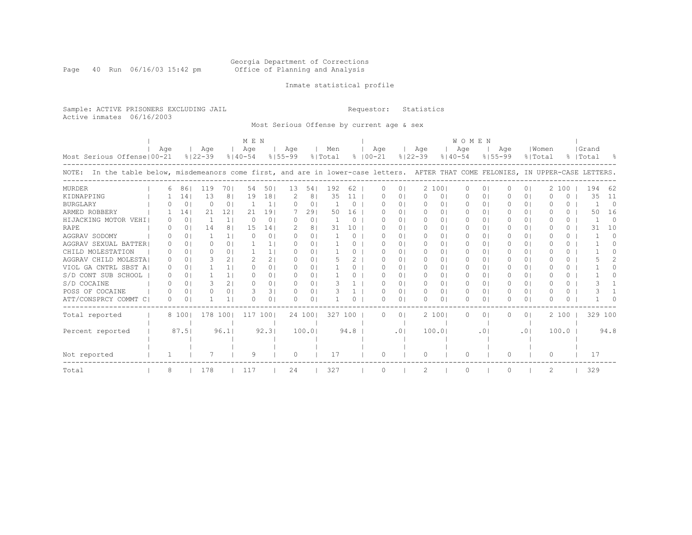#### Georgia Department of Corrections Page 40 Run 06/16/03 15:42 pm Office of Planning and Analysis

### Inmate statistical profile

Sample: ACTIVE PRISONERS EXCLUDING JAIL **Requestor:** Statistics Active inmates 06/16/2003

Most Serious Offense by current age & sex

|                                                                                                                                    |     |                 |             |                | M E N       |                |             |                |         |          |               |                  |                |             | <b>WOMEN</b>   |             |             |           |                |           |          |       |          |
|------------------------------------------------------------------------------------------------------------------------------------|-----|-----------------|-------------|----------------|-------------|----------------|-------------|----------------|---------|----------|---------------|------------------|----------------|-------------|----------------|-------------|-------------|-----------|----------------|-----------|----------|-------|----------|
|                                                                                                                                    | Age |                 | Age         |                | Age         |                | Aqe         |                | Men     |          |               | Age              |                | Age         |                | Age         |             | Age       |                | Women     |          | Grand |          |
| Most Serious Offense   00-21                                                                                                       |     |                 | $8122 - 39$ |                | $8140 - 54$ |                | $8155 - 99$ |                | % Total |          | $8   00 - 21$ |                  |                | $8122 - 39$ |                | $8140 - 54$ | $8155 - 99$ |           |                | % Total   |          | Total |          |
| NOTE: In the table below, misdemeanors come first, and are in lower-case letters. AFTER THAT COME FELONIES, IN UPPER-CASE LETTERS. |     |                 |             |                |             |                |             |                |         |          |               |                  |                |             |                |             |             |           |                |           |          |       |          |
| MURDER                                                                                                                             | 6   | 861             | 119         | 701            | 54          | 501            | 13          | 54             | 192     | 62       |               | 0                | 0 <sub>1</sub> | 2 1001      |                | $\Omega$    | 0           | $\Omega$  | 0 <sup>1</sup> |           | 2 100    | 194   | 62       |
| KIDNAPPING                                                                                                                         |     | 14 <sub>1</sub> | 13          | 8 <sup>1</sup> | 19          | 181            |             | 81             | 35      | 11       |               | O                | 0 <sup>1</sup> | 0           | 01             | 0           | 0           |           | 0 <sup>1</sup> |           | O        | 35    | 11       |
| <b>BURGLARY</b>                                                                                                                    |     | 0 <sup>1</sup>  | $\Omega$    | 0 <sup>1</sup> |             | 1 <sub>1</sub> | O.          | 0 <sub>1</sub> |         | $\Omega$ |               | O                | $\Omega$       | $\Omega$    | 01             | $\Omega$    | 0           | $\Omega$  | $\Omega$       | O         | 0        |       | $\Omega$ |
| ARMED ROBBERY                                                                                                                      |     | 141             | 21          | 121            | 21          | 191            |             | 291            | 50      | 16       |               | ∩                | $\Omega$       | $\Omega$    | 0 <sub>1</sub> | $\Omega$    | $\Omega$    | 0         | $\Omega$       | O         | $\Omega$ | 50    | 16       |
| HIJACKING MOTOR VEHI                                                                                                               |     | 0 <sup>1</sup>  | -1          | 1 <sup>1</sup> | $\Omega$    | 0 <sub>1</sub> | O.          | 0 <sub>1</sub> |         | $\Omega$ |               | ∩                | $\Omega$       | $\bigcap$   | $\Omega$ I     | $\bigcap$   | 0           | $\Omega$  | $\Omega$       | U         | $\Omega$ |       | $\Omega$ |
| RAPE                                                                                                                               |     | 01              | 14          | 8              | 15          | 141            | 2           | 8 <sup>1</sup> | 31      | 10       |               | O                | $\Omega$ I     | $\Omega$    | 01             | $\Omega$    | 0           | 0         | $\Omega$       | $\Omega$  | 0.       | 31    | 10       |
| AGGRAV SODOMY                                                                                                                      |     | 0 <sub>1</sub>  |             | 1 <sub>1</sub> | $\Omega$    | 0 <sub>1</sub> | O.          | 0 <sub>1</sub> |         | 0        |               | ∩                | $\Omega$       | $\Box$      | 01             | $\Omega$    | 0           | $\Omega$  | $\cap$         | U         | 0        |       | 0        |
| AGGRAV SEXUAL BATTER                                                                                                               |     | $\Omega$        | Λ           | 0 <sub>1</sub> |             | 11             | O.          | 0 <sub>1</sub> |         | 0        |               | ∩                | $\Omega$ I     | $\Omega$    | 01             | $\Omega$    | 0           | 0         | $\Omega$       | n         | 0        |       | n        |
| CHILD MOLESTATION                                                                                                                  | O.  | $\Omega$        | Λ           | $\Omega$       |             | 11             | O.          | 01             |         | 0        |               | ∩                | $\cap$         | $\bigcap$   | $\Omega$       | $\bigcap$   | 0           | 0         | $\Omega$       | U         | $\Omega$ |       |          |
| AGGRAV CHILD MOLESTA!                                                                                                              | ∩   | $\Omega$        |             | 21             |             | 21             | O.          | 0 <sub>1</sub> |         | 2        |               | ∩                | 01             | $\Omega$    | 01             | $\Omega$    | 0           | 0         | 01             | n         | $\Omega$ |       |          |
| VIOL GA CNTRL SBST A                                                                                                               | O.  | $\Omega$        |             | 1 <sup>1</sup> |             | 01             | O.          | 01             |         |          |               | $\left( \right)$ | $\Omega$ I     | $\Box$      | 01             | $\Omega$    | 0           | 0         | $\Omega$       | n         | 0        |       |          |
| S/D CONT SUB SCHOOL                                                                                                                | 0   | 01              |             | 1 <sup>1</sup> |             | 01             | O.          | 0 <sub>1</sub> |         |          |               | ∩                | 01             | $\Omega$    | 01             | $\Omega$    | 0           | 0         | $\Omega$       | n         | 0        |       |          |
| S/D COCAINE                                                                                                                        |     | $\Omega$        | 3           | $\overline{2}$ |             | 0 <sub>1</sub> | n.          | 01             |         |          |               | ∩                | $\Omega$       | $\Omega$    | 01             | $\Omega$    | 0           | 0         | 01             | n         | 0        |       |          |
| POSS OF COCAINE                                                                                                                    |     | $\Omega$        | U           | $\Omega$       |             | 31             | $\bigcap$   | 0 <sub>1</sub> |         |          |               | ∩                | $\Omega$       | $\Omega$    | $\Omega$ I     | $\Omega$    | $\Omega$    | 0         | $\Omega$       | $\bigcap$ | $\Omega$ |       |          |
| ATT/CONSPRCY COMMT C                                                                                                               | 0   | $\Omega$        |             | 11             |             | 0              | O.          | 0 <sub>1</sub> |         |          |               | ∩                | $\Omega$       | $\Omega$    | 01             | $\Omega$    | 0           | n.        | $\Omega$       | n         | 0        |       |          |
| Total reported                                                                                                                     |     | 8 1001          | 178         | 1001           | 117         | 1001           |             | 24 1001        | 327     | 100      |               | $\Omega$         | $\overline{0}$ | 2 1001      |                | $\Omega$    | 0           | 0         | 0 I            |           | 2 100    |       | 329 100  |
| Percent reported                                                                                                                   |     | 87.51           |             | 96.1           |             | 92.31          |             | 100.01         |         | 94.8     |               |                  | .01            | 100.01      |                |             | $\cdot$ 0   |           | .01            |           | 100.0    |       | 94.8     |
|                                                                                                                                    |     |                 |             |                |             |                |             |                |         |          |               |                  |                |             |                |             |             |           |                |           |          |       |          |
| Not reported                                                                                                                       |     |                 |             |                | 9           |                | $\Omega$    |                | 17      |          |               | $\Omega$         |                | $\Omega$    |                | O           |             | $\bigcap$ |                | $\Omega$  |          | 17    |          |
| Total                                                                                                                              | 8   |                 | 178         |                | 117         |                | 24          |                | 327     |          |               | O                |                | 2           |                | O           |             |           |                | 2         |          | 329   |          |